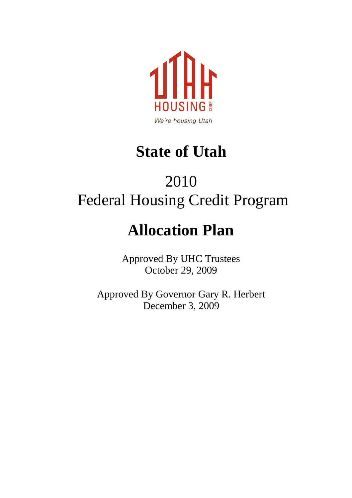

### **State of Utah**

### 2010 Federal Housing Credit Program

### **Allocation Plan**

Approved By UHC Trustees October 29, 2009

Approved By Governor Gary R. Herbert December 3, 2009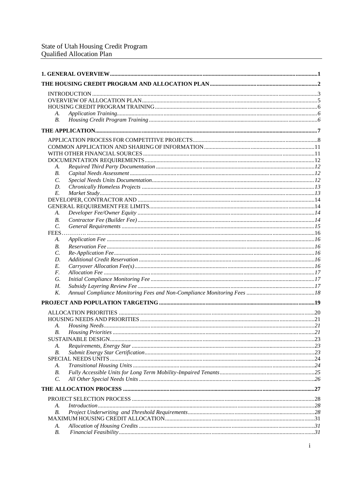| А.              |                                 |  |
|-----------------|---------------------------------|--|
| $B$ .           |                                 |  |
|                 |                                 |  |
|                 |                                 |  |
|                 |                                 |  |
|                 |                                 |  |
|                 |                                 |  |
| А.              |                                 |  |
| В.              |                                 |  |
| C.              |                                 |  |
| D.              |                                 |  |
| Е.              |                                 |  |
|                 |                                 |  |
|                 |                                 |  |
| А.              |                                 |  |
| В.              |                                 |  |
| $\mathcal{C}$ . |                                 |  |
|                 |                                 |  |
| А.              |                                 |  |
| В.              |                                 |  |
| $\mathcal{C}$ . |                                 |  |
| D.              |                                 |  |
| Е.              |                                 |  |
| F.              |                                 |  |
| G.              |                                 |  |
| Н.              |                                 |  |
| K.              |                                 |  |
|                 |                                 |  |
|                 |                                 |  |
|                 |                                 |  |
| А.              |                                 |  |
| B.              | 21<br><b>Housing Priorities</b> |  |
|                 |                                 |  |
| А.              |                                 |  |
| В.              |                                 |  |
|                 |                                 |  |
| А.              |                                 |  |
| В.              |                                 |  |
| $\mathcal{C}$ . |                                 |  |
|                 |                                 |  |
|                 |                                 |  |
| А.              | Introduction 28                 |  |
| В.              |                                 |  |
|                 |                                 |  |
| А.              |                                 |  |
| В.              |                                 |  |
|                 |                                 |  |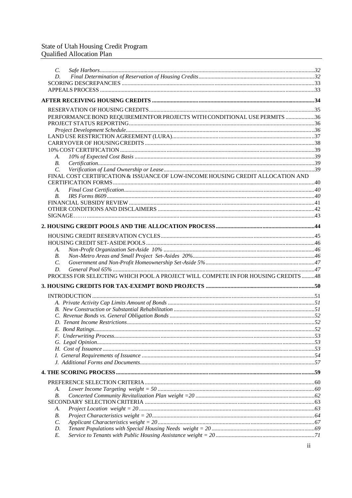## State of Utah Housing Credit Program<br>Qualified Allocation Plan

| $\mathcal{C}$ . |                                                                                   |  |
|-----------------|-----------------------------------------------------------------------------------|--|
| D.              |                                                                                   |  |
|                 |                                                                                   |  |
|                 |                                                                                   |  |
|                 |                                                                                   |  |
|                 |                                                                                   |  |
|                 |                                                                                   |  |
|                 | PERFORMANCE BOND REQUIREMENTFOR PROJECTS WITH CONDITIONAL USE PERMITS 36          |  |
|                 |                                                                                   |  |
|                 |                                                                                   |  |
|                 |                                                                                   |  |
|                 |                                                                                   |  |
| А.              |                                                                                   |  |
| $B$ .           |                                                                                   |  |
| $\mathcal{C}$ . |                                                                                   |  |
|                 | FINAL COST CERTIFICATION & ISSUANCE OF LOW-INCOME HOUSING CREDIT ALLOCATION AND   |  |
|                 |                                                                                   |  |
| А.              |                                                                                   |  |
| <i>B</i> .      |                                                                                   |  |
|                 |                                                                                   |  |
|                 |                                                                                   |  |
|                 |                                                                                   |  |
|                 |                                                                                   |  |
|                 |                                                                                   |  |
|                 |                                                                                   |  |
| А.              |                                                                                   |  |
| В.              |                                                                                   |  |
| C.              |                                                                                   |  |
| D.              |                                                                                   |  |
|                 | PROCESS FOR SELECTING WHICH POOL A PROJECT WILL COMPETE IN FOR HOUSING CREDITS 48 |  |
|                 |                                                                                   |  |
|                 |                                                                                   |  |
|                 |                                                                                   |  |
|                 |                                                                                   |  |
|                 |                                                                                   |  |
|                 |                                                                                   |  |
|                 | E. Bond Ratings.                                                                  |  |
|                 |                                                                                   |  |
|                 |                                                                                   |  |
|                 |                                                                                   |  |
|                 |                                                                                   |  |
|                 |                                                                                   |  |
|                 |                                                                                   |  |
|                 |                                                                                   |  |
| А.              |                                                                                   |  |
| В.              |                                                                                   |  |
|                 |                                                                                   |  |
| А.              |                                                                                   |  |
| В.              |                                                                                   |  |
| $\mathcal{C}$ . |                                                                                   |  |
| D.              |                                                                                   |  |
| E.              |                                                                                   |  |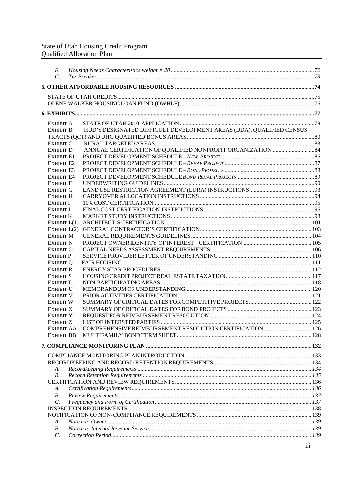| F.<br>$G_{\cdot}$                    |                                                                      |  |
|--------------------------------------|----------------------------------------------------------------------|--|
|                                      |                                                                      |  |
|                                      |                                                                      |  |
|                                      |                                                                      |  |
|                                      |                                                                      |  |
|                                      |                                                                      |  |
|                                      |                                                                      |  |
| EXHIBIT A<br><b>EXHIBIT B</b>        | HUD'S DESIGNATED DIFFICULT DEVELOPMENT AREAS (DDA), QUALIFIED CENSUS |  |
|                                      |                                                                      |  |
| <b>EXHIBIT C</b>                     |                                                                      |  |
| <b>EXHIBIT D</b>                     |                                                                      |  |
| <b>EXHIBIT E1</b>                    |                                                                      |  |
| <b>EXHIBIT E2</b>                    |                                                                      |  |
| <b>EXHIBIT E3</b>                    |                                                                      |  |
| <b>EXHIBIT E4</b>                    |                                                                      |  |
| <b>EXHIBIT F</b>                     |                                                                      |  |
| <b>EXHIBIT G</b>                     |                                                                      |  |
| <b>EXHIBIT H</b>                     |                                                                      |  |
| <b>EXHIBIT I</b>                     |                                                                      |  |
| <b>EXHIBIT J</b>                     |                                                                      |  |
| <b>EXHIBIT K</b>                     |                                                                      |  |
|                                      |                                                                      |  |
|                                      |                                                                      |  |
| <b>EXHIBIT M</b>                     |                                                                      |  |
| <b>EXHIBIT N</b>                     |                                                                      |  |
| <b>EXHIBIT O</b>                     |                                                                      |  |
| <b>EXHIBIT P</b>                     |                                                                      |  |
| <b>EXHIBIT Q</b>                     |                                                                      |  |
| <b>EXHIBIT R</b>                     |                                                                      |  |
| EXHIBIT S                            |                                                                      |  |
| <b>EXHIBIT T</b>                     |                                                                      |  |
| <b>EXHIBIT U</b><br><b>EXHIBIT V</b> |                                                                      |  |
| <b>EXHIBIT W</b>                     |                                                                      |  |
| <b>EXHIBIT X</b>                     |                                                                      |  |
| <b>EXHIBIT Y</b>                     |                                                                      |  |
| <b>EXHIBIT Z</b>                     |                                                                      |  |
|                                      |                                                                      |  |
| EXHIBIT BB                           |                                                                      |  |
|                                      |                                                                      |  |
|                                      |                                                                      |  |
|                                      |                                                                      |  |
|                                      |                                                                      |  |
| А.                                   |                                                                      |  |
| В.                                   |                                                                      |  |
| А.                                   |                                                                      |  |
| $B$ .                                |                                                                      |  |
| C.                                   |                                                                      |  |
|                                      |                                                                      |  |
|                                      |                                                                      |  |
| А.                                   |                                                                      |  |
| В.                                   |                                                                      |  |
| $\mathcal{C}$ .                      |                                                                      |  |
|                                      |                                                                      |  |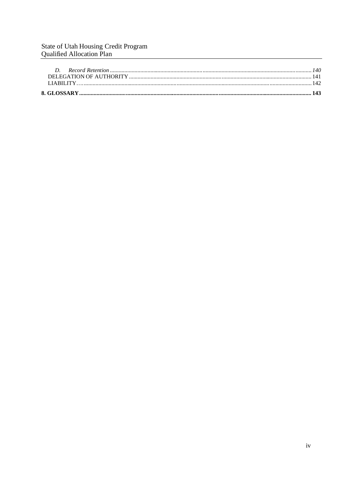## State of Utah Housing Credit Program<br>Qualified Allocation Plan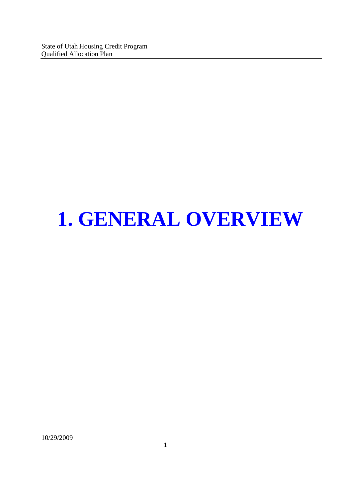State of Utah Housing Credit Program Qualified Allocation Plan

## **1. GENERAL OVERVIEW**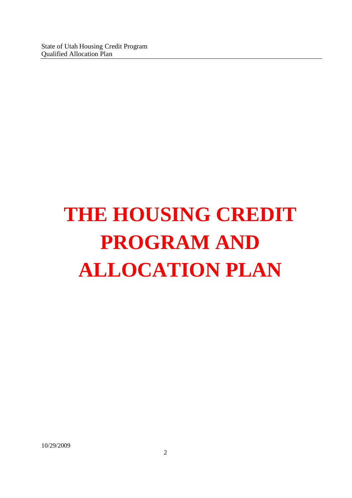# **THE HOUSING CREDIT PROGRAM AND ALLOCATION PLAN**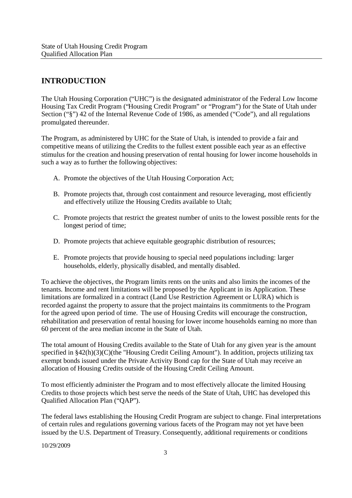#### **INTRODUCTION**

The Utah Housing Corporation ("UHC") is the designated administrator of the Federal Low Income Housing Tax Credit Program ("Housing Credit Program" or "Program") for the State of Utah under Section ("§") 42 of the Internal Revenue Code of 1986, as amended ("Code"), and all regulations promulgated thereunder.

The Program, as administered by UHC for the State of Utah, is intended to provide a fair and competitive means of utilizing the Credits to the fullest extent possible each year as an effective stimulus for the creation and housing preservation of rental housing for lower income households in such a way as to further the following objectives:

- A. Promote the objectives of the Utah Housing Corporation Act;
- B. Promote projects that, through cost containment and resource leveraging, most efficiently and effectively utilize the Housing Credits available to Utah;
- C. Promote projects that restrict the greatest number of units to the lowest possible rents for the longest period of time;
- D. Promote projects that achieve equitable geographic distribution of resources;
- E. Promote projects that provide housing to special need populations including: larger households, elderly, physically disabled, and mentally disabled.

To achieve the objectives, the Program limits rents on the units and also limits the incomes of the tenants. Income and rent limitations will be proposed by the Applicant in its Application. These limitations are formalized in a contract (Land Use Restriction Agreement or LURA) which is recorded against the property to assure that the project maintains its commitments to the Program for the agreed upon period of time. The use of Housing Credits will encourage the construction, rehabilitation and preservation of rental housing for lower income households earning no more than 60 percent of the area median income in the State of Utah.

The total amount of Housing Credits available to the State of Utah for any given year is the amount specified in §42(h)(3)(C)(the "Housing Credit Ceiling Amount"). In addition, projects utilizing tax exempt bonds issued under the Private Activity Bond cap for the State of Utah may receive an allocation of Housing Credits outside of the Housing Credit Ceiling Amount.

To most efficiently administer the Program and to most effectively allocate the limited Housing Credits to those projects which best serve the needs of the State of Utah, UHC has developed this Qualified Allocation Plan ("QAP").

The federal laws establishing the Housing Credit Program are subject to change. Final interpretations of certain rules and regulations governing various facets of the Program may not yet have been issued by the U.S. Department of Treasury. Consequently, additional requirements or conditions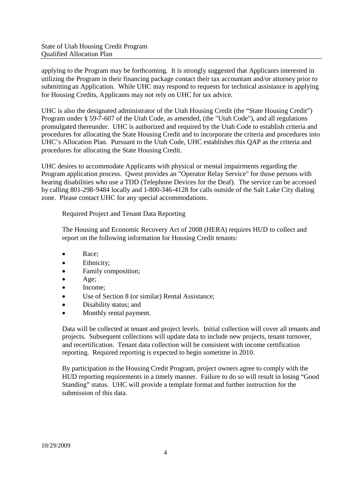applying to the Program may be forthcoming. It is strongly suggested that Applicants interested in utilizing the Program in their financing package contact their tax accountant and/or attorney prior to submitting an Application. While UHC may respond to requests for technical assistance in applying for Housing Credits, Applicants may not rely on UHC for tax advice.

UHC is also the designated administrator of the Utah Housing Credit (the "State Housing Credit") Program under § 59-7-607 of the Utah Code, as amended, (the "Utah Code"), and all regulations promulgated thereunder. UHC is authorized and required by the Utah Code to establish criteria and procedures for allocating the State Housing Credit and to incorporate the criteria and procedures into UHC's Allocation Plan. Pursuant to the Utah Code, UHC establishes this QAP as the criteria and procedures for allocating the State Housing Credit.

UHC desires to accommodate Applicants with physical or mental impairments regarding the Program application process. Qwest provides an "Operator Relay Service" for those persons with hearing disabilities who use a TDD (Telephone Devices for the Deaf). The service can be accessed by calling 801-298-9484 locally and 1-800-346-4128 for calls outside of the Salt Lake City dialing zone. Please contact UHC for any special accommodations.

Required Project and Tenant Data Reporting

The Housing and Economic Recovery Act of 2008 (HERA) requires HUD to collect and report on the following information for Housing Credit tenants:

- Race;
- Ethnicity;
- Family composition;
- Age;
- Income;
- Use of Section 8 (or similar) Rental Assistance;
- Disability status; and
- Monthly rental payment.

Data will be collected at tenant and project levels. Initial collection will cover all tenants and projects. Subsequent collections will update data to include new projects, tenant turnover, and recertification. Tenant data collection will be consistent with income certification reporting. Required reporting is expected to begin sometime in 2010.

By participation in the Housing Credit Program, project owners agree to comply with the HUD reporting requirements in a timely manner. Failure to do so will result in losing "Good Standing" status. UHC will provide a template format and further instruction for the submission of this data.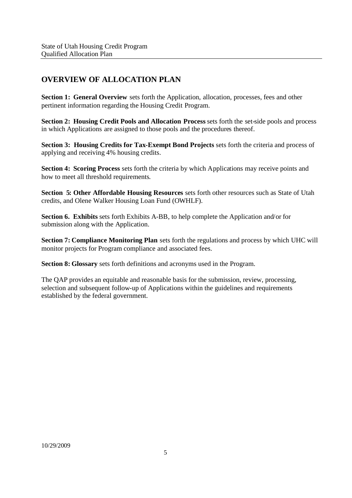#### **OVERVIEW OF ALLOCATION PLAN**

**Section 1: General Overview** sets forth the Application, allocation, processes, fees and other pertinent information regarding the Housing Credit Program.

**Section 2: Housing Credit Pools and Allocation Process** sets forth the set-side pools and process in which Applications are assigned to those pools and the procedures thereof.

**Section 3: Housing Credits for Tax-Exempt Bond Projects** sets forth the criteria and process of applying and receiving 4% housing credits.

**Section 4: Scoring Process** sets forth the criteria by which Applications may receive points and how to meet all threshold requirements.

**Section 5: Other Affordable Housing Resources** sets forth other resources such as State of Utah credits, and Olene Walker Housing Loan Fund (OWHLF).

**Section 6. Exhibits** sets forth Exhibits A-BB, to help complete the Application and/or for submission along with the Application.

**Section 7: Compliance Monitoring Plan** sets forth the regulations and process by which UHC will monitor projects for Program compliance and associated fees.

**Section 8: Glossary** sets forth definitions and acronyms used in the Program.

The QAP provides an equitable and reasonable basis for the submission, review, processing, selection and subsequent follow-up of Applications within the guidelines and requirements established by the federal government.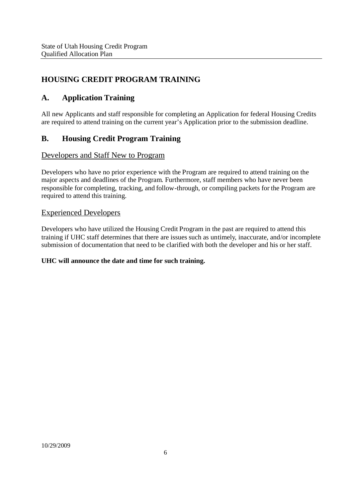#### **HOUSING CREDIT PROGRAM TRAINING**

#### **A. Application Training**

All new Applicants and staff responsible for completing an Application for federal Housing Credits are required to attend training on the current year's Application prior to the submission deadline.

#### **B. Housing Credit Program Training**

#### Developers and Staff New to Program

Developers who have no prior experience with the Program are required to attend training on the major aspects and deadlines of the Program. Furthermore, staff members who have never been responsible for completing, tracking, and follow-through, or compiling packets for the Program are required to attend this training.

#### Experienced Developers

Developers who have utilized the Housing Credit Program in the past are required to attend this training if UHC staff determines that there are issues such as untimely, inaccurate, and/or incomplete submission of documentation that need to be clarified with both the developer and his or her staff.

#### **UHC will announce the date and time for such training.**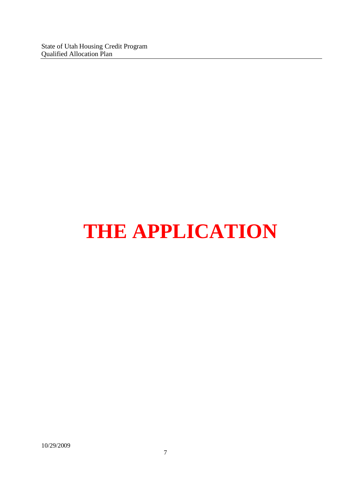State of Utah Housing Credit Program Qualified Allocation Plan

## **THE APPLICATION**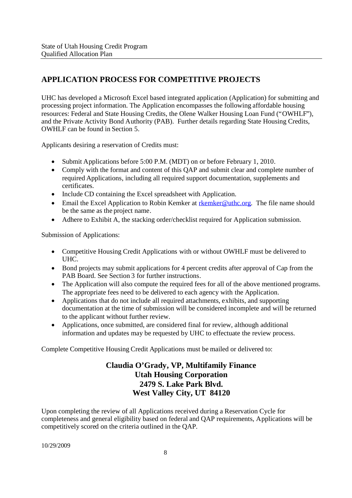#### **APPLICATION PROCESS FOR COMPETITIVE PROJECTS**

UHC has developed a Microsoft Excel based integrated application (Application) for submitting and processing project information. The Application encompasses the following affordable housing resources: Federal and State Housing Credits, the Olene Walker Housing Loan Fund ("OWHLF"), and the Private Activity Bond Authority (PAB). Further details regarding State Housing Credits, OWHLF can be found in Section 5.

Applicants desiring a reservation of Credits must:

- Submit Applications before 5:00 P.M. (MDT) on or before February 1, 2010.
- Comply with the format and content of this QAP and submit clear and complete number of required Applications, including all required support documentation, supplements and certificates.
- Include CD containing the Excel spreadsheet with Application.
- Email the Excel Application to Robin Kemker at rkemker@uthc.org. The file name should be the same as the project name.
- Adhere to Exhibit A, the stacking order/checklist required for Application submission.

Submission of Applications:

- Competitive Housing Credit Applications with or without OWHLF must be delivered to UHC.
- Bond projects may submit applications for 4 percent credits after approval of Cap from the PAB Board. See Section 3 for further instructions.
- The Application will also compute the required fees for all of the above mentioned programs. The appropriate fees need to be delivered to each agency with the Application.
- Applications that do not include all required attachments, exhibits, and supporting documentation at the time of submission will be considered incomplete and will be returned to the applicant without further review.
- Applications, once submitted, are considered final for review, although additional information and updates may be requested by UHC to effectuate the review process.

Complete Competitive Housing Credit Applications must be mailed or delivered to:

#### **Claudia O'Grady, VP, Multifamily Finance Utah Housing Corporation 2479 S. Lake Park Blvd. West Valley City, UT 84120**

Upon completing the review of all Applications received during a Reservation Cycle for completeness and general eligibility based on federal and QAP requirements, Applications will be competitively scored on the criteria outlined in the QAP.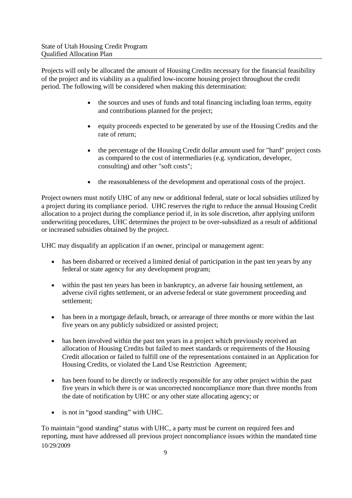Projects will only be allocated the amount of Housing Credits necessary for the financial feasibility of the project and its viability as a qualified low-income housing project throughout the credit period. The following will be considered when making this determination:

- the sources and uses of funds and total financing including loan terms, equity and contributions planned for the project;
- equity proceeds expected to be generated by use of the Housing Credits and the rate of return;
- the percentage of the Housing Credit dollar amount used for "hard" project costs as compared to the cost of intermediaries (e.g. syndication, developer, consulting) and other "soft costs";
- the reasonableness of the development and operational costs of the project.

Project owners must notify UHC of any new or additional federal, state or local subsidies utilized by a project during its compliance period. UHC reserves the right to reduce the annual Housing Credit allocation to a project during the compliance period if, in its sole discretion, after applying uniform underwriting procedures, UHC determines the project to be over-subsidized as a result of additional or increased subsidies obtained by the project.

UHC may disqualify an application if an owner, principal or management agent:

- has been disbarred or received a limited denial of participation in the past ten years by any federal or state agency for any development program;
- within the past ten years has been in bankruptcy, an adverse fair housing settlement, an adverse civil rights settlement, or an adverse federal or state government proceeding and settlement;
- has been in a mortgage default, breach, or arrearage of three months or more within the last five years on any publicly subsidized or assisted project;
- has been involved within the past ten years in a project which previously received an allocation of Housing Credits but failed to meet standards or requirements of the Housing Credit allocation or failed to fulfill one of the representations contained in an Application for Housing Credits, or violated the Land Use Restriction Agreement;
- has been found to be directly or indirectly responsible for any other project within the past five years in which there is or was uncorrected noncompliance more than three months from the date of notification by UHC or any other state allocating agency; or
- is not in "good standing" with UHC.

10/29/2009 To maintain "good standing" status with UHC, a party must be current on required fees and reporting, must have addressed all previous project noncompliance issues within the mandated time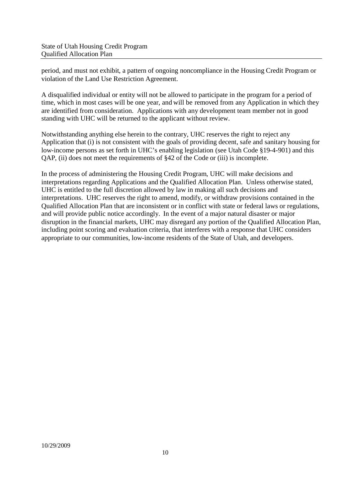period, and must not exhibit, a pattern of ongoing noncompliance in the Housing Credit Program or violation of the Land Use Restriction Agreement.

A disqualified individual or entity will not be allowed to participate in the program for a period of time, which in most cases will be one year, and will be removed from any Application in which they are identified from consideration. Applications with any development team member not in good standing with UHC will be returned to the applicant without review.

Notwithstanding anything else herein to the contrary, UHC reserves the right to reject any Application that (i) is not consistent with the goals of providing decent, safe and sanitary housing for low-income persons as set forth in UHC's enabling legislation (see Utah Code §19-4-901) and this QAP, (ii) does not meet the requirements of §42 of the Code or (iii) is incomplete.

In the process of administering the Housing Credit Program, UHC will make decisions and interpretations regarding Applications and the Qualified Allocation Plan. Unless otherwise stated, UHC is entitled to the full discretion allowed by law in making all such decisions and interpretations. UHC reserves the right to amend, modify, or withdraw provisions contained in the Qualified Allocation Plan that are inconsistent or in conflict with state or federal laws or regulations, and will provide public notice accordingly. In the event of a major natural disaster or major disruption in the financial markets, UHC may disregard any portion of the Qualified Allocation Plan, including point scoring and evaluation criteria, that interferes with a response that UHC considers appropriate to our communities, low-income residents of the State of Utah, and developers.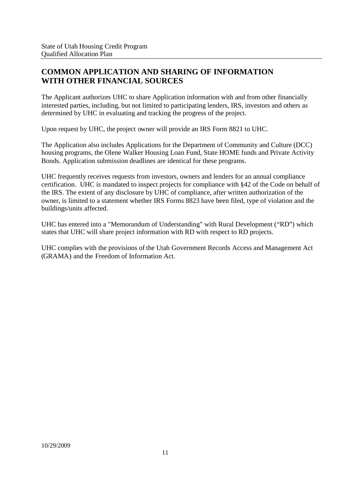#### **COMMON APPLICATION AND SHARING OF INFORMATION WITH OTHER FINANCIAL SOURCES**

The Applicant authorizes UHC to share Application information with and from other financially interested parties, including, but not limited to participating lenders, IRS, investors and others as determined by UHC in evaluating and tracking the progress of the project.

Upon request by UHC, the project owner will provide an IRS Form 8821 to UHC.

The Application also includes Applications for the Department of Community and Culture (DCC) housing programs, the Olene Walker Housing Loan Fund, State HOME funds and Private Activity Bonds. Application submission deadlines are identical for these programs.

UHC frequently receives requests from investors, owners and lenders for an annual compliance certification. UHC is mandated to inspect projects for compliance with §42 of the Code on behalf of the IRS. The extent of any disclosure by UHC of compliance, after written authorization of the owner, is limited to a statement whether IRS Forms 8823 have been filed, type of violation and the buildings/units affected.

UHC has entered into a "Memorandum of Understanding" with Rural Development ("RD") which states that UHC will share project information with RD with respect to RD projects.

UHC complies with the provisions of the Utah Government Records Access and Management Act (GRAMA) and the Freedom of Information Act.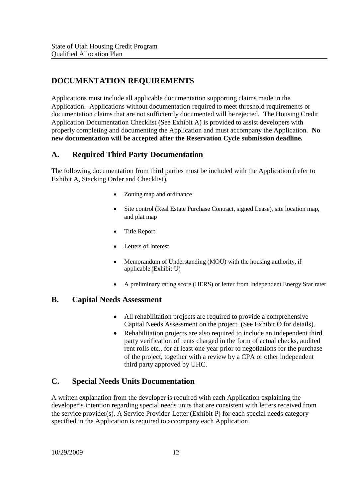#### **DOCUMENTATION REQUIREMENTS**

Applications must include all applicable documentation supporting claims made in the Application. Applications without documentation required to meet threshold requirements or documentation claims that are not sufficiently documented will be rejected. The Housing Credit Application Documentation Checklist (See Exhibit A) is provided to assist developers with properly completing and documenting the Application and must accompany the Application. **No new documentation will be accepted after the Reservation Cycle submission deadline.**

#### **A. Required Third Party Documentation**

The following documentation from third parties must be included with the Application (refer to Exhibit A, Stacking Order and Checklist).

- Zoning map and ordinance
- Site control (Real Estate Purchase Contract, signed Lease), site location map, and plat map
- Title Report
- Letters of Interest
- Memorandum of Understanding (MOU) with the housing authority, if applicable (Exhibit U)
- A preliminary rating score (HERS) or letter from Independent Energy Star rater

#### **B. Capital Needs Assessment**

- All rehabilitation projects are required to provide a comprehensive Capital Needs Assessment on the project. (See Exhibit O for details).
- Rehabilitation projects are also required to include an independent third party verification of rents charged in the form of actual checks, audited rent rolls etc., for at least one year prior to negotiations for the purchase of the project, together with a review by a CPA or other independent third party approved by UHC.

#### **C. Special Needs Units Documentation**

A written explanation from the developer is required with each Application explaining the developer's intention regarding special needs units that are consistent with letters received from the service provider(s). A Service Provider Letter (Exhibit P) for each special needs category specified in the Application is required to accompany each Application.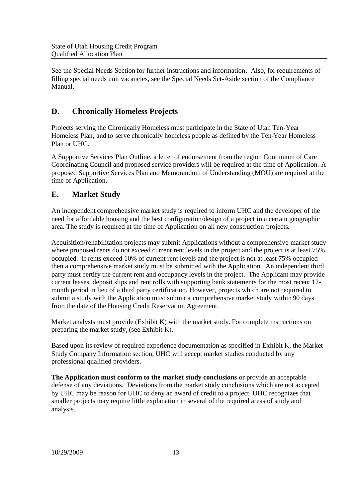See the Special Needs Section for further instructions and information. Also, for requirements of filling special needs unit vacancies, see the Special Needs Set-Aside section of the Compliance Manual.

#### **D. Chronically Homeless Projects**

Projects serving the Chronically Homeless must participate in the State of Utah Ten-Year Homeless Plan, and to serve chronically homeless people as defined by the Ten-Year Homeless Plan or UHC.

A Supportive Services Plan Outline, a letter of endorsement from the region Continuum of Care Coordinating Council and proposed service providers will be required at the time of Application. A proposed Supportive Services Plan and Memorandum of Understanding (MOU) are required at the time of Application.

#### **E. Market Study**

An independent comprehensive market study is required to inform UHC and the developer of the need for affordable housing and the best configuration/design of a project in a certain geographic area. The study is required at the time of Application on all new construction projects.

Acquisition/rehabilitation projects may submit Applications without a comprehensive market study where proposed rents do not exceed current rent levels in the project and the project is at least  $75\%$ occupied. If rents exceed 10% of current rent levels and the project is not at least 75% occupied then a comprehensive market study must be submitted with the Application. An independent third party must certify the current rent and occupancy levels in the project. The Applicant may provide current leases, deposit slips and rent rolls with supporting bank statements for the most recent 12 month period in lieu of a third party certification. However, projects which are not required to submit a study with the Application must submit a comprehensive market study within 90 days from the date of the Housing Credit Reservation Agreement.

Market analysts must provide (Exhibit K) with the market study. For complete instructions on preparing the market study, (see Exhibit K).

Based upon its review of required experience documentation as specified in Exhibit K, the Market Study Company Information section, UHC will accept market studies conducted by any professional qualified providers.

**The Application must conform to the market study conclusions** or provide an acceptable defense of any deviations. Deviations from the market study conclusions which are not accepted by UHC may be reason for UHC to deny an award of credit to a project. UHC recognizes that smaller projects may require little explanation in several of the required areas of study and analysis.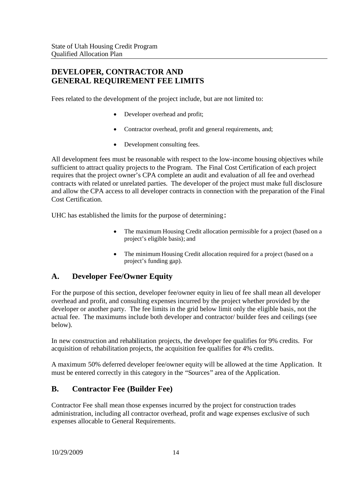#### **DEVELOPER, CONTRACTOR AND GENERAL REQUIREMENT FEE LIMITS**

Fees related to the development of the project include, but are not limited to:

- Developer overhead and profit;
- Contractor overhead, profit and general requirements, and;
- Development consulting fees.

All development fees must be reasonable with respect to the low-income housing objectives while sufficient to attract quality projects to the Program. The Final Cost Certification of each project requires that the project owner's CPA complete an audit and evaluation of all fee and overhead contracts with related or unrelated parties. The developer of the project must make full disclosure and allow the CPA access to all developer contracts in connection with the preparation of the Final Cost Certification.

UHC has established the limits for the purpose of determining:

- The maximum Housing Credit allocation permissible for a project (based on a project's eligible basis); and
- The minimum Housing Credit allocation required for a project (based on a project's funding gap).

#### **A. Developer Fee/Owner Equity**

For the purpose of this section, developer fee/owner equity in lieu of fee shall mean all developer overhead and profit, and consulting expenses incurred by the project whether provided by the developer or another party. The fee limits in the grid below limit only the eligible basis, not the actual fee. The maximums include both developer and contractor/ builder fees and ceilings (see below).

In new construction and rehabilitation projects, the developer fee qualifies for 9% credits. For acquisition of rehabilitation projects, the acquisition fee qualifies for 4% credits.

A maximum 50% deferred developer fee/owner equity will be allowed at the time Application. It must be entered correctly in this category in the "Sources" area of the Application.

#### **B. Contractor Fee (Builder Fee)**

Contractor Fee shall mean those expenses incurred by the project for construction trades administration, including all contractor overhead, profit and wage expenses exclusive of such expenses allocable to General Requirements.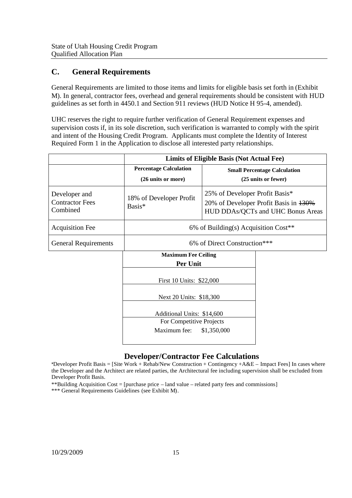#### **C. General Requirements**

General Requirements are limited to those items and limits for eligible basis set forth in (Exhibit M). In general, contractor fees, overhead and general requirements should be consistent with HUD guidelines as set forth in 4450.1 and Section 911 reviews (HUD Notice H 95-4, amended).

UHC reserves the right to require further verification of General Requirement expenses and supervision costs if, in its sole discretion, such verification is warranted to comply with the spirit and intent of the Housing Credit Program. Applicants must complete the Identity of Interest Required Form 1 in the Application to disclose all interested party relationships.

|                                                     |                                                                        | Limits of Eligible Basis (Not Actual Fee)                                                                    |
|-----------------------------------------------------|------------------------------------------------------------------------|--------------------------------------------------------------------------------------------------------------|
|                                                     | <b>Percentage Calculation</b><br>(26 units or more)                    | <b>Small Percentage Calculation</b><br>(25 units or fewer)                                                   |
| Developer and<br><b>Contractor Fees</b><br>Combined | 18% of Developer Profit<br>Basis*                                      | 25% of Developer Profit Basis*<br>20% of Developer Profit Basis in 130%<br>HUD DDAs/QCTs and UHC Bonus Areas |
| <b>Acquisition Fee</b>                              |                                                                        | 6% of Building(s) Acquisition $Cost**$                                                                       |
| <b>General Requirements</b>                         | 6% of Direct Construction***                                           |                                                                                                              |
|                                                     | <b>Maximum Fee Ceiling</b>                                             |                                                                                                              |
|                                                     | Per Unit                                                               |                                                                                                              |
|                                                     | First 10 Units: \$22,000                                               |                                                                                                              |
|                                                     | Next 20 Units: \$18,300                                                |                                                                                                              |
|                                                     | Additional Units: \$14,600<br>For Competitive Projects<br>Maximum fee: | \$1,350,000                                                                                                  |
|                                                     |                                                                        |                                                                                                              |

#### **Developer/Contractor Fee Calculations**

\*Developer Profit Basis = [Site Work + Rehab/New Construction + Contingency + $A&E$  – Impact Fees] In cases where the Developer and the Architect are related parties, the Architectural fee including supervision shall be excluded from Developer Profit Basis.

\*\*Building Acquisition Cost = [purchase price – land value – related party fees and commissions]

\*\*\* General Requirements Guidelines (see Exhibit M).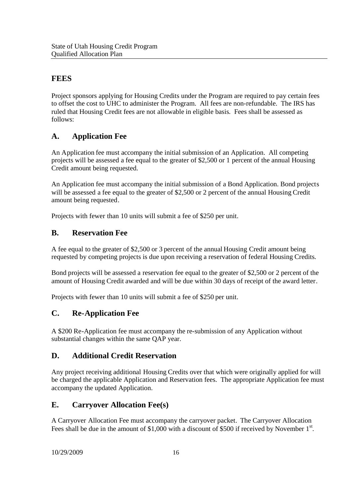#### **FEES**

Project sponsors applying for Housing Credits under the Program are required to pay certain fees to offset the cost to UHC to administer the Program. All fees are non-refundable. The IRS has ruled that Housing Credit fees are not allowable in eligible basis. Fees shall be assessed as follows:

#### **A. Application Fee**

An Application fee must accompany the initial submission of an Application. All competing projects will be assessed a fee equal to the greater of \$2,500 or 1 percent of the annual Housing Credit amount being requested.

An Application fee must accompany the initial submission of a Bond Application. Bond projects will be assessed a fee equal to the greater of \$2,500 or 2 percent of the annual Housing Credit amount being requested.

Projects with fewer than 10 units will submit a fee of \$250 per unit.

#### **B. Reservation Fee**

A fee equal to the greater of \$2,500 or 3 percent of the annual Housing Credit amount being requested by competing projects is due upon receiving a reservation of federal Housing Credits.

Bond projects will be assessed a reservation fee equal to the greater of \$2,500 or 2 percent of the amount of Housing Credit awarded and will be due within 30 days of receipt of the award letter.

Projects with fewer than 10 units will submit a fee of \$250 per unit.

#### **C. Re-Application Fee**

A \$200 Re-Application fee must accompany the re-submission of any Application without substantial changes within the same QAP year.

#### **D. Additional Credit Reservation**

Any project receiving additional Housing Credits over that which were originally applied for will be charged the applicable Application and Reservation fees. The appropriate Application fee must accompany the updated Application.

#### **E. Carryover Allocation Fee(s)**

A Carryover Allocation Fee must accompany the carryover packet. The Carryover Allocation Fees shall be due in the amount of \$1,000 with a discount of \$500 if received by November  $1<sup>st</sup>$ .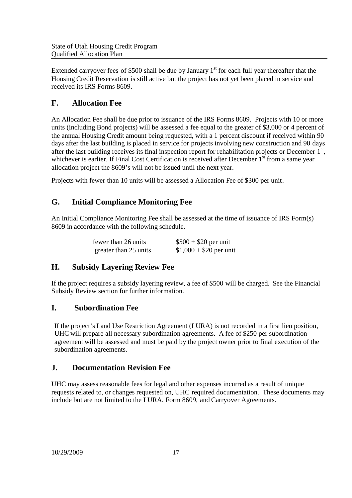Extended carryover fees of \$500 shall be due by January 1<sup>st</sup> for each full year thereafter that the Housing Credit Reservation is still active but the project has not yet been placed in service and received its IRS Forms 8609.

#### **F. Allocation Fee**

An Allocation Fee shall be due prior to issuance of the IRS Forms 8609. Projects with 10 or more units (including Bond projects) will be assessed a fee equal to the greater of \$3,000 or 4 percent of the annual Housing Credit amount being requested, with a 1 percent discount if received within 90 days after the last building is placed in service for projects involving new construction and 90 days after the last building receives its final inspection report for rehabilitation projects or December 1<sup>st</sup>, whichever is earlier. If Final Cost Certification is received after December 1<sup>st</sup> from a same year allocation project the 8609's will not be issued until the next year.

Projects with fewer than 10 units will be assessed a Allocation Fee of \$300 per unit.

#### **G. Initial Compliance Monitoring Fee**

An Initial Compliance Monitoring Fee shall be assessed at the time of issuance of IRS Form(s) 8609 in accordance with the following schedule.

| fewer than 26 units   | $$500 + $20$ per unit   |
|-----------------------|-------------------------|
| greater than 25 units | $$1,000 + $20$ per unit |

#### **H. Subsidy Layering Review Fee**

If the project requires a subsidy layering review, a fee of \$500 will be charged. See the Financial Subsidy Review section for further information.

#### **I. Subordination Fee**

If the project's Land Use Restriction Agreement (LURA) is not recorded in a first lien position, UHC will prepare all necessary subordination agreements. A fee of \$250 per subordination agreement will be assessed and must be paid by the project owner prior to final execution of the subordination agreements.

#### **J. Documentation Revision Fee**

UHC may assess reasonable fees for legal and other expenses incurred as a result of unique requests related to, or changes requested on, UHC required documentation. These documents may include but are not limited to the LURA, Form 8609, and Carryover Agreements.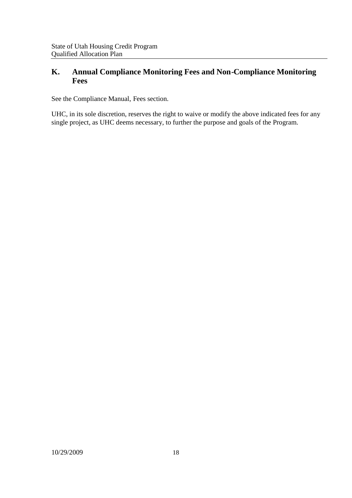#### **K. Annual Compliance Monitoring Fees and Non-Compliance Monitoring Fees**

See the Compliance Manual, Fees section.

UHC, in its sole discretion, reserves the right to waive or modify the above indicated fees for any single project, as UHC deems necessary, to further the purpose and goals of the Program.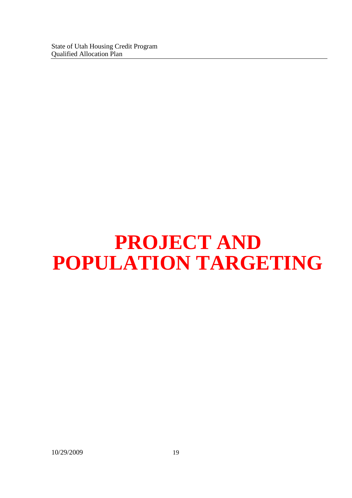## **PROJECT AND POPULATION TARGETING**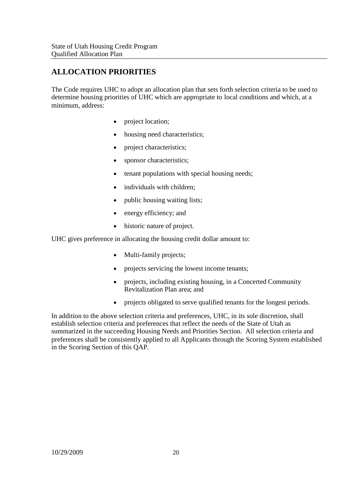#### **ALLOCATION PRIORITIES**

The Code requires UHC to adopt an allocation plan that sets forth selection criteria to be used to determine housing priorities of UHC which are appropriate to local conditions and which, at a minimum, address:

- project location;
- housing need characteristics;
- project characteristics;
- sponsor characteristics;
- tenant populations with special housing needs;
- individuals with children;
- public housing waiting lists;
- energy efficiency; and
- historic nature of project.

UHC gives preference in allocating the housing credit dollar amount to:

- Multi-family projects;
- projects servicing the lowest income tenants;
- projects, including existing housing, in a Concerted Community Revitalization Plan area; and
- projects obligated to serve qualified tenants for the longest periods.

In addition to the above selection criteria and preferences, UHC, in its sole discretion, shall establish selection criteria and preferences that reflect the needs of the State of Utah as summarized in the succeeding Housing Needs and Priorities Section. All selection criteria and preferences shall be consistently applied to all Applicants through the Scoring System established in the Scoring Section of this QAP.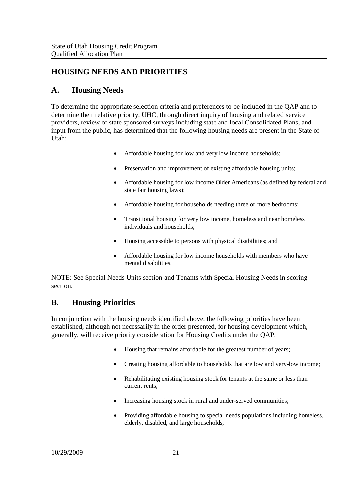#### **HOUSING NEEDS AND PRIORITIES**

#### **A. Housing Needs**

To determine the appropriate selection criteria and preferences to be included in the QAP and to determine their relative priority, UHC, through direct inquiry of housing and related service providers, review of state sponsored surveys including state and local Consolidated Plans, and input from the public, has determined that the following housing needs are present in the State of Utah:

- Affordable housing for low and very low income households;
- Preservation and improvement of existing affordable housing units;
- Affordable housing for low income Older Americans (as defined by federal and state fair housing laws);
- Affordable housing for households needing three or more bedrooms;
- Transitional housing for very low income, homeless and near homeless individuals and households;
- Housing accessible to persons with physical disabilities; and
- Affordable housing for low income households with members who have mental disabilities.

NOTE: See Special Needs Units section and Tenants with Special Housing Needs in scoring section.

#### **B. Housing Priorities**

In conjunction with the housing needs identified above, the following priorities have been established, although not necessarily in the order presented, for housing development which, generally, will receive priority consideration for Housing Credits under the QAP.

- Housing that remains affordable for the greatest number of years;
- Creating housing affordable to households that are low and very-low income;
- Rehabilitating existing housing stock for tenants at the same or less than current rents;
- Increasing housing stock in rural and under-served communities;
- Providing affordable housing to special needs populations including homeless, elderly, disabled, and large households;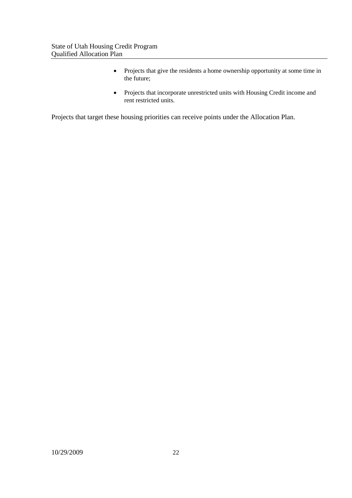- Projects that give the residents a home ownership opportunity at some time in the future;
- Projects that incorporate unrestricted units with Housing Credit income and rent restricted units.

Projects that target these housing priorities can receive points under the Allocation Plan.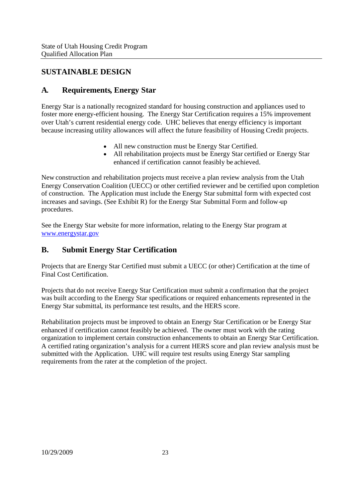#### **SUSTAINABLE DESIGN**

#### **A. Requirements, Energy Star**

Energy Star is a nationally recognized standard for housing construction and appliances used to foster more energy-efficient housing. The Energy Star Certification requires a 15% improvement over Utah's current residential energy code. UHC believes that energy efficiency is important because increasing utility allowances will affect the future feasibility of Housing Credit projects.

- All new construction must be Energy Star Certified.
- All rehabilitation projects must be Energy Star certified or Energy Star enhanced if certification cannot feasibly be achieved.

New construction and rehabilitation projects must receive a plan review analysis from the Utah Energy Conservation Coalition (UECC) or other certified reviewer and be certified upon completion of construction. The Application must include the Energy Star submittal form with expected cost increases and savings. (See Exhibit R) for the Energy Star Submittal Form and follow-up procedures.

See the Energy Star website for more information, relating to the Energy Star program at www.energystar.gov

#### **B. Submit Energy Star Certification**

Projects that are Energy Star Certified must submit a UECC (or other) Certification at the time of Final Cost Certification.

Projects that do not receive Energy Star Certification must submit a confirmation that the project was built according to the Energy Star specifications or required enhancements represented in the Energy Star submittal, its performance test results, and the HERS score.

Rehabilitation projects must be improved to obtain an Energy Star Certification or be Energy Star enhanced if certification cannot feasibly be achieved. The owner must work with the rating organization to implement certain construction enhancements to obtain an Energy Star Certification. A certified rating organization's analysis for a current HERS score and plan review analysis must be submitted with the Application. UHC will require test results using Energy Star sampling requirements from the rater at the completion of the project.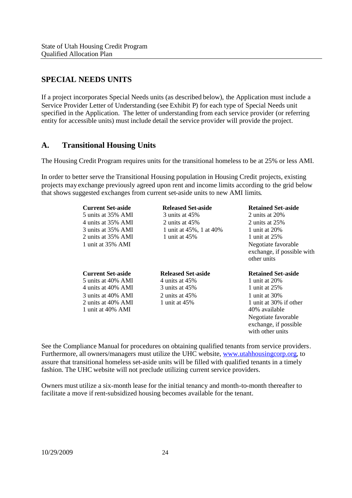#### **SPECIAL NEEDS UNITS**

If a project incorporates Special Needs units (as described below), the Application must include a Service Provider Letter of Understanding (see Exhibit P) for each type of Special Needs unit specified in the Application. The letter of understanding from each service provider (or referring entity for accessible units) must include detail the service provider will provide the project.

#### **A. Transitional Housing Units**

The Housing Credit Program requires units for the transitional homeless to be at 25% or less AMI.

In order to better serve the Transitional Housing population in Housing Credit projects, existing projects may exchange previously agreed upon rent and income limits according to the grid below that shows suggested exchanges from current set-aside units to new AMI limits.

| <b>Current Set-aside</b> | <b>Released Set-aside</b> | <b>Retained Set-aside</b>                                        |
|--------------------------|---------------------------|------------------------------------------------------------------|
| 5 units at 35% AMI       | $3$ units at $45\%$       | 2 units at $20\%$                                                |
| 4 units at 35% AMI       | 2 units at $45%$          | 2 units at $25%$                                                 |
| 3 units at 35% AMI       | 1 unit at 45%, 1 at 40%   | 1 unit at 20%                                                    |
| 2 units at 35% AMI       | 1 unit at $45\%$          | 1 unit at 25%                                                    |
| 1 unit at 35% AMI        |                           | Negotiate favorable<br>exchange, if possible with<br>other units |
|                          |                           |                                                                  |
| <b>Current Set-aside</b> | <b>Released Set-aside</b> | <b>Retained Set-aside</b>                                        |
| 5 units at 40% AMI       | 4 units at $45\%$         | 1 unit at $20\%$                                                 |
| 4 units at 40% AMI       | 3 units at 45%            | 1 unit at 25%                                                    |
| 3 units at 40% AMI       | 2 units at $45%$          | 1 unit at 30%                                                    |
| 2 units at 40% AMI       | 1 unit at $45%$           | 1 unit at 30% if other                                           |
| 1 unit at 40% AMI        |                           | 40% available                                                    |
|                          |                           | Negotiate favorable                                              |
|                          |                           | exchange, if possible                                            |

See the Compliance Manual for procedures on obtaining qualified tenants from service providers. Furthermore, all owners/managers must utilize the UHC website, www.utahhousingcorp.org, to assure that transitional homeless set-aside units will be filled with qualified tenants in a timely fashion. The UHC website will not preclude utilizing current service providers.

Owners must utilize a six-month lease for the initial tenancy and month-to-month thereafter to facilitate a move if rent-subsidized housing becomes available for the tenant.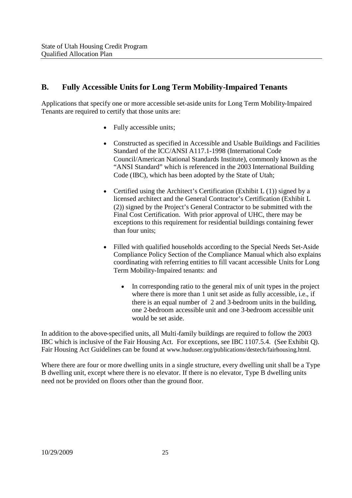#### **B. Fully Accessible Units for Long Term Mobility-Impaired Tenants**

Applications that specify one or more accessible set-aside units for Long Term Mobility-Impaired Tenants are required to certify that those units are:

- Fully accessible units;
- Constructed as specified in Accessible and Usable Buildings and Facilities Standard of the ICC/ANSI A117.1-1998 (International Code Council/American National Standards Institute), commonly known as the "ANSI Standard" which is referenced in the 2003 International Building Code (IBC), which has been adopted by the State of Utah;
- Certified using the Architect's Certification (Exhibit  $L(1)$ ) signed by a licensed architect and the General Contractor's Certification (Exhibit L (2)) signed by the Project's General Contractor to be submitted with the Final Cost Certification. With prior approval of UHC, there may be exceptions to this requirement for residential buildings containing fewer than four units;
- Filled with qualified households according to the Special Needs Set-Aside Compliance Policy Section of the Compliance Manual which also explains coordinating with referring entities to fill vacant accessible Units for Long Term Mobility-Impaired tenants: and
	- In corresponding ratio to the general mix of unit types in the project where there is more than 1 unit set aside as fully accessible, i.e., if there is an equal number of 2 and 3-bedroom units in the building, one 2-bedroom accessible unit and one 3-bedroom accessible unit would be set aside.

In addition to the above-specified units, all Multi-family buildings are required to follow the 2003 IBC which is inclusive of the Fair Housing Act. For exceptions, see IBC 1107.5.4. (See Exhibit Q). Fair Housing Act Guidelines can be found at www.huduser.org/publications/destech/fairhousing.html.

Where there are four or more dwelling units in a single structure, every dwelling unit shall be a Type B dwelling unit, except where there is no elevator. If there is no elevator, Type B dwelling units need not be provided on floors other than the ground floor.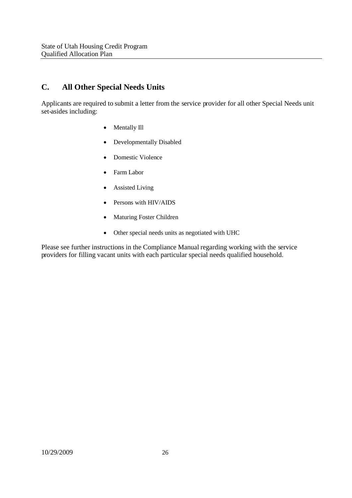#### **C. All Other Special Needs Units**

Applicants are required to submit a letter from the service provider for all other Special Needs unit set-asides including:

- Mentally Ill
- Developmentally Disabled
- Domestic Violence
- Farm Labor
- Assisted Living
- Persons with HIV/AIDS
- Maturing Foster Children
- Other special needs units as negotiated with UHC

Please see further instructions in the Compliance Manual regarding working with the service providers for filling vacant units with each particular special needs qualified household.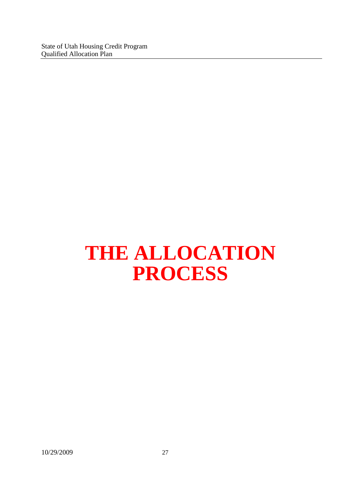## **THE ALLOCATION PROCESS**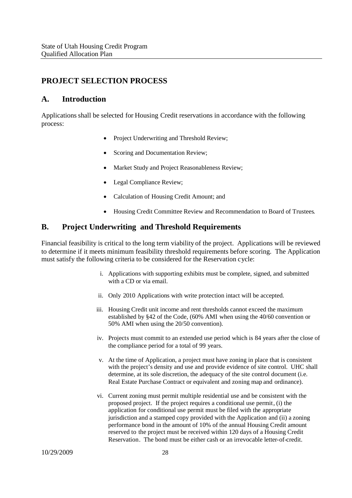#### **PROJECT SELECTION PROCESS**

#### **A. Introduction**

Applications shall be selected for Housing Credit reservations in accordance with the following process:

- Project Underwriting and Threshold Review;
- Scoring and Documentation Review:
- Market Study and Project Reasonableness Review;
- Legal Compliance Review;
- Calculation of Housing Credit Amount; and
- Housing Credit Committee Review and Recommendation to Board of Trustees.

#### **B. Project Underwriting and Threshold Requirements**

Financial feasibility is critical to the long term viability of the project. Applications will be reviewed to determine if it meets minimum feasibility threshold requirements before scoring. The Application must satisfy the following criteria to be considered for the Reservation cycle:

- i. Applications with supporting exhibits must be complete, signed, and submitted with a CD or via email.
- ii. Only 2010 Applications with write protection intact will be accepted.
- iii. Housing Credit unit income and rent thresholds cannot exceed the maximum established by §42 of the Code, (60% AMI when using the 40/60 convention or 50% AMI when using the 20/50 convention).
- iv. Projects must commit to an extended use period which is 84 years after the close of the compliance period for a total of 99 years.
- v. At the time of Application, a project must have zoning in place that is consistent with the project's density and use and provide evidence of site control. UHC shall determine, at its sole discretion, the adequacy of the site control document (i.e. Real Estate Purchase Contract or equivalent and zoning map and ordinance).
- vi. Current zoning must permit multiple residential use and be consistent with the proposed project. If the project requires a conditional use permit, (i) the application for conditional use permit must be filed with the appropriate jurisdiction and a stamped copy provided with the Application and (ii) a zoning performance bond in the amount of 10% of the annual Housing Credit amount reserved to the project must be received within 120 days of a Housing Credit Reservation. The bond must be either cash or an irrevocable letter-of-credit.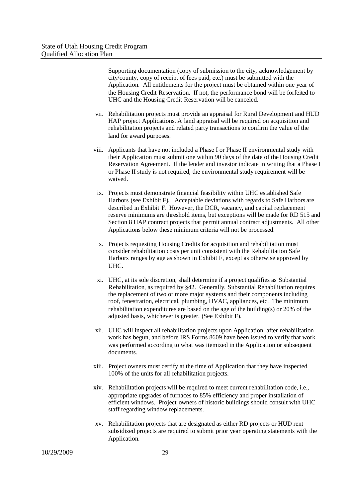Supporting documentation (copy of submission to the city, acknowledgement by city/county, copy of receipt of fees paid, etc.) must be submitted with the Application. All entitlements for the project must be obtained within one year of the Housing Credit Reservation. If not, the performance bond will be forfeited to UHC and the Housing Credit Reservation will be canceled.

- vii. Rehabilitation projects must provide an appraisal for Rural Development and HUD HAP project Applications. A land appraisal will be required on acquisition and rehabilitation projects and related party transactions to confirm the value of the land for award purposes.
- viii. Applicants that have not included a Phase I or Phase II environmental study with their Application must submit one within 90 days of the date of the Housing Credit Reservation Agreement. If the lender and investor indicate in writing that a Phase I or Phase II study is not required, the environmental study requirement will be waived.
	- ix. Projects must demonstrate financial feasibility within UHC established Safe Harbors (see Exhibit F). Acceptable deviations with regards to Safe Harbors are described in Exhibit F. However, the DCR, vacancy, and capital replacement reserve minimums are threshold items, but exceptions will be made for RD 515 and Section 8 HAP contract projects that permit annual contract adjustments. All other Applications below these minimum criteria will not be processed.
	- x. Projects requesting Housing Credits for acquisition and rehabilitation must consider rehabilitation costs per unit consistent with the Rehabilitation Safe Harbors ranges by age as shown in Exhibit F, except as otherwise approved by UHC.
	- xi. UHC, at its sole discretion, shall determine if a project qualifies as Substantial Rehabilitation, as required by §42. Generally, Substantial Rehabilitation requires the replacement of two or more major systems and their components including roof, fenestration, electrical, plumbing, HVAC, appliances, etc. The minimum rehabilitation expenditures are based on the age of the building(s) or 20% of the adjusted basis, whichever is greater. (See Exhibit F).
- xii. UHC will inspect all rehabilitation projects upon Application, after rehabilitation work has begun, and before IRS Forms 8609 have been issued to verify that work was performed according to what was itemized in the Application or subsequent documents.
- xiii. Project owners must certify at the time of Application that they have inspected 100% of the units for all rehabilitation projects.
- xiv. Rehabilitation projects will be required to meet current rehabilitation code, i.e., appropriate upgrades of furnaces to 85% efficiency and proper installation of efficient windows. Project owners of historic buildings should consult with UHC staff regarding window replacements.
- xv. Rehabilitation projects that are designated as either RD projects or HUD rent subsidized projects are required to submit prior year operating statements with the Application.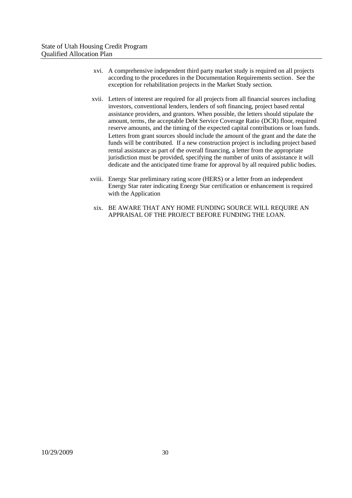- xvi. A comprehensive independent third party market study is required on all projects according to the procedures in the Documentation Requirements section. See the exception for rehabilitation projects in the Market Study section.
- xvii. Letters of interest are required for all projects from all financial sources including investors, conventional lenders, lenders of soft financing, project based rental assistance providers, and grantors. When possible, the letters should stipulate the amount, terms, the acceptable Debt Service Coverage Ratio (DCR) floor, required reserve amounts, and the timing of the expected capital contributions or loan funds. Letters from grant sources should include the amount of the grant and the date the funds will be contributed. If a new construction project is including project based rental assistance as part of the overall financing, a letter from the appropriate jurisdiction must be provided, specifying the number of units of assistance it will dedicate and the anticipated time frame for approval by all required public bodies.
- xviii. Energy Star preliminary rating score (HERS) or a letter from an independent Energy Star rater indicating Energy Star certification or enhancement is required with the Application
	- xix. BE AWARE THAT ANY HOME FUNDING SOURCE WILL REQUIRE AN APPRAISAL OF THE PROJECT BEFORE FUNDING THE LOAN.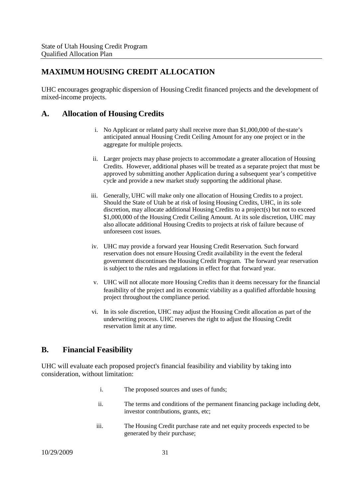#### **MAXIMUM HOUSING CREDIT ALLOCATION**

UHC encourages geographic dispersion of Housing Credit financed projects and the development of mixed-income projects.

#### **A. Allocation of Housing Credits**

- i. No Applicant or related party shall receive more than \$1,000,000 of the state's anticipated annual Housing Credit Ceiling Amount for any one project or in the aggregate for multiple projects.
- ii. Larger projects may phase projects to accommodate a greater allocation of Housing Credits. However, additional phases will be treated as a separate project that must be approved by submitting another Application during a subsequent year's competitive cycle and provide a new market study supporting the additional phase.
- iii. Generally, UHC will make only one allocation of Housing Credits to a project. Should the State of Utah be at risk of losing Housing Credits, UHC, in its sole discretion, may allocate additional Housing Credits to a project(s) but not to exceed \$1,000,000 of the Housing Credit Ceiling Amount. At its sole discretion, UHC may also allocate additional Housing Credits to projects at risk of failure because of unforeseen cost issues.
- iv. UHC may provide a forward year Housing Credit Reservation. Such forward reservation does not ensure Housing Credit availability in the event the federal government discontinues the Housing Credit Program. The forward year reservation is subject to the rules and regulations in effect for that forward year.
- v. UHC will not allocate more Housing Credits than it deems necessary for the financial feasibility of the project and its economic viability as a qualified affordable housing project throughout the compliance period.
- vi. In its sole discretion, UHC may adjust the Housing Credit allocation as part of the underwriting process. UHC reserves the right to adjust the Housing Credit reservation limit at any time.

#### **B. Financial Feasibility**

UHC will evaluate each proposed project's financial feasibility and viability by taking into consideration, without limitation:

- i. The proposed sources and uses of funds;
- ii. The terms and conditions of the permanent financing package including debt, investor contributions, grants, etc;
- iii. The Housing Credit purchase rate and net equity proceeds expected to be generated by their purchase;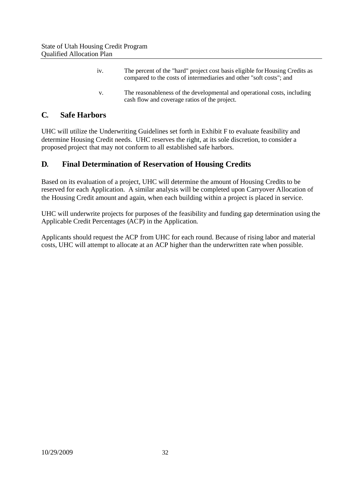| 1V. | The percent of the "hard" project cost basis eligible for Housing Credits as<br>compared to the costs of intermediaries and other "soft costs"; and |
|-----|-----------------------------------------------------------------------------------------------------------------------------------------------------|
| V.  | The reasonableness of the developmental and operational costs, including<br>cash flow and coverage ratios of the project.                           |

#### **C. Safe Harbors**

UHC will utilize the Underwriting Guidelines set forth in Exhibit F to evaluate feasibility and determine Housing Credit needs. UHC reserves the right, at its sole discretion, to consider a proposed project that may not conform to all established safe harbors.

### **D. Final Determination of Reservation of Housing Credits**

Based on its evaluation of a project, UHC will determine the amount of Housing Credits to be reserved for each Application. A similar analysis will be completed upon Carryover Allocation of the Housing Credit amount and again, when each building within a project is placed in service.

UHC will underwrite projects for purposes of the feasibility and funding gap determination using the Applicable Credit Percentages (ACP) in the Application.

Applicants should request the ACP from UHC for each round. Because of rising labor and material costs, UHC will attempt to allocate at an ACP higher than the underwritten rate when possible.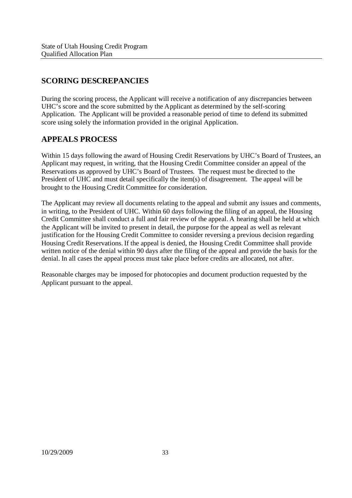# **SCORING DESCREPANCIES**

During the scoring process, the Applicant will receive a notification of any discrepancies between UHC's score and the score submitted by the Applicant as determined by the self-scoring Application. The Applicant will be provided a reasonable period of time to defend its submitted score using solely the information provided in the original Application.

## **APPEALS PROCESS**

Within 15 days following the award of Housing Credit Reservations by UHC's Board of Trustees, an Applicant may request, in writing, that the Housing Credit Committee consider an appeal of the Reservations as approved by UHC's Board of Trustees. The request must be directed to the President of UHC and must detail specifically the item(s) of disagreement. The appeal will be brought to the Housing Credit Committee for consideration.

The Applicant may review all documents relating to the appeal and submit any issues and comments, in writing, to the President of UHC. Within 60 days following the filing of an appeal, the Housing Credit Committee shall conduct a full and fair review of the appeal. A hearing shall be held at which the Applicant will be invited to present in detail, the purpose for the appeal as well as relevant justification for the Housing Credit Committee to consider reversing a previous decision regarding Housing Credit Reservations. If the appeal is denied, the Housing Credit Committee shall provide written notice of the denial within 90 days after the filing of the appeal and provide the basis for the denial. In all cases the appeal process must take place before credits are allocated, not after.

Reasonable charges may be imposed for photocopies and document production requested by the Applicant pursuant to the appeal.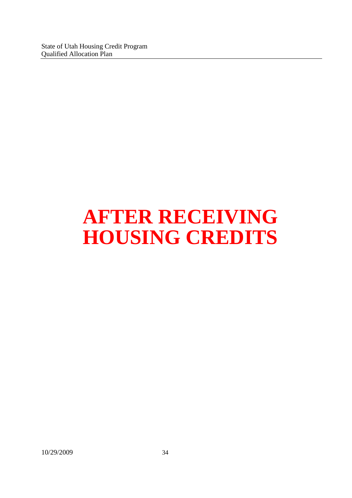# **AFTER RECEIVING HOUSING CREDITS**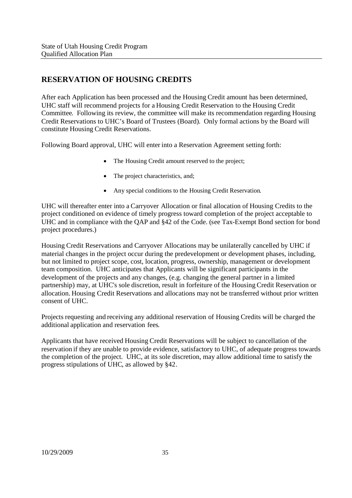## **RESERVATION OF HOUSING CREDITS**

After each Application has been processed and the Housing Credit amount has been determined, UHC staff will recommend projects for a Housing Credit Reservation to the Housing Credit Committee. Following its review, the committee will make its recommendation regarding Housing Credit Reservations to UHC's Board of Trustees (Board). Only formal actions by the Board will constitute Housing Credit Reservations.

Following Board approval, UHC will enter into a Reservation Agreement setting forth:

- The Housing Credit amount reserved to the project;
- The project characteristics, and:
- Any special conditions to the Housing Credit Reservation.

UHC will thereafter enter into a Carryover Allocation or final allocation of Housing Credits to the project conditioned on evidence of timely progress toward completion of the project acceptable to UHC and in compliance with the QAP and §42 of the Code. (see Tax-Exempt Bond section for bond project procedures.)

Housing Credit Reservations and Carryover Allocations may be unilaterally cancelled by UHC if material changes in the project occur during the predevelopment or development phases, including, but not limited to project scope, cost, location, progress, ownership, management or development team composition. UHC anticipates that Applicants will be significant participants in the development of the projects and any changes, (e.g. changing the general partner in a limited partnership) may, at UHC's sole discretion, result in forfeiture of the Housing Credit Reservation or allocation. Housing Credit Reservations and allocations may not be transferred without prior written consent of UHC.

Projects requesting and receiving any additional reservation of Housing Credits will be charged the additional application and reservation fees.

Applicants that have received Housing Credit Reservations will be subject to cancellation of the reservation if they are unable to provide evidence, satisfactory to UHC, of adequate progress towards the completion of the project. UHC, at its sole discretion, may allow additional time to satisfy the progress stipulations of UHC, as allowed by §42.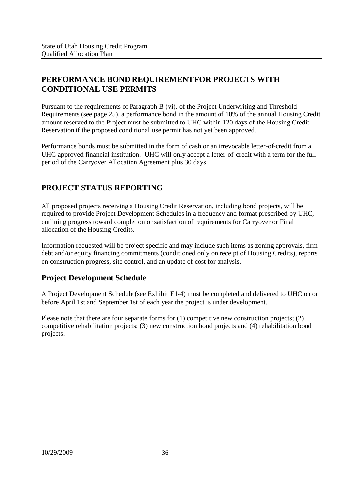# **PERFORMANCE BOND REQUIREMENTFOR PROJECTS WITH CONDITIONAL USE PERMITS**

Pursuant to the requirements of Paragraph B (vi). of the Project Underwriting and Threshold Requirements(see page 25), a performance bond in the amount of 10% of the annual Housing Credit amount reserved to the Project must be submitted to UHC within 120 days of the Housing Credit Reservation if the proposed conditional use permit has not yet been approved.

Performance bonds must be submitted in the form of cash or an irrevocable letter-of-credit from a UHC-approved financial institution. UHC will only accept a letter-of-credit with a term for the full period of the Carryover Allocation Agreement plus 30 days.

# **PROJECT STATUS REPORTING**

All proposed projects receiving a Housing Credit Reservation, including bond projects, will be required to provide Project Development Schedules in a frequency and format prescribed by UHC, outlining progress toward completion or satisfaction of requirements for Carryover or Final allocation of the Housing Credits.

Information requested will be project specific and may include such items as zoning approvals, firm debt and/or equity financing commitments (conditioned only on receipt of Housing Credits), reports on construction progress, site control, and an update of cost for analysis.

## **Project Development Schedule**

A Project Development Schedule (see Exhibit E1-4) must be completed and delivered to UHC on or before April 1st and September 1st of each year the project is under development.

Please note that there are four separate forms for (1) competitive new construction projects; (2) competitive rehabilitation projects; (3) new construction bond projects and (4) rehabilitation bond projects.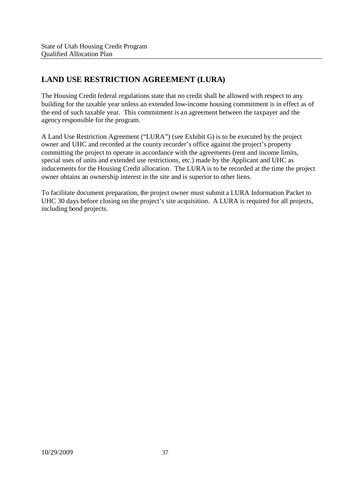# **LAND USE RESTRICTION AGREEMENT (LURA)**

The Housing Credit federal regulations state that no credit shall be allowed with respect to any building for the taxable year unless an extended low-income housing commitment is in effect as of the end of such taxable year. This commitment is an agreement between the taxpayer and the agency responsible for the program.

A Land Use Restriction Agreement ("LURA") (see Exhibit G) is to be executed by the project owner and UHC and recorded at the county recorder's office against the project's property committing the project to operate in accordance with the agreements (rent and income limits, special uses of units and extended use restrictions, etc.) made by the Applicant and UHC as inducements for the Housing Credit allocation. The LURA is to be recorded at the time the project owner obtains an ownership interest in the site and is superior to other liens.

To facilitate document preparation, the project owner must submit a LURA Information Packet to UHC 30 days before closing on the project's site acquisition. A LURA is required for all projects, including bond projects.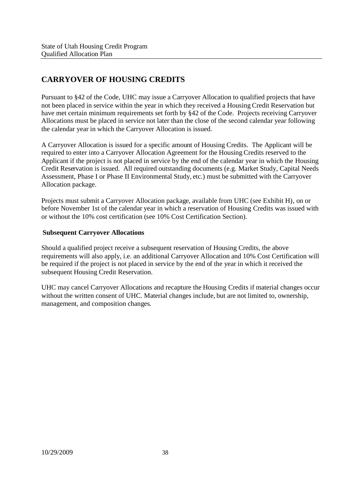# **CARRYOVER OF HOUSING CREDITS**

Pursuant to §42 of the Code, UHC may issue a Carryover Allocation to qualified projects that have not been placed in service within the year in which they received a Housing Credit Reservation but have met certain minimum requirements set forth by §42 of the Code. Projects receiving Carryover Allocations must be placed in service not later than the close of the second calendar year following the calendar year in which the Carryover Allocation is issued.

A Carryover Allocation is issued for a specific amount of Housing Credits. The Applicant will be required to enter into a Carryover Allocation Agreement for the Housing Credits reserved to the Applicant if the project is not placed in service by the end of the calendar year in which the Housing Credit Reservation is issued. All required outstanding documents (e.g. Market Study, Capital Needs Assessment, Phase I or Phase II Environmental Study, etc.) must be submitted with the Carryover Allocation package.

Projects must submit a Carryover Allocation package, available from UHC (see Exhibit H), on or before November 1st of the calendar year in which a reservation of Housing Credits was issued with or without the 10% cost certification (see 10% Cost Certification Section).

#### **Subsequent Carryover Allocations**

Should a qualified project receive a subsequent reservation of Housing Credits, the above requirements will also apply, i.e. an additional Carryover Allocation and 10% Cost Certification will be required if the project is not placed in service by the end of the year in which it received the subsequent Housing Credit Reservation.

UHC may cancel Carryover Allocations and recapture the Housing Credits if material changes occur without the written consent of UHC. Material changes include, but are not limited to, ownership, management, and composition changes.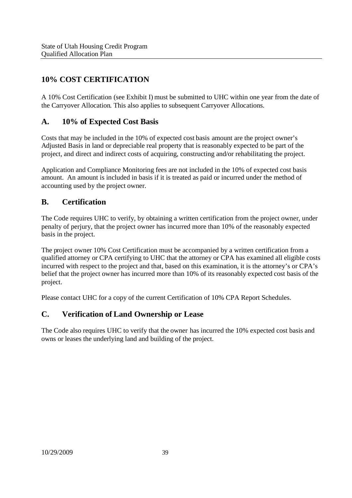# **10% COST CERTIFICATION**

A 10% Cost Certification (see Exhibit I) must be submitted to UHC within one year from the date of the Carryover Allocation. This also applies to subsequent Carryover Allocations.

## **A. 10% of Expected Cost Basis**

Costs that may be included in the 10% of expected cost basis amount are the project owner's Adjusted Basis in land or depreciable real property that is reasonably expected to be part of the project, and direct and indirect costs of acquiring, constructing and/or rehabilitating the project.

Application and Compliance Monitoring fees are not included in the 10% of expected cost basis amount. An amount is included in basis if it is treated as paid or incurred under the method of accounting used by the project owner.

### **B. Certification**

The Code requires UHC to verify, by obtaining a written certification from the project owner, under penalty of perjury, that the project owner has incurred more than 10% of the reasonably expected basis in the project.

The project owner 10% Cost Certification must be accompanied by a written certification from a qualified attorney or CPA certifying to UHC that the attorney or CPA has examined all eligible costs incurred with respect to the project and that, based on this examination, it is the attorney's or CPA's belief that the project owner has incurred more than 10% of its reasonably expected cost basis of the project.

Please contact UHC for a copy of the current Certification of 10% CPA Report Schedules.

## **C. Verification of Land Ownership or Lease**

The Code also requires UHC to verify that the owner has incurred the 10% expected cost basis and owns or leases the underlying land and building of the project.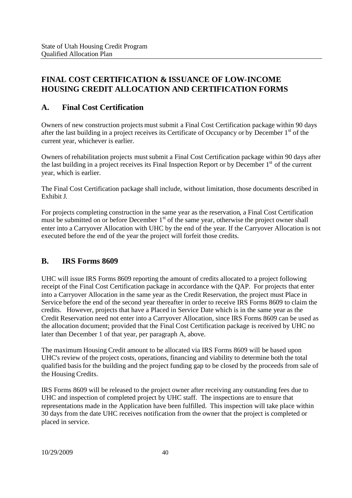# **FINAL COST CERTIFICATION & ISSUANCE OF LOW-INCOME HOUSING CREDIT ALLOCATION AND CERTIFICATION FORMS**

## **A. Final Cost Certification**

Owners of new construction projects must submit a Final Cost Certification package within 90 days after the last building in a project receives its Certificate of Occupancy or by December 1<sup>st</sup> of the current year, whichever is earlier.

Owners of rehabilitation projects must submit a Final Cost Certification package within 90 days after the last building in a project receives its Final Inspection Report or by December 1<sup>st</sup> of the current year, which is earlier.

The Final Cost Certification package shall include, without limitation, those documents described in Exhibit J.

For projects completing construction in the same year as the reservation, a Final Cost Certification must be submitted on or before December 1<sup>st</sup> of the same year, otherwise the project owner shall enter into a Carryover Allocation with UHC by the end of the year. If the Carryover Allocation is not executed before the end of the year the project will forfeit those credits.

## **B. IRS Forms 8609**

UHC will issue IRS Forms 8609 reporting the amount of credits allocated to a project following receipt of the Final Cost Certification package in accordance with the QAP. For projects that enter into a Carryover Allocation in the same year as the Credit Reservation, the project must Place in Service before the end of the second year thereafter in order to receive IRS Forms 8609 to claim the credits. However, projects that have a Placed in Service Date which is in the same year as the Credit Reservation need not enter into a Carryover Allocation, since IRS Forms 8609 can be used as the allocation document; provided that the Final Cost Certification package is received by UHC no later than December 1 of that year, per paragraph A, above.

The maximum Housing Credit amount to be allocated via IRS Forms 8609 will be based upon UHC's review of the project costs, operations, financing and viability to determine both the total qualified basisfor the building and the project funding gap to be closed by the proceeds from sale of the Housing Credits.

IRS Forms 8609 will be released to the project owner after receiving any outstanding fees due to UHC and inspection of completed project by UHC staff. The inspections are to ensure that representations made in the Application have been fulfilled. This inspection will take place within 30 days from the date UHC receives notification from the owner that the project is completed or placed in service.

10/29/2009 40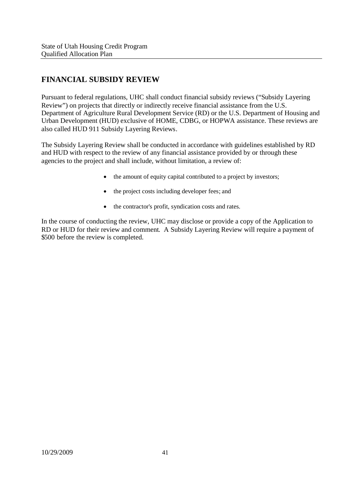# **FINANCIAL SUBSIDY REVIEW**

Pursuant to federal regulations, UHC shall conduct financial subsidy reviews ("Subsidy Layering Review") on projects that directly or indirectly receive financial assistance from the U.S. Department of Agriculture Rural Development Service (RD) or the U.S. Department of Housing and Urban Development (HUD) exclusive of HOME, CDBG, or HOPWA assistance. These reviews are also called HUD 911 Subsidy Layering Reviews.

The Subsidy Layering Review shall be conducted in accordance with guidelines established by RD and HUD with respect to the review of any financial assistance provided by or through these agencies to the project and shall include, without limitation, a review of:

- the amount of equity capital contributed to a project by investors;
- the project costs including developer fees; and
- the contractor's profit, syndication costs and rates.

In the course of conducting the review, UHC may disclose or provide a copy of the Application to RD or HUD for their review and comment. A Subsidy Layering Review will require a payment of \$500 before the review is completed.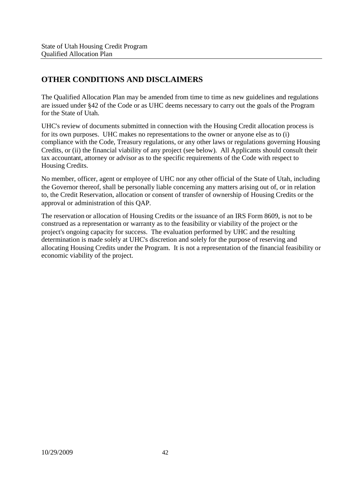# **OTHER CONDITIONS AND DISCLAIMERS**

The Qualified Allocation Plan may be amended from time to time as new guidelines and regulations are issued under §42 of the Code or as UHC deems necessary to carry out the goals of the Program for the State of Utah.

UHC's review of documents submitted in connection with the Housing Credit allocation process is for its own purposes. UHC makes no representations to the owner or anyone else as to (i) compliance with the Code, Treasury regulations, or any other laws or regulations governing Housing Credits, or (ii) the financial viability of any project (see below). All Applicants should consult their tax accountant, attorney or advisor as to the specific requirements of the Code with respect to Housing Credits.

No member, officer, agent or employee of UHC nor any other official of the State of Utah, including the Governor thereof, shall be personally liable concerning any matters arising out of, or in relation to, the Credit Reservation, allocation or consent of transfer of ownership of Housing Credits or the approval or administration of this QAP.

The reservation or allocation of Housing Credits or the issuance of an IRS Form 8609, is not to be construed as a representation or warranty as to the feasibility or viability of the project or the project's ongoing capacity for success. The evaluation performed by UHC and the resulting determination is made solely at UHC's discretion and solely for the purpose of reserving and allocating Housing Credits under the Program. It is not a representation of the financial feasibility or economic viability of the project.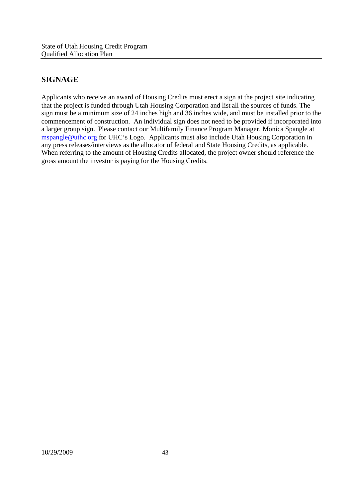# **SIGNAGE**

Applicants who receive an award of Housing Credits must erect a sign at the project site indicating that the project is funded through Utah Housing Corporation and list all the sources of funds. The sign must be a minimum size of 24 inches high and 36 inches wide, and must be installed prior to the commencement of construction. An individual sign does not need to be provided if incorporated into a larger group sign. Please contact our Multifamily Finance Program Manager, Monica Spangle at mspangle@uthc.org for UHC's Logo. Applicants must also include Utah Housing Corporation in any press releases/interviews as the allocator of federal and State Housing Credits, as applicable. When referring to the amount of Housing Credits allocated, the project owner should reference the gross amount the investor is paying for the Housing Credits.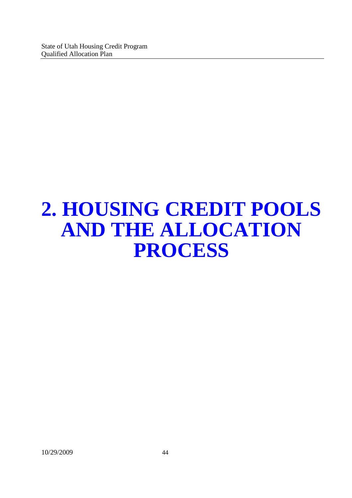# **2. HOUSING CREDIT POOLS AND THE ALLOCATION PROCESS**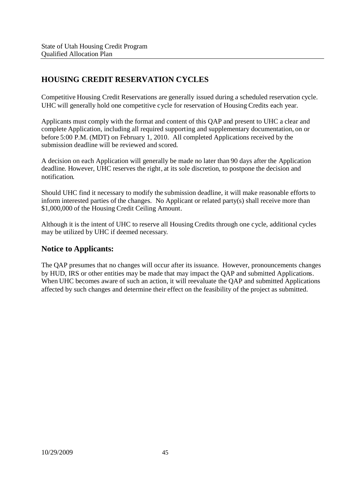# **HOUSING CREDIT RESERVATION CYCLES**

Competitive Housing Credit Reservations are generally issued during a scheduled reservation cycle. UHC will generally hold one competitive cycle for reservation of Housing Credits each year.

Applicants must comply with the format and content of this QAP and present to UHC a clear and complete Application, including all required supporting and supplementary documentation, on or before 5:00 P.M. (MDT) on February 1, 2010. All completed Applications received by the submission deadline will be reviewed and scored.

A decision on each Application will generally be made no later than 90 days after the Application deadline. However, UHC reserves the right, at its sole discretion, to postpone the decision and notification.

Should UHC find it necessary to modify the submission deadline, it will make reasonable efforts to inform interested parties of the changes. No Applicant or related party(s) shall receive more than \$1,000,000 of the Housing Credit Ceiling Amount.

Although it is the intent of UHC to reserve all Housing Credits through one cycle, additional cycles may be utilized by UHC if deemed necessary.

#### **Notice to Applicants:**

The QAP presumes that no changes will occur after its issuance. However, pronouncements changes by HUD, IRS or other entities may be made that may impact the QAP and submitted Applications. When UHC becomes aware of such an action, it will reevaluate the QAP and submitted Applications affected by such changes and determine their effect on the feasibility of the project as submitted.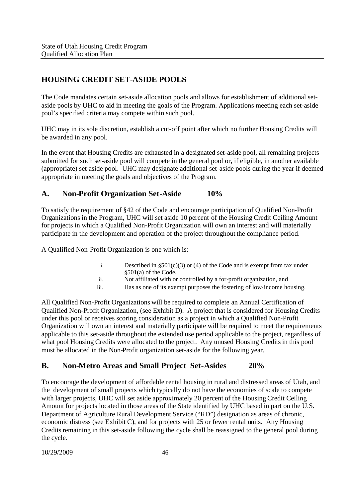# **HOUSING CREDIT SET-ASIDE POOLS**

The Code mandates certain set-aside allocation pools and allows for establishment of additional setaside pools by UHC to aid in meeting the goals of the Program. Applications meeting each set-aside pool's specified criteria may compete within such pool.

UHC may in its sole discretion, establish a cut-off point after which no further Housing Credits will be awarded in any pool.

In the event that Housing Credits are exhausted in a designated set-aside pool, all remaining projects submitted for such set-aside pool will compete in the general pool or, if eligible, in another available (appropriate) set-aside pool. UHC may designate additional set-aside pools during the year if deemed appropriate in meeting the goals and objectives of the Program.

### **A. Non-Profit Organization Set-Aside 10%**

To satisfy the requirement of §42 of the Code and encourage participation of Qualified Non-Profit Organizations in the Program, UHC will set aside 10 percent of the Housing Credit Ceiling Amount for projects in which a Qualified Non-Profit Organization will own an interest and will materially participate in the development and operation of the project throughout the compliance period.

A Qualified Non-Profit Organization is one which is:

- i. Described in  $\S501(c)(3)$  or (4) of the Code and is exempt from tax under §501(a) of the Code,
- ii. Not affiliated with or controlled by a for-profit organization, and
- iii. Has as one of its exempt purposes the fostering of low-income housing.

All Qualified Non-Profit Organizations will be required to complete an Annual Certification of Qualified Non-Profit Organization, (see Exhibit D). A project that is considered for Housing Credits under this pool or receives scoring consideration as a project in which a Qualified Non-Profit Organization will own an interest and materially participate will be required to meet the requirements applicable to this set-aside throughout the extended use period applicable to the project, regardless of what pool Housing Credits were allocated to the project. Any unused Housing Credits in this pool must be allocated in the Non-Profit organization set-aside for the following year.

#### **B. Non-Metro Areas and Small Project Set-Asides 20%**

To encourage the development of affordable rental housing in rural and distressed areas of Utah, and the development of small projects which typically do not have the economies of scale to compete with larger projects, UHC will set aside approximately 20 percent of the Housing Credit Ceiling Amount for projects located in those areas of the State identified by UHC based in part on the U.S. Department of Agriculture Rural Development Service ("RD") designation as areas of chronic, economic distress (see Exhibit C), and for projects with 25 or fewer rental units. Any Housing Credits remaining in this set-aside following the cycle shall be reassigned to the general pool during the cycle.

10/29/2009 46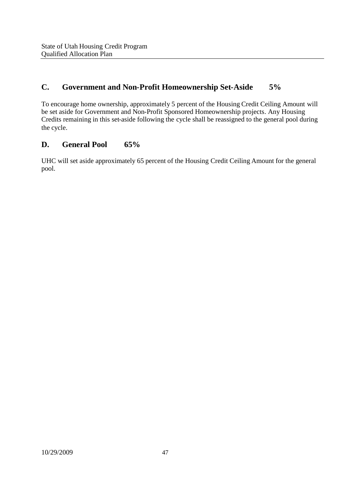## **C. Government and Non-Profit Homeownership Set-Aside 5%**

To encourage home ownership, approximately 5 percent of the Housing Credit Ceiling Amount will be set aside for Government and Non-Profit Sponsored Homeownership projects. Any Housing Credits remaining in this set-aside following the cycle shall be reassigned to the general pool during the cycle.

## **D. General Pool 65%**

UHC will set aside approximately 65 percent of the Housing Credit Ceiling Amount for the general pool.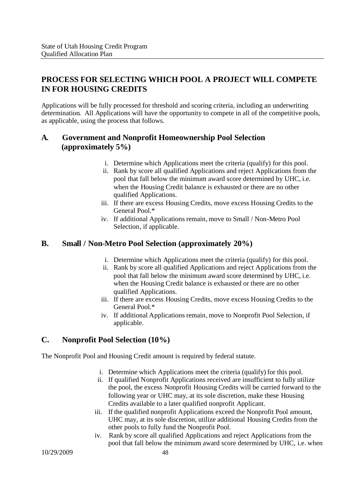# **PROCESS FOR SELECTING WHICH POOL A PROJECT WILL COMPETE IN FOR HOUSING CREDITS**

Applications will be fully processed for threshold and scoring criteria, including an underwriting determination. All Applications will have the opportunity to compete in all of the competitive pools, as applicable, using the process that follows.

### **A. Government and Nonprofit Homeownership Pool Selection (approximately 5%)**

- i. Determine which Applications meet the criteria (qualify) for this pool.
- ii. Rank by score all qualified Applications and reject Applications from the pool that fall below the minimum award score determined by UHC, i.e. when the Housing Credit balance is exhausted or there are no other qualified Applications.
- iii. If there are excess Housing Credits, move excess Housing Credits to the General Pool.\*
- iv. If additional Applications remain, move to Small / Non-Metro Pool Selection, if applicable.

### **B. Small / Non-Metro Pool Selection (approximately 20%)**

- i. Determine which Applications meet the criteria (qualify) for this pool.
- ii. Rank by score all qualified Applications and reject Applications from the pool that fall below the minimum award score determined by UHC, i.e. when the Housing Credit balance is exhausted or there are no other qualified Applications.
- iii. If there are excess Housing Credits, move excess Housing Credits to the General Pool.\*
- iv. If additional Applications remain, move to Nonprofit Pool Selection, if applicable.

## **C. Nonprofit Pool Selection (10%)**

The Nonprofit Pool and Housing Credit amount is required by federal statute.

- i. Determine which Applications meet the criteria (qualify) for this pool.
- ii. If qualified Nonprofit Applications received are insufficient to fully utilize the pool, the excess Nonprofit Housing Credits will be carried forward to the following year or UHC may, at its sole discretion, make these Housing Credits available to a later qualified nonprofit Applicant.
- iii. If the qualified nonprofit Applications exceed the Nonprofit Pool amount, UHC may, at its sole discretion, utilize additional Housing Credits from the other pools to fully fund the Nonprofit Pool.
- iv. Rank by score all qualified Applications and reject Applications from the pool that fall below the minimum award score determined by UHC, i.e. when

10/29/2009 48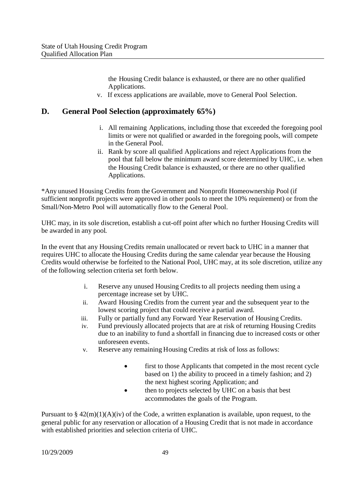the Housing Credit balance is exhausted, or there are no other qualified Applications.

v. If excess applications are available, move to General Pool Selection.

#### **D. General Pool Selection (approximately 65%)**

- i. All remaining Applications, including those that exceeded the foregoing pool limits or were not qualified or awarded in the foregoing pools, will compete in the General Pool.
- ii. Rank by score all qualified Applications and reject Applications from the pool that fall below the minimum award score determined by UHC, i.e. when the Housing Credit balance is exhausted, or there are no other qualified Applications.

\*Any unused Housing Credits from the Government and Nonprofit Homeownership Pool (if sufficient nonprofit projects were approved in other pools to meet the 10% requirement) or from the Small/Non-Metro Pool will automatically flow to the General Pool.

UHC may, in its sole discretion, establish a cut-off point after which no further Housing Credits will be awarded in any pool.

In the event that any Housing Credits remain unallocated or revert back to UHC in a manner that requires UHC to allocate the Housing Credits during the same calendar year because the Housing Credits would otherwise be forfeited to the National Pool, UHC may, at its sole discretion, utilize any of the following selection criteria set forth below.

- i. Reserve any unused Housing Credits to all projects needing them using a percentage increase set by UHC.
- ii. Award Housing Credits from the current year and the subsequent year to the lowest scoring project that could receive a partial award.
- iii. Fully or partially fund any Forward Year Reservation of Housing Credits.
- iv. Fund previously allocated projects that are at risk of returning Housing Credits due to an inability to fund a shortfall in financing due to increased costs or other unforeseen events.
- v. Reserve any remaining Housing Credits at risk of loss as follows:
	- first to those Applicants that competed in the most recent cycle based on 1) the ability to proceed in a timely fashion; and 2) the next highest scoring Application; and
	- then to projects selected by UHC on a basis that best accommodates the goals of the Program.

Pursuant to  $\S 42(m)(1)(A)(iv)$  of the Code, a written explanation is available, upon request, to the general public for any reservation or allocation of a Housing Credit that is not made in accordance with established priorities and selection criteria of UHC.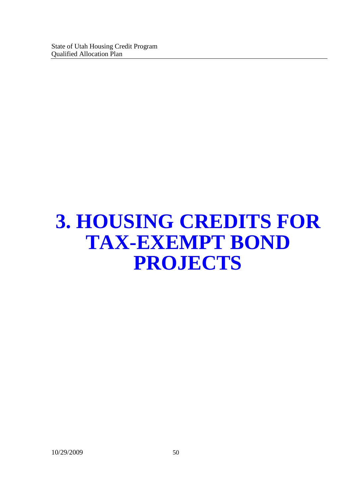# **3. HOUSING CREDITS FOR TAX-EXEMPT BOND PROJECTS**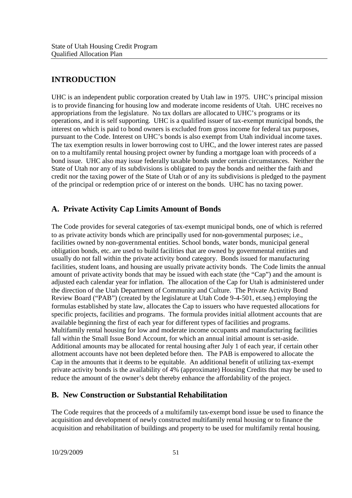## **INTRODUCTION**

UHC is an independent public corporation created by Utah law in 1975. UHC's principal mission is to provide financing for housing low and moderate income residents of Utah. UHC receives no appropriations from the legislature. No tax dollars are allocated to UHC's programs or its operations, and it is self supporting. UHC is a qualified issuer of tax-exempt municipal bonds, the interest on which is paid to bond owners is excluded from gross income for federal tax purposes, pursuant to the Code. Interest on UHC's bonds is also exempt from Utah individual income taxes. The tax exemption results in lower borrowing cost to UHC, and the lower interest rates are passed on to a multifamily rental housing project owner by funding a mortgage loan with proceeds of a bond issue. UHC also may issue federally taxable bonds under certain circumstances. Neither the State of Utah nor any of its subdivisions is obligated to pay the bonds and neither the faith and credit nor the taxing power of the State of Utah or of any its subdivisions is pledged to the payment of the principal or redemption price of or interest on the bonds. UHC has no taxing power.

### **A. Private Activity Cap Limits Amount of Bonds**

The Code provides for several categories of tax-exempt municipal bonds, one of which is referred to as private activity bonds which are principally used for non-governmental purposes; i.e., facilities owned by non-governmental entities. School bonds, water bonds, municipal general obligation bonds, etc. are used to build facilities that are owned by governmental entities and usually do not fall within the private activity bond category. Bonds issued for manufacturing facilities, student loans, and housing are usually private activity bonds. The Code limits the annual amount of private activity bonds that may be issued with each state (the "Cap") and the amount is adjusted each calendar year for inflation. The allocation of the Cap for Utah is administered under the direction of the Utah Department of Community and Culture. The Private Activity Bond Review Board ("PAB") (created by the legislature at Utah Code 9-4-501, et.seq.) employing the formulas established by state law, allocates the Cap to issuers who have requested allocations for specific projects, facilities and programs. The formula provides initial allotment accounts that are available beginning the first of each year for different types of facilities and programs. Multifamily rental housing for low and moderate income occupants and manufacturing facilities fall within the Small Issue Bond Account, for which an annual initial amount is set-aside. Additional amounts may be allocated for rental housing after July 1 of each year, if certain other allotment accounts have not been depleted before then. The PAB is empowered to allocate the Cap in the amounts that it deems to be equitable. An additional benefit of utilizing tax-exempt private activity bonds is the availability of 4% (approximate) Housing Credits that may be used to reduce the amount of the owner's debt thereby enhance the affordability of the project.

#### **B. New Construction or Substantial Rehabilitation**

The Code requires that the proceeds of a multifamily tax-exempt bond issue be used to finance the acquisition and development of newly constructed multifamily rental housing or to finance the acquisition and rehabilitation of buildings and property to be used for multifamily rental housing.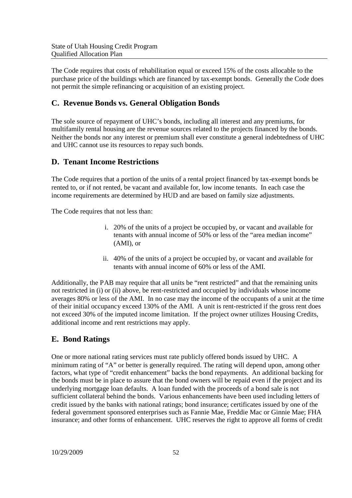The Code requires that costs of rehabilitation equal or exceed 15% of the costs allocable to the purchase price of the buildings which are financed by tax-exempt bonds. Generally the Code does not permit the simple refinancing or acquisition of an existing project.

### **C. Revenue Bonds vs. General Obligation Bonds**

The sole source of repayment of UHC's bonds, including all interest and any premiums, for multifamily rental housing are the revenue sources related to the projects financed by the bonds. Neither the bonds nor any interest or premium shall ever constitute a general indebtedness of UHC and UHC cannot use its resources to repay such bonds.

### **D. Tenant Income Restrictions**

The Code requires that a portion of the units of a rental project financed by tax-exempt bonds be rented to, or if not rented, be vacant and available for, low income tenants. In each case the income requirements are determined by HUD and are based on family size adjustments.

The Code requires that not less than:

- i. 20% of the units of a project be occupied by, or vacant and available for tenants with annual income of 50% or less of the "area median income" (AMI), or
- ii. 40% of the units of a project be occupied by, or vacant and available for tenants with annual income of 60% or less of the AMI.

Additionally, the PAB may require that all units be "rent restricted" and that the remaining units not restricted in (i) or (ii) above, be rent-restricted and occupied by individuals whose income averages 80% or less of the AMI. In no case may the income of the occupants of a unit at the time of their initial occupancy exceed 130% of the AMI. A unit is rent-restricted if the gross rent does not exceed 30% of the imputed income limitation. If the project owner utilizes Housing Credits, additional income and rent restrictions may apply.

#### **E. Bond Ratings**

One or more national rating services must rate publicly offered bonds issued by UHC. A minimum rating of "A" or better is generally required. The rating will depend upon, among other factors, what type of "credit enhancement" backs the bond repayments. An additional backing for the bonds must be in place to assure that the bond owners will be repaid even if the project and its underlying mortgage loan defaults. A loan funded with the proceeds of a bond sale is not sufficient collateral behind the bonds. Various enhancements have been used including letters of credit issued by the banks with national ratings; bond insurance; certificates issued by one of the federal government sponsored enterprises such as Fannie Mae, Freddie Mac or Ginnie Mae; FHA insurance; and other forms of enhancement. UHC reserves the right to approve all forms of credit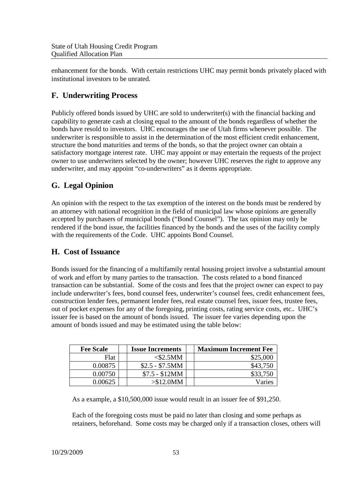enhancement for the bonds. With certain restrictions UHC may permit bonds privately placed with institutional investors to be unrated.

# **F. Underwriting Process**

Publicly offered bonds issued by UHC are sold to underwriter(s) with the financial backing and capability to generate cash at closing equal to the amount of the bonds regardless of whether the bonds have resold to investors. UHC encourages the use of Utah firms whenever possible. The underwriter is responsible to assist in the determination of the most efficient credit enhancement, structure the bond maturities and terms of the bonds, so that the project owner can obtain a satisfactory mortgage interest rate. UHC may appoint or may entertain the requests of the project owner to use underwriters selected by the owner; however UHC reserves the right to approve any underwriter, and may appoint "co-underwriters" as it deems appropriate.

# **G. Legal Opinion**

An opinion with the respect to the tax exemption of the interest on the bonds must be rendered by an attorney with national recognition in the field of municipal law whose opinions are generally accepted by purchasers of municipal bonds ("Bond Counsel"). The tax opinion may only be rendered if the bond issue, the facilities financed by the bonds and the uses of the facility comply with the requirements of the Code. UHC appoints Bond Counsel.

## **H. Cost of Issuance**

Bonds issued for the financing of a multifamily rental housing project involve a substantial amount of work and effort by many parties to the transaction. The costs related to a bond financed transaction can be substantial. Some of the costs and fees that the project owner can expect to pay include underwriter's fees, bond counsel fees, underwriter's counsel fees, credit enhancement fees, construction lender fees, permanent lender fees, real estate counsel fees, issuer fees, trustee fees, out of pocket expenses for any of the foregoing, printing costs, rating service costs, etc.. UHC's issuer fee is based on the amount of bonds issued. The issuer fee varies depending upon the amount of bonds issued and may be estimated using the table below:

| <b>Fee Scale</b> | <b>Issue Increments</b> | <b>Maximum Increment Fee</b> |
|------------------|-------------------------|------------------------------|
| Flat             | <\$2.5MM                | \$25,000                     |
| 0.00875          | $$2.5 - $7.5MM$         | \$43,750                     |
| 0.00750          | $$7.5 - $12MM$          | \$33,750                     |
| 0.00625          | $> $12.0$ MM            | Varies                       |

As a example, a \$10,500,000 issue would result in an issuer fee of \$91,250.

Each of the foregoing costs must be paid no later than closing and some perhaps as retainers, beforehand. Some costs may be charged only if a transaction closes, others will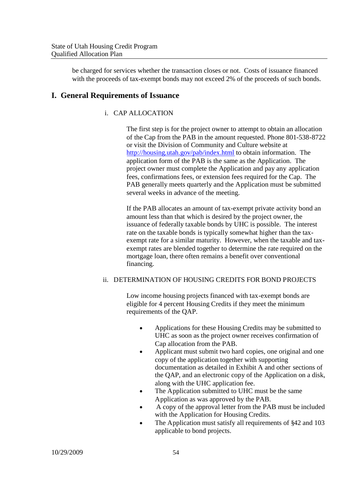be charged for services whether the transaction closes or not. Costs of issuance financed with the proceeds of tax-exempt bonds may not exceed 2% of the proceeds of such bonds.

#### **I. General Requirements of Issuance**

#### i. CAP ALLOCATION

The first step is for the project owner to attempt to obtain an allocation of the Cap from the PAB in the amount requested. Phone 801-538-8722 or visit the Division of Community and Culture website at http://housing.utah.gov/pab/index.html to obtain information. The application form of the PAB is the same as the Application. The project owner must complete the Application and pay any application fees, confirmations fees, or extension fees required for the Cap. The PAB generally meets quarterly and the Application must be submitted several weeks in advance of the meeting.

If the PAB allocates an amount of tax-exempt private activity bond an amount less than that which is desired by the project owner, the issuance of federally taxable bonds by UHC is possible. The interest rate on the taxable bonds is typically somewhat higher than the taxexempt rate for a similar maturity. However, when the taxable and taxexempt rates are blended together to determine the rate required on the mortgage loan, there often remains a benefit over conventional financing.

#### ii. DETERMINATION OF HOUSING CREDITS FOR BOND PROJECTS

Low income housing projects financed with tax-exempt bonds are eligible for 4 percent Housing Credits if they meet the minimum requirements of the QAP.

- Applications for these Housing Credits may be submitted to UHC as soon as the project owner receives confirmation of Cap allocation from the PAB.
- Applicant must submit two hard copies, one original and one copy of the application together with supporting documentation as detailed in Exhibit A and other sections of the QAP, and an electronic copy of the Application on a disk, along with the UHC application fee.
- The Application submitted to UHC must be the same Application as was approved by the PAB.
- A copy of the approval letter from the PAB must be included with the Application for Housing Credits.
- The Application must satisfy all requirements of §42 and 103 applicable to bond projects.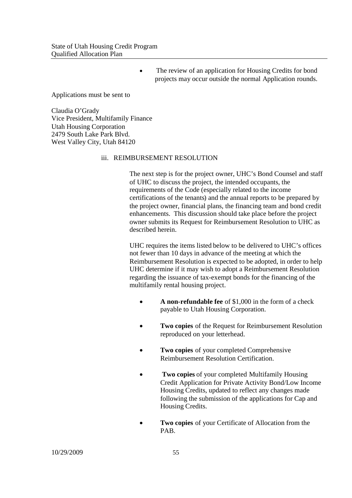• The review of an application for Housing Credits for bond projects may occur outside the normal Application rounds.

Applications must be sent to

Claudia O'Grady Vice President, Multifamily Finance Utah Housing Corporation 2479 South Lake Park Blvd. West Valley City, Utah 84120

#### iii. REIMBURSEMENT RESOLUTION

The next step is for the project owner, UHC's Bond Counsel and staff of UHC to discuss the project, the intended occupants, the requirements of the Code (especially related to the income certifications of the tenants) and the annual reports to be prepared by the project owner, financial plans, the financing team and bond credit enhancements. This discussion should take place before the project owner submits its Request for Reimbursement Resolution to UHC as described herein.

UHC requires the items listed below to be delivered to UHC's offices not fewer than 10 days in advance of the meeting at which the Reimbursement Resolution is expected to be adopted, in order to help UHC determine if it may wish to adopt a Reimbursement Resolution regarding the issuance of tax-exempt bonds for the financing of the multifamily rental housing project.

- **A non-refundable fee** of \$1,000 in the form of a check payable to Utah Housing Corporation.
- **Two copies** of the Request for Reimbursement Resolution reproduced on your letterhead.
- **Two copies** of your completed Comprehensive Reimbursement Resolution Certification.
- **Two copies** of your completed Multifamily Housing Credit Application for Private Activity Bond/Low Income Housing Credits, updated to reflect any changes made following the submission of the applications for Cap and Housing Credits.
- **Two copies** of your Certificate of Allocation from the PAB.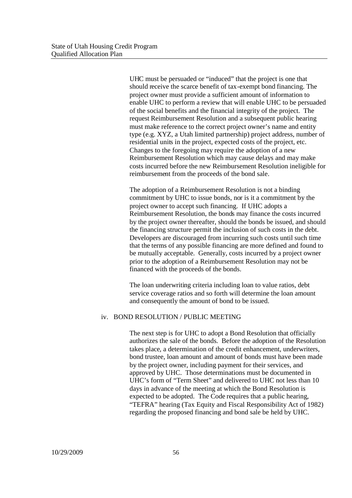UHC must be persuaded or "induced" that the project is one that should receive the scarce benefit of tax-exempt bond financing. The project owner must provide a sufficient amount of information to enable UHC to perform a review that will enable UHC to be persuaded of the social benefits and the financial integrity of the project. The request Reimbursement Resolution and a subsequent public hearing must make reference to the correct project owner's name and entity type (e.g. XYZ, a Utah limited partnership) project address, number of residential units in the project, expected costs of the project, etc. Changes to the foregoing may require the adoption of a new Reimbursement Resolution which may cause delays and may make costs incurred before the new Reimbursement Resolution ineligible for reimbursement from the proceeds of the bond sale.

The adoption of a Reimbursement Resolution is not a binding commitment by UHC to issue bonds, nor is it a commitment by the project owner to accept such financing. If UHC adopts a Reimbursement Resolution, the bonds may finance the costs incurred by the project owner thereafter, should the bonds be issued, and should the financing structure permit the inclusion of such costs in the debt. Developers are discouraged from incurring such costs until such time that the terms of any possible financing are more defined and found to be mutually acceptable. Generally, costs incurred by a project owner prior to the adoption of a Reimbursement Resolution may not be financed with the proceeds of the bonds.

The loan underwriting criteria including loan to value ratios, debt service coverage ratios and so forth will determine the loan amount and consequently the amount of bond to be issued.

#### iv. BOND RESOLUTION / PUBLIC MEETING

The next step is for UHC to adopt a Bond Resolution that officially authorizes the sale of the bonds. Before the adoption of the Resolution takes place, a determination of the credit enhancement, underwriters, bond trustee, loan amount and amount of bonds must have been made by the project owner, including payment for their services, and approved by UHC. Those determinations must be documented in UHC's form of "Term Sheet" and delivered to UHC not less than 10 days in advance of the meeting at which the Bond Resolution is expected to be adopted. The Code requires that a public hearing, "TEFRA" hearing (Tax Equity and Fiscal Responsibility Act of 1982) regarding the proposed financing and bond sale be held by UHC.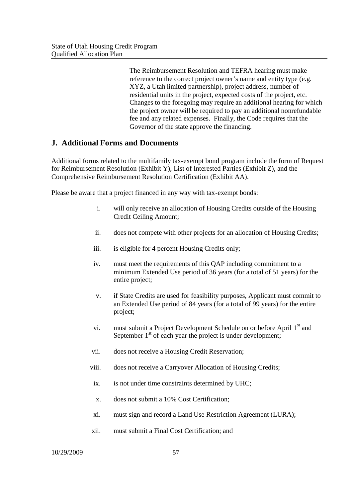The Reimbursement Resolution and TEFRA hearing must make reference to the correct project owner's name and entity type (e.g. XYZ, a Utah limited partnership), project address, number of residential units in the project, expected costs of the project, etc. Changes to the foregoing may require an additional hearing for which the project owner will be required to pay an additional nonrefundable fee and any related expenses. Finally, the Code requires that the Governor of the state approve the financing.

#### **J. Additional Forms and Documents**

Additional forms related to the multifamily tax-exempt bond program include the form of Request for Reimbursement Resolution (Exhibit Y), List of Interested Parties (Exhibit Z), and the Comprehensive Reimbursement Resolution Certification (Exhibit AA).

Please be aware that a project financed in any way with tax-exempt bonds:

- i. will only receive an allocation of Housing Credits outside of the Housing Credit Ceiling Amount;
- ii. does not compete with other projects for an allocation of Housing Credits;
- iii. is eligible for 4 percent Housing Credits only;
- iv. must meet the requirements of this QAP including commitment to a minimum Extended Use period of 36 years (for a total of 51 years) for the entire project;
- v. if State Credits are used for feasibility purposes, Applicant must commit to an Extended Use period of 84 years (for a total of 99 years) for the entire project;
- vi. must submit a Project Development Schedule on or before April  $1<sup>st</sup>$  and September  $1<sup>st</sup>$  of each year the project is under development;
- vii. does not receive a Housing Credit Reservation;
- viii. does not receive a Carryover Allocation of Housing Credits;
- ix. is not under time constraints determined by UHC;
- x. does not submit a 10% Cost Certification;
- xi. must sign and record a Land Use Restriction Agreement (LURA);
- xii. must submit a Final Cost Certification; and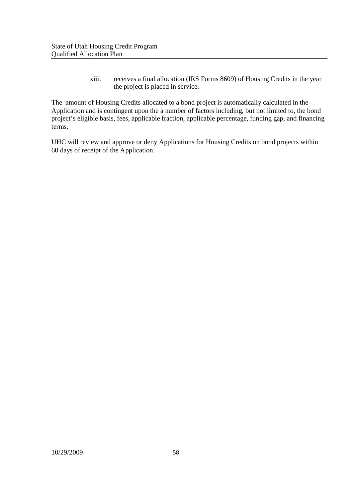xiii. receives a final allocation (IRS Forms 8609) of Housing Credits in the year the project is placed in service.

The amount of Housing Credits allocated to a bond project is automatically calculated in the Application and is contingent upon the a number of factors including, but not limited to, the bond project's eligible basis, fees, applicable fraction, applicable percentage, funding gap, and financing terms.

UHC will review and approve or deny Applications for Housing Credits on bond projects within 60 days of receipt of the Application.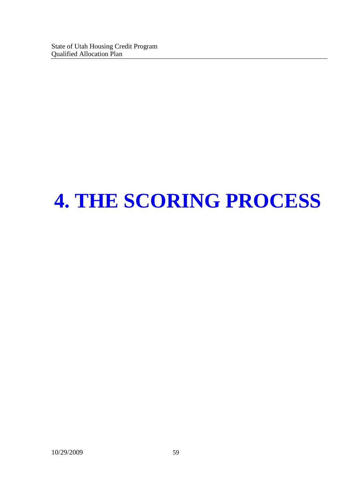# **4. THE SCORING PROCESS**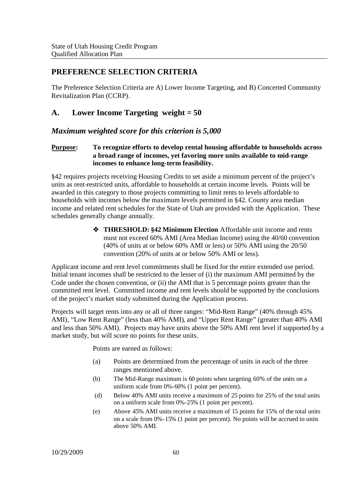### **PREFERENCE SELECTION CRITERIA**

The Preference Selection Criteria are A) Lower Income Targeting, and B) Concerted Community Revitalization Plan (CCRP).

### **A. Lower Income Targeting weight = 50**

#### *Maximum weighted score for this criterion is 5,000*

#### **Purpose: To recognize efforts to develop rental housing affordable to households across a broad range of incomes, yet favoring more units available to mid-range incomes to enhance long-term feasibility.**

§42 requires projects receiving Housing Credits to set aside a minimum percent of the project's units as rent-restricted units, affordable to households at certain income levels. Points will be awarded in this category to those projects committing to limit rents to levels affordable to households with incomes below the maximum levels permitted in §42. County area median income and related rent schedules for the State of Utah are provided with the Application. These schedules generally change annually.

> **THRESHOLD: §42 Minimum Election** Affordable unit income and rents must not exceed 60% AMI (Area Median Income) using the 40/60 convention (40% of units at or below 60% AMI or less) or 50% AMI using the 20/50 convention (20% of units at or below 50% AMI or less).

Applicant income and rent level commitments shall be fixed for the entire extended use period. Initial tenant incomes shall be restricted to the lesser of (i) the maximum AMI permitted by the Code under the chosen convention, or (ii) the AMI that is 5 percentage points greater than the committed rent level. Committed income and rent levels should be supported by the conclusions of the project's market study submitted during the Application process.

Projects will target rents into any or all of three ranges: "Mid-Rent Range" (40% through 45% AMI), "Low Rent Range" (less than 40% AMI), and "Upper Rent Range" (greater than 40% AMI and less than 50% AMI). Projects may have units above the 50% AMI rent level if supported by a market study, but will score no points for these units.

Points are earned as follows:

- (a) Points are determined from the percentage of units in each of the three ranges mentioned above.
- (b) The Mid-Range maximum is 60 points when targeting 60% of the units on a uniform scale from 0%-60% (1 point per percent).
- (d) Below 40% AMI units receive a maximum of 25 points for 25% of the total units on a uniform scale from 0%-25% (1 point per percent).
- (e) Above 45% AMI units receive a maximum of 15 points for 15% of the total units on a scale from 0%-15% (1 point per percent). No points will be accrued to units above 50% AMI.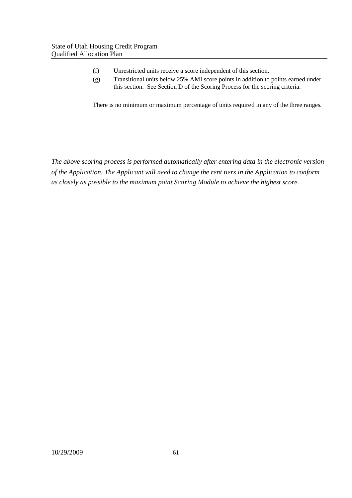- (f) Unrestricted units receive a score independent of this section.
- (g) Transitional units below 25% AMI score points in addition to points earned under this section. See Section D of the Scoring Process for the scoring criteria.

There is no minimum or maximum percentage of units required in any of the three ranges.

*The above scoring process is performed automatically after entering data in the electronic version of the Application. The Applicant will need to change the rent tiers in the Application to conform as closely as possible to the maximum point Scoring Module to achieve the highest score.*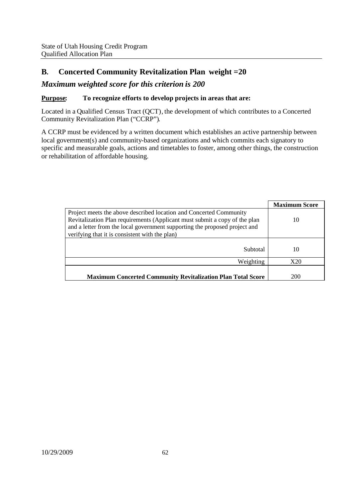## **B. Concerted Community Revitalization Plan weight =20**

#### *Maximum weighted score for this criterion is 200*

#### **Purpose: To recognize efforts to develop projects in areas that are:**

Located in a Qualified Census Tract (QCT), the development of which contributes to a Concerted Community Revitalization Plan ("CCRP").

A CCRP must be evidenced by a written document which establishes an active partnership between local government(s) and community-based organizations and which commits each signatory to specific and measurable goals, actions and timetables to foster, among other things, the construction or rehabilitation of affordable housing.

|                                                                                                                                                                                                                                                                                  | <b>Maximum Score</b> |
|----------------------------------------------------------------------------------------------------------------------------------------------------------------------------------------------------------------------------------------------------------------------------------|----------------------|
| Project meets the above described location and Concerted Community<br>Revitalization Plan requirements (Applicant must submit a copy of the plan<br>and a letter from the local government supporting the proposed project and<br>verifying that it is consistent with the plan) | 10                   |
| Subtotal                                                                                                                                                                                                                                                                         | 10                   |
| Weighting                                                                                                                                                                                                                                                                        | X20                  |
| <b>Maximum Concerted Community Revitalization Plan Total Score</b>                                                                                                                                                                                                               | 200                  |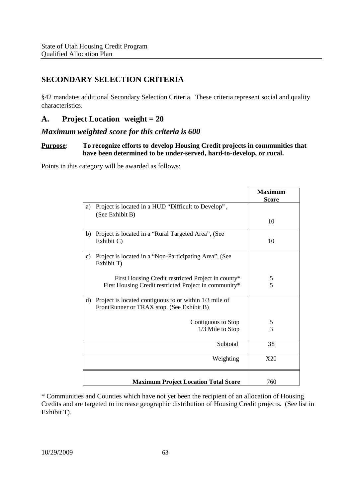## **SECONDARY SELECTION CRITERIA**

§42 mandates additional Secondary Selection Criteria. These criteria represent social and quality characteristics.

### **A. Project Location weight = 20**

#### *Maximum weighted score for this criteria is 600*

#### **Purpose: To recognize efforts to develop Housing Credit projects in communities that have been determined to be under-served, hard-to-develop, or rural.**

Points in this category will be awarded as follows:

|                |                                                                                                     | <b>Maximum</b><br><b>Score</b> |
|----------------|-----------------------------------------------------------------------------------------------------|--------------------------------|
| a)             | Project is located in a HUD "Difficult to Develop",<br>(See Exhibit B)                              |                                |
|                |                                                                                                     | 10                             |
| b)             | Project is located in a "Rural Targeted Area", (See<br>Exhibit C)                                   | 10                             |
| $\mathbf{c}$ ) | Project is located in a "Non-Participating Area", (See<br>Exhibit T)                                |                                |
|                | First Housing Credit restricted Project in county*                                                  | 5                              |
|                | First Housing Credit restricted Project in community*                                               | 5                              |
| d)             | Project is located contiguous to or within 1/3 mile of<br>FrontRunner or TRAX stop. (See Exhibit B) |                                |
|                | Contiguous to Stop                                                                                  | $rac{5}{3}$                    |
|                | 1/3 Mile to Stop                                                                                    |                                |
|                | Subtotal                                                                                            | 38                             |
|                | Weighting                                                                                           | X20                            |
|                | <b>Maximum Project Location Total Score</b>                                                         | 760                            |

\* Communities and Counties which have not yet been the recipient of an allocation of Housing Credits and are targeted to increase geographic distribution of Housing Credit projects. (See list in Exhibit T).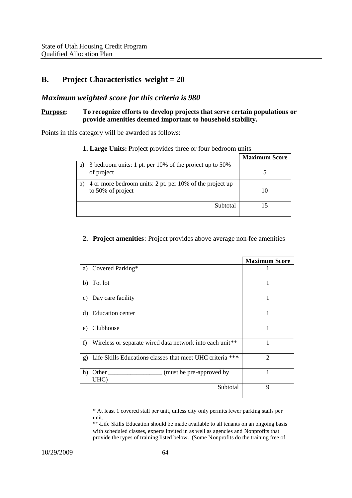#### **B. Project Characteristics weight = 20**

#### *Maximum weighted score for this criteria is 980*

#### **Purpose: To recognize efforts to develop projects that serve certain populations or provide amenities deemed important to household stability.**

Points in this category will be awarded as follows:

|    |                                                                               | <b>Maximum Score</b> |
|----|-------------------------------------------------------------------------------|----------------------|
| a) | 3 bedroom units: 1 pt. per 10% of the project up to 50%<br>of project         |                      |
| b) | 4 or more bedroom units: 2 pt. per 10% of the project up<br>to 50% of project |                      |
|    | Subtotal                                                                      |                      |

#### **1. Large Units:** Project provides three or four bedroom units

#### **2. Project amenities**: Project provides above average non-fee amenities

|              |                                                           | <b>Maximum Score</b> |
|--------------|-----------------------------------------------------------|----------------------|
|              | a) Covered Parking*                                       |                      |
| b)           | Tot lot                                                   | 1                    |
|              | c) Day care facility                                      |                      |
| d)           | <b>Education center</b>                                   |                      |
| e)           | Clubhouse                                                 |                      |
| f)           | Wireless or separate wired data network into each unit**  |                      |
| $\mathbf{g}$ | Life Skills Educations classes that meet UHC criteria *** | $\overline{2}$       |
| h)           | UHC)                                                      |                      |
|              | Subtotal                                                  | 9                    |

\* At least 1 covered stall per unit, unless city only permits fewer parking stalls per unit.

\*\* Life Skills Education should be made available to all tenants on an ongoing basis with scheduled classes, experts invited in as well as agencies and Nonprofits that provide the types of training listed below. (Some Nonprofits do the training free of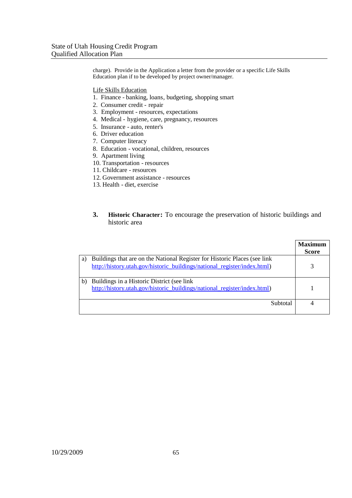charge). Provide in the Application a letter from the provider or a specific Life Skills Education plan if to be developed by project owner/manager.

Life Skills Education

- 1. Finance banking, loans, budgeting, shopping smart
- 2. Consumer credit repair
- 3. Employment resources, expectations
- 4. Medical hygiene, care, pregnancy, resources
- 5. Insurance auto, renter's
- 6. Driver education
- 7. Computer literacy
- 8. Education vocational, children, resources
- 9. Apartment living
- 10. Transportation resources
- 11. Childcare resources
- 12. Government assistance resources
- 13. Health diet, exercise
- **3. Historic Character:** To encourage the preservation of historic buildings and historic area

|    |                                                                                                                                                        | <b>Maximum</b><br><b>Score</b> |
|----|--------------------------------------------------------------------------------------------------------------------------------------------------------|--------------------------------|
| a) | Buildings that are on the National Register for Historic Places (see link)<br>http://history.utah.gov/historic_buildings/national_register/index.html) |                                |
| b. | Buildings in a Historic District (see link)<br>http://history.utah.gov/historic buildings/national register/index.html)                                |                                |
|    | Subtotal                                                                                                                                               |                                |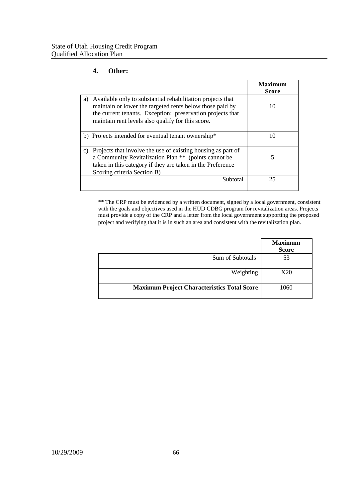#### **4. Other:**

|                                                                                                                                                                                                                                                 | <b>Maximum</b><br><b>Score</b> |
|-------------------------------------------------------------------------------------------------------------------------------------------------------------------------------------------------------------------------------------------------|--------------------------------|
| Available only to substantial rehabilitation projects that<br>a)<br>maintain or lower the targeted rents below those paid by<br>the current tenants. Exception: preservation projects that<br>maintain rent levels also qualify for this score. | 10                             |
| b) Projects intended for eventual tenant ownership*                                                                                                                                                                                             | 10                             |
| Projects that involve the use of existing housing as part of<br>C)<br>a Community Revitalization Plan ** (points cannot be<br>taken in this category if they are taken in the Preference<br>Scoring criteria Section B)                         | 5                              |
| Subtotal                                                                                                                                                                                                                                        | 25                             |

\*\* The CRP must be evidenced by a written document, signed by a local government, consistent with the goals and objectives used in the HUD CDBG program for revitalization areas. Projects must provide a copy of the CRP and a letter from the local government supporting the proposed project and verifying that it is in such an area and consistent with the revitalization plan.

|                                                    | <b>Maximum</b><br><b>Score</b> |
|----------------------------------------------------|--------------------------------|
| Sum of Subtotals                                   | 53                             |
| Weighting                                          | X20                            |
| <b>Maximum Project Characteristics Total Score</b> | 1060                           |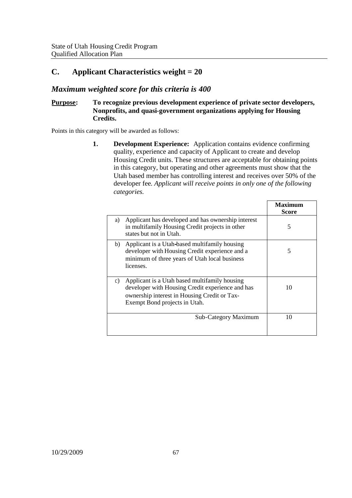## **C. Applicant Characteristics weight = 20**

#### *Maximum weighted score for this criteria is 400*

#### **Purpose: To recognize previous development experience of private sector developers, Nonprofits, and quasi-government organizations applying for Housing Credits.**

Points in this category will be awarded as follows:

**1. Development Experience:** Application contains evidence confirming quality, experience and capacity of Applicant to create and develop Housing Credit units. These structures are acceptable for obtaining points in this category, but operating and other agreements must show that the Utah based member has controlling interest and receives over 50% of the developer fee*. Applicant will receive points in only one of the following categories.*

|                                                                                                                                                                                          | Maximum<br>Score |
|------------------------------------------------------------------------------------------------------------------------------------------------------------------------------------------|------------------|
| Applicant has developed and has ownership interest<br>a)<br>in multifamily Housing Credit projects in other<br>states but not in Utah.                                                   | 5                |
| Applicant is a Utah-based multifamily housing<br>b)<br>developer with Housing Credit experience and a<br>minimum of three years of Utah local business<br>licenses.                      | 5                |
| Applicant is a Utah based multifamily housing<br>c)<br>developer with Housing Credit experience and has<br>ownership interest in Housing Credit or Tax-<br>Exempt Bond projects in Utah. | 10               |
| Sub-Category Maximum                                                                                                                                                                     | 10               |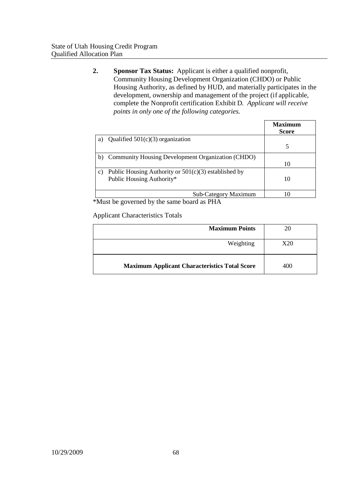**2. Sponsor Tax Status:** Applicant is either a qualified nonprofit, Community Housing Development Organization (CHDO) or Public Housing Authority, as defined by HUD, and materially participates in the development, ownership and management of the project (if applicable, complete the Nonprofit certification Exhibit D. *Applicant will receive points in only one of the following categories.*

|               |                                                        | <b>Maximum</b><br><b>Score</b> |
|---------------|--------------------------------------------------------|--------------------------------|
| a)            | Qualified $501(c)(3)$ organization                     |                                |
|               |                                                        |                                |
| b)            | Community Housing Development Organization (CHDO)      |                                |
|               |                                                        | 10                             |
| $\mathbf{c})$ | Public Housing Authority or $501(c)(3)$ established by |                                |
|               | Public Housing Authority*                              | 10                             |
|               |                                                        |                                |
|               | <b>Sub-Category Maximum</b>                            |                                |

\*Must be governed by the same board as PHA

Applicant Characteristics Totals

| <b>Maximum Points</b>                                |     |
|------------------------------------------------------|-----|
| Weighting                                            | X20 |
| <b>Maximum Applicant Characteristics Total Score</b> | 400 |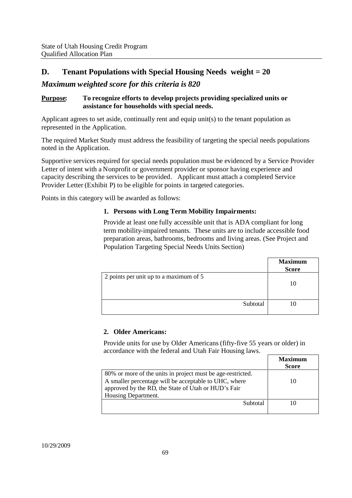# **D. Tenant Populations with Special Housing Needs weight = 20**

## *Maximum weighted score for this criteria is 820*

## **Purpose: To recognize efforts to develop projects providing specialized units or assistance for households with special needs.**

Applicant agrees to set aside, continually rent and equip unit(s) to the tenant population as represented in the Application.

The required Market Study must address the feasibility of targeting the special needs populations noted in the Application.

Supportive services required for special needs population must be evidenced by a Service Provider Letter of intent with a Nonprofit or government provider or sponsor having experience and capacity describing the services to be provided. Applicant must attach a completed Service Provider Letter (Exhibit P) to be eligible for points in targeted categories.

Points in this category will be awarded as follows:

## **1. Persons with Long Term Mobility Impairments:**

Provide at least one fully accessible unit that is ADA compliant for long term mobility-impaired tenants. These units are to include accessible food preparation areas, bathrooms, bedrooms and living areas. (See Project and Population Targeting Special Needs Units Section)

|                                        | <b>Maximum</b><br><b>Score</b> |
|----------------------------------------|--------------------------------|
| 2 points per unit up to a maximum of 5 | 10                             |
| Subtotal                               |                                |

## **2. Older Americans:**

Provide units for use by Older Americans (fifty-five 55 years or older) in accordance with the federal and Utah Fair Housing laws.

|                                                                                                                                                                                                    | Maximum<br><b>Score</b> |
|----------------------------------------------------------------------------------------------------------------------------------------------------------------------------------------------------|-------------------------|
| 80% or more of the units in project must be age-restricted.<br>A smaller percentage will be acceptable to UHC, where<br>approved by the RD, the State of Utah or HUD's Fair<br>Housing Department. | 10                      |
| Subtotal                                                                                                                                                                                           |                         |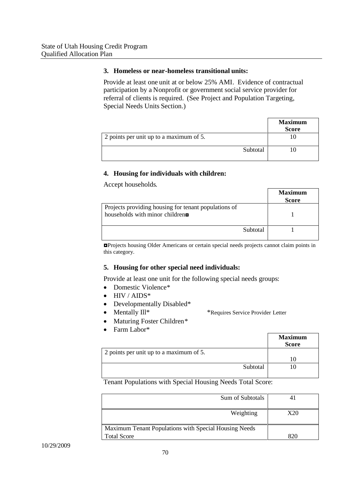#### **3. Homeless or near-homeless transitional units:**

Provide at least one unit at or below 25% AMI. Evidence of contractual participation by a Nonprofit or government social service provider for referral of clients is required. (See Project and Population Targeting, Special Needs Units Section.)

|                                         | <b>Maximum</b><br><b>Score</b> |
|-----------------------------------------|--------------------------------|
| 2 points per unit up to a maximum of 5. |                                |
| Subtotal                                |                                |

## **4. Housing for individuals with children:**

Accept households.

|                                                                                                       | <b>Maximum</b><br><b>Score</b> |
|-------------------------------------------------------------------------------------------------------|--------------------------------|
| Projects providing housing for tenant populations of<br>households with minor children $\blacksquare$ |                                |
| Subtotal                                                                                              |                                |

◘Projects housing Older Americans or certain special needs projects cannot claim points in this category.

#### **5. Housing for other special need individuals:**

Provide at least one unit for the following special needs groups:

- Domestic Violence\*
- HIV / AIDS\*
- Developmentally Disabled\*
- - Mentally Ill\* \*Requires Service Provider Letter
- Maturing Foster Children\*
- Farm Labor\*

|                                         | <b>Maximum</b><br><b>Score</b> |
|-----------------------------------------|--------------------------------|
| 2 points per unit up to a maximum of 5. |                                |
|                                         |                                |
| Subtotal                                |                                |
|                                         |                                |

Tenant Populations with Special Housing Needs Total Score:

| Sum of Subtotals                                      |     |
|-------------------------------------------------------|-----|
| Weighting                                             | X20 |
| Maximum Tenant Populations with Special Housing Needs |     |
| <b>Total Score</b>                                    |     |

10/29/2009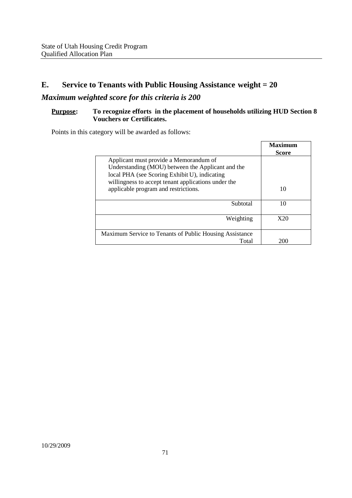# **E. Service to Tenants with Public Housing Assistance weight = 20**

# *Maximum weighted score for this criteria is 200*

## **Purpose: To recognize efforts in the placement of households utilizing HUD Section 8 Vouchers or Certificates.**

Points in this category will be awarded as follows:

|                                                         | <b>Maximum</b> |
|---------------------------------------------------------|----------------|
|                                                         | <b>Score</b>   |
| Applicant must provide a Memorandum of                  |                |
| Understanding (MOU) between the Applicant and the       |                |
| local PHA (see Scoring Exhibit U), indicating           |                |
| willingness to accept tenant applications under the     |                |
| applicable program and restrictions.                    | 10             |
|                                                         |                |
| Subtotal                                                | 10             |
|                                                         |                |
| Weighting                                               | X20            |
|                                                         |                |
| Maximum Service to Tenants of Public Housing Assistance |                |
| Total                                                   | 200            |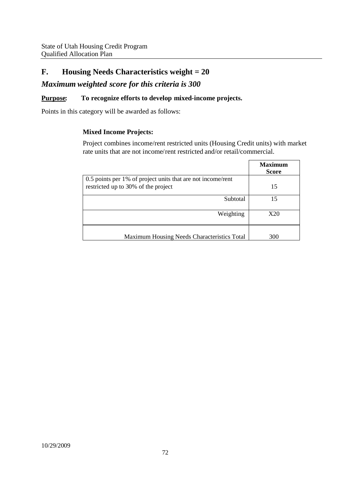# **F. Housing Needs Characteristics weight = 20**

## *Maximum weighted score for this criteria is 300*

## **Purpose: To recognize efforts to develop mixed-income projects.**

Points in this category will be awarded as follows:

## **Mixed Income Projects:**

Project combines income/rent restricted units (Housing Credit units) with market rate units that are not income/rent restricted and/or retail/commercial.

|                                                             | <b>Maximum</b><br><b>Score</b> |
|-------------------------------------------------------------|--------------------------------|
| 0.5 points per 1% of project units that are not income/rent |                                |
| restricted up to 30% of the project                         | 15                             |
| Subtotal                                                    | 15                             |
| Weighting                                                   | X20                            |
| Maximum Housing Needs Characteristics Total                 | 300                            |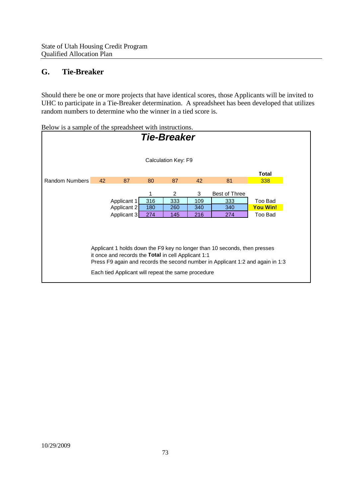# **G. Tie-Breaker**

Should there be one or more projects that have identical scores, those Applicants will be invited to UHC to participate in a Tie-Breaker determination. A spreadsheet has been developed that utilizes random numbers to determine who the winner in a tied score is.

**Total** Random Numbers 42 87 80 87 42 81 338 1 2 3 Best of Three Applicant 1 316 333 109 333 Too Bad Applicant 2 180 260 340 340 **You Win!** Applicant 3 274 145 216 274 Too Bad Applicant 1 holds down the F9 key no longer than 10 seconds, then presses it once and records the **Total** in cell Applicant 1:1 Press F9 again and records the second number in Applicant 1:2 and again in 1:3 Each tied Applicant will repeat the same procedure Calculation Key: F9 *Tie-Breaker*

Below is a sample of the spreadsheet with instructions.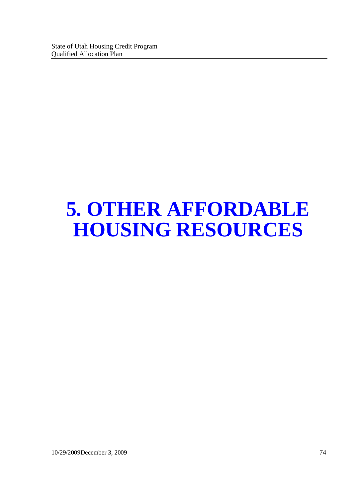# **5. OTHER AFFORDABLE HOUSING RESOURCES**

10/29/2009December 3, 2009 74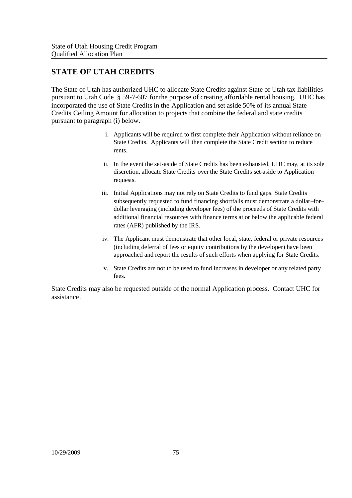# **STATE OF UTAH CREDITS**

The State of Utah has authorized UHC to allocate State Credits against State of Utah tax liabilities pursuant to Utah Code § 59-7-607 for the purpose of creating affordable rental housing. UHC has incorporated the use of State Credits in the Application and set aside 50% of its annual State Credits Ceiling Amount for allocation to projects that combine the federal and state credits pursuant to paragraph (i) below.

- i. Applicants will be required to first complete their Application without reliance on State Credits. Applicants will then complete the State Credit section to reduce rents.
- ii. In the event the set-aside of State Credits has been exhausted, UHC may, at its sole discretion, allocate State Credits over the State Credits set-aside to Application requests.
- iii. Initial Applications may not rely on State Credits to fund gaps. State Credits subsequently requested to fund financing shortfalls must demonstrate a dollar–for– dollar leveraging (including developer fees) of the proceeds of State Credits with additional financial resources with finance terms at or below the applicable federal rates (AFR) published by the IRS.
- iv. The Applicant must demonstrate that other local, state, federal or private resources (including deferral of fees or equity contributions by the developer) have been approached and report the results of such efforts when applying for State Credits.
- v. State Credits are not to be used to fund increases in developer or any related party fees.

State Credits may also be requested outside of the normal Application process. Contact UHC for assistance.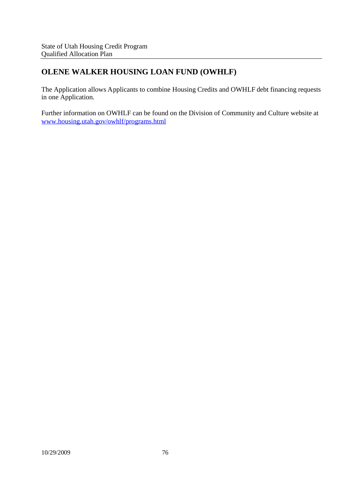# **OLENE WALKER HOUSING LOAN FUND (OWHLF)**

The Application allows Applicants to combine Housing Credits and OWHLF debt financing requests in one Application.

Further information on OWHLF can be found on the Division of Community and Culture website at www.housing.utah.gov/owhlf/programs.html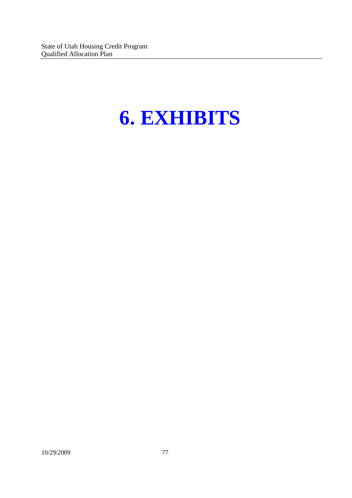# **6. EXHIBITS**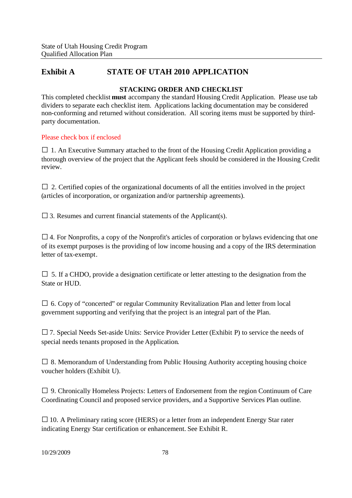# **Exhibit A STATE OF UTAH 2010 APPLICATION**

## **STACKING ORDER AND CHECKLIST**

This completed checklist **must** accompany the standard Housing Credit Application. Please use tab dividers to separate each checklist item. Applications lacking documentation may be considered non-conforming and returned without consideration. All scoring items must be supported by thirdparty documentation.

## Please check box if enclosed

 $\Box$  1. An Executive Summary attached to the front of the Housing Credit Application providing a thorough overview of the project that the Applicant feels should be considered in the Housing Credit review.

 $\Box$  2. Certified copies of the organizational documents of all the entities involved in the project (articles of incorporation, or organization and/or partnership agreements).

 $\square$  3. Resumes and current financial statements of the Applicant(s).

 $\Box$  4. For Nonprofits, a copy of the Nonprofit's articles of corporation or bylaws evidencing that one of its exempt purposes is the providing of low income housing and a copy of the IRS determination letter of tax-exempt.

 $\square$  5. If a CHDO, provide a designation certificate or letter attesting to the designation from the State or HUD.

 $\square$  6. Copy of "concerted" or regular Community Revitalization Plan and letter from local government supporting and verifying that the project is an integral part of the Plan.

 $\Box$  7. Special Needs Set-aside Units: Service Provider Letter (Exhibit P) to service the needs of special needs tenants proposed in the Application.

 $\square$  8. Memorandum of Understanding from Public Housing Authority accepting housing choice voucher holders (Exhibit U).

 $\Box$  9. Chronically Homeless Projects: Letters of Endorsement from the region Continuum of Care Coordinating Council and proposed service providers, and a Supportive Services Plan outline.

 $\square$  10. A Preliminary rating score (HERS) or a letter from an independent Energy Star rater indicating Energy Star certification or enhancement. See Exhibit R.

#### 10/29/2009 78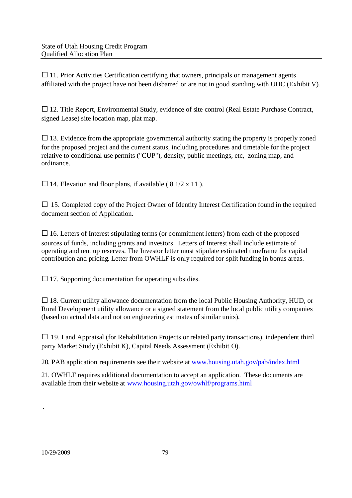$\Box$  11. Prior Activities Certification certifying that owners, principals or management agents affiliated with the project have not been disbarred or are not in good standing with UHC (Exhibit V).

□ 12. Title Report, Environmental Study, evidence of site control (Real Estate Purchase Contract, signed Lease) site location map, plat map.

 $\Box$  13. Evidence from the appropriate governmental authority stating the property is properly zoned for the proposed project and the current status, including procedures and timetable for the project relative to conditional use permits ("CUP"), density, public meetings, etc, zoning map, and ordinance.

 $\Box$  14. Elevation and floor plans, if available (8 1/2 x 11).

 $\Box$  15. Completed copy of the Project Owner of Identity Interest Certification found in the required document section of Application.

 $\Box$  16. Letters of Interest stipulating terms (or commitment letters) from each of the proposed sources of funds, including grants and investors. Letters of Interest shall include estimate of operating and rent up reserves. The Investor letter must stipulate estimated timeframe for capital contribution and pricing. Letter from OWHLF is only required for split funding in bonus areas.

 $\Box$  17. Supporting documentation for operating subsidies.

 $\square$  18. Current utility allowance documentation from the local Public Housing Authority, HUD, or Rural Development utility allowance or a signed statement from the local public utility companies (based on actual data and not on engineering estimates of similar units).

 $\Box$  19. Land Appraisal (for Rehabilitation Projects or related party transactions), independent third party Market Study (Exhibit K), Capital Needs Assessment (Exhibit O).

20. PAB application requirements see their website at www.housing.utah.gov/pab/index.html

21. OWHLF requires additional documentation to accept an application. These documents are available from their website at www.housing.utah.gov/owhlf/programs.html

.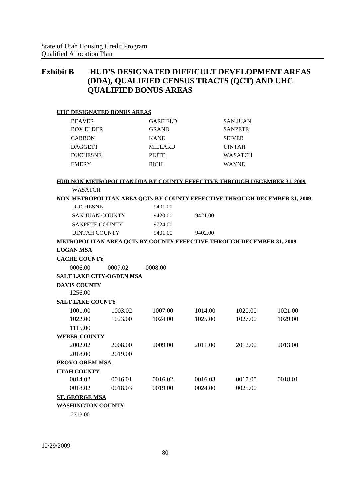# **Exhibit B HUD'S DESIGNATED DIFFICULT DEVELOPMENT AREAS (DDA), QUALIFIED CENSUS TRACTS (QCT) AND UHC QUALIFIED BONUS AREAS**

| <b>UHC DESIGNATED BONUS AREAS</b>                                               |         |                 |         |                 |         |
|---------------------------------------------------------------------------------|---------|-----------------|---------|-----------------|---------|
| <b>BEAVER</b>                                                                   |         | <b>GARFIELD</b> |         | <b>SAN JUAN</b> |         |
| <b>BOX ELDER</b>                                                                |         | <b>GRAND</b>    |         | <b>SANPETE</b>  |         |
| <b>CARBON</b>                                                                   |         | <b>KANE</b>     |         | <b>SEIVER</b>   |         |
| <b>DAGGETT</b>                                                                  |         | <b>MILLARD</b>  |         | <b>UINTAH</b>   |         |
| <b>DUCHESNE</b>                                                                 |         | <b>PIUTE</b>    |         | WASATCH         |         |
| <b>EMERY</b>                                                                    |         | <b>RICH</b>     |         | <b>WAYNE</b>    |         |
| <b>HUD NON-METROPOLITAN DDA BY COUNTY EFFECTIVE THROUGH DECEMBER 31, 2009</b>   |         |                 |         |                 |         |
| <b>WASATCH</b>                                                                  |         |                 |         |                 |         |
| <b>NON-METROPOLITAN AREA OCTs BY COUNTY EFFECTIVE THROUGH DECEMBER 31, 2009</b> |         |                 |         |                 |         |
| <b>DUCHESNE</b>                                                                 |         | 9401.00         |         |                 |         |
| <b>SAN JUAN COUNTY</b>                                                          |         | 9420.00         | 9421.00 |                 |         |
| <b>SANPETE COUNTY</b>                                                           |         | 9724.00         |         |                 |         |
| <b>UINTAH COUNTY</b>                                                            |         | 9401.00         | 9402.00 |                 |         |
| <b>METROPOLITAN AREA OCTs BY COUNTY EFFECTIVE THROUGH DECEMBER 31, 2009</b>     |         |                 |         |                 |         |
| <b>LOGAN MSA</b>                                                                |         |                 |         |                 |         |
| <b>CACHE COUNTY</b>                                                             |         |                 |         |                 |         |
| 0006.00                                                                         | 0007.02 | 0008.00         |         |                 |         |
| <b>SALT LAKE CITY-OGDEN MSA</b>                                                 |         |                 |         |                 |         |
| <b>DAVIS COUNTY</b>                                                             |         |                 |         |                 |         |
| 1256.00                                                                         |         |                 |         |                 |         |
| <b>SALT LAKE COUNTY</b>                                                         |         |                 |         |                 |         |
| 1001.00                                                                         | 1003.02 | 1007.00         | 1014.00 | 1020.00         | 1021.00 |
| 1022.00                                                                         | 1023.00 | 1024.00         | 1025.00 | 1027.00         | 1029.00 |
| 1115.00                                                                         |         |                 |         |                 |         |
| <b>WEBER COUNTY</b>                                                             |         |                 |         |                 |         |
| 2002.02                                                                         | 2008.00 | 2009.00         | 2011.00 | 2012.00         | 2013.00 |
| 2018.00                                                                         | 2019.00 |                 |         |                 |         |
| <b>PROVO-OREM MSA</b>                                                           |         |                 |         |                 |         |
| <b>UTAH COUNTY</b>                                                              |         |                 |         |                 |         |
| 0014.02                                                                         | 0016.01 | 0016.02         | 0016.03 | 0017.00         | 0018.01 |
| 0018.02                                                                         | 0018.03 | 0019.00         | 0024.00 | 0025.00         |         |
|                                                                                 |         |                 |         |                 |         |
| <b>ST. GEORGE MSA</b><br><b>WASHINGTON COUNTY</b>                               |         |                 |         |                 |         |
| 271200                                                                          |         |                 |         |                 |         |

2713.00

10/29/2009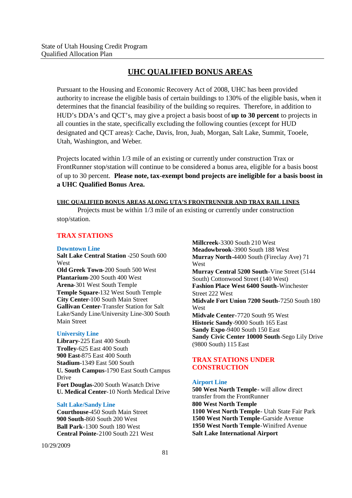## **UHC QUALIFIED BONUS AREAS**

Pursuant to the Housing and Economic Recovery Act of 2008, UHC has been provided authority to increase the eligible basis of certain buildings to 130% of the eligible basis, when it determines that the financial feasibility of the building so requires. Therefore, in addition to HUD's DDA's and QCT's, may give a project a basis boost of **up to 30 percent** to projects in all counties in the state, specifically excluding the following counties (except for HUD designated and QCT areas): Cache, Davis, Iron, Juab, Morgan, Salt Lake, Summit, Tooele, Utah, Washington, and Weber.

Projects located within 1/3 mile of an existing or currently under construction Trax or FrontRunner stop/station will continue to be considered a bonus area, eligible for a basis boost of up to 30 percent. **Please note, tax-exempt bond projects are ineligible for a basis boost in a UHC Qualified Bonus Area.**

#### **UHC QUALIFIED BONUS AREAS ALONG UTA'S FRONTRUNNER AND TRAX RAIL LINES**

Projects must be within 1/3 mile of an existing or currently under construction stop/station.

## **TRAX STATIONS**

#### **Downtown Line**

**Salt Lake Central Station** -250 South 600 West **Old Greek Town**-200 South 500 West **Plantarium**-200 South 400 West **Arena**-301 West South Temple **Temple Square**-132 West South Temple **City Center**-100 South Main Street **Gallivan Center**-Transfer Station for Salt Lake/Sandy Line/University Line-300 South Main Street

#### **University Line**

**Library**-225 East 400 South **Trolley**-625 East 400 South **900 East**-875 East 400 South **Stadium**-1349 East 500 South **U. South Campus**-1790 East South Campus Drive **Fort Douglas**-200 South Wasatch Drive **U. Medical Center**-10 North Medical Drive

#### **Salt Lake/Sandy Line**

**Courthouse**-450 South Main Street **900 South**-860 South 200 West **Ball Park**-1300 South 180 West **Central Pointe**-2100 South 221 West

10/29/2009

**Millcreek**-3300 South 210 West **Meadowbrook**-3900 South 188 West **Murray North**-4400 South (Fireclay Ave) 71 West **Murray Central 5200 South**-Vine Street (5144 South) Cottonwood Street (140 West) **Fashion Place West 6400 South**-Winchester Street 222 West **Midvale Fort Union 7200 South**-7250 South 180 West **Midvale Center**-7720 South 95 West **Historic Sandy**-9000 South 165 East **Sandy Expo**-9400 South 150 East **Sandy Civic Center 10000 South**-Sego Lily Drive (9800 South) 115 East

## **TRAX STATIONS UNDER CONSTRUCTION**

#### **Airport Line**

**500 West North Temple-** will allow direct transfer from the FrontRunner **800 West North Temple 1100 West North Temple**- Utah State Fair Park **1500 West North Temple**-Garside Avenue **1950 West North Temple**-Winifred Avenue **Salt Lake International Airport**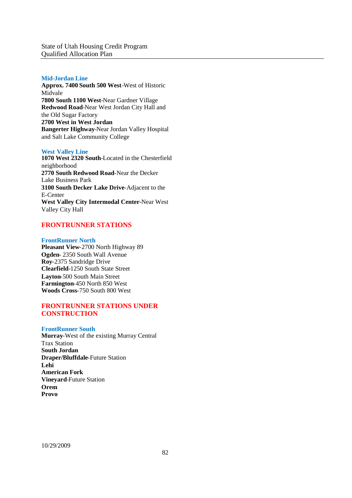State of Utah Housing Credit Program Qualified Allocation Plan

#### **Mid-Jordan Line**

**Approx. 7400 South 500 West**-West of Historic Midvale **7800 South 1100 West**-Near Gardner Village **Redwood Road**-Near West Jordan City Hall and the Old Sugar Factory **2700 West in West Jordan Bangerter Highway**-Near Jordan Valley Hospital and Salt Lake Community College

#### **West Valley Line**

**1070 West 2320 South**-Located in the Chesterfield neighborhood **2770 South Redwood Road**-Near the Decker Lake Business Park **3100 South Decker Lake Drive**-Adjacent to the E-Center **West Valley City Intermodal Center**-Near West Valley City Hall

#### **FRONTRUNNER STATIONS**

#### **FrontRunner North**

**Pleasant View**-2700 North Highway 89 **Ogden**- 2350 South Wall Avenue **Roy**-2375 Sandridge Drive **Clearfield**-1250 South State Street **Layton**-500 South Main Street **Farmington**-450 North 850 West **Woods Cross**-750 South 800 West

#### **FRONTRUNNER STATIONS UNDER CONSTRUCTION**

#### **FrontRunner South**

**Murray**-West of the existing Murray Central Trax Station **South Jordan Draper/Bluffdale**-Future Station **Lehi American Fork Vineyard**-Future Station **Orem Provo**

10/29/2009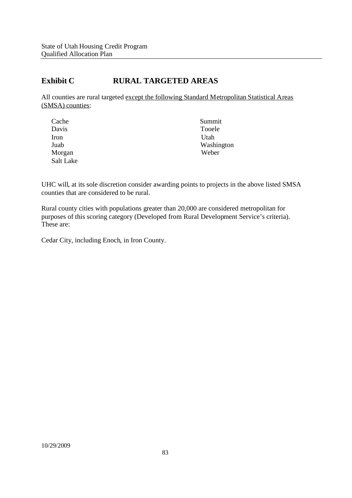# **Exhibit C RURAL TARGETED AREAS**

All counties are rural targeted except the following Standard Metropolitan Statistical Areas (SMSA) counties:

| Cache     | Summit     |
|-----------|------------|
| Davis     | Tooele     |
| Iron      | Utah       |
| Juab      | Washington |
| Morgan    | Weber      |
| Salt Lake |            |

UHC will, at its sole discretion consider awarding points to projects in the above listed SMSA counties that are considered to be rural.

Rural county cities with populations greater than 20,000 are considered metropolitan for purposes of this scoring category (Developed from Rural Development Service's criteria). These are:

Cedar City, including Enoch, in Iron County.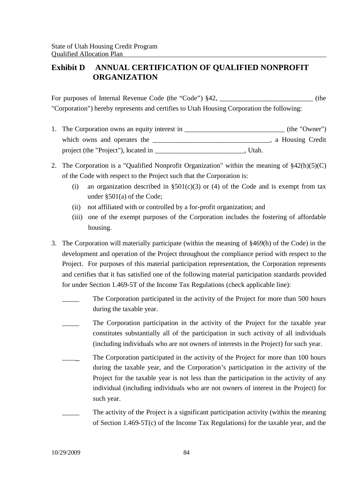# **Exhibit D ANNUAL CERTIFICATION OF QUALIFIED NONPROFIT ORGANIZATION**

For purposes of Internal Revenue Code (the "Code") §42, \_\_\_\_\_\_\_\_\_\_\_\_\_\_\_\_\_\_\_\_\_\_\_\_\_ (the "Corporation") hereby represents and certifies to Utah Housing Corporation the following:

- 1. The Corporation owns an equity interest in \_\_\_\_\_\_\_\_\_\_\_\_\_\_\_\_\_\_\_\_\_\_\_\_\_\_\_\_\_\_\_\_\_ (the "Owner") which owns and operates the \_\_\_\_\_\_\_\_\_\_\_\_\_\_\_\_\_\_\_\_\_\_\_\_\_\_\_\_\_\_\_\_, a Housing Credit project (the "Project"), located in \_\_\_\_\_\_\_\_\_\_\_\_\_\_\_\_\_\_\_\_\_\_\_\_\_\_, Utah.
- 2. The Corporation is a "Qualified Nonprofit Organization" within the meaning of §42(h)(5)(C) of the Code with respect to the Project such that the Corporation is:
	- (i) an organization described in  $\S501(c)(3)$  or (4) of the Code and is exempt from tax under §501(a) of the Code;
	- (ii) not affiliated with or controlled by a for-profit organization; and
	- (iii) one of the exempt purposes of the Corporation includes the fostering of affordable housing.
- 3. The Corporation will materially participate (within the meaning of §469(h) of the Code) in the development and operation of the Project throughout the compliance period with respect to the Project. For purposes of this material participation representation, the Corporation represents and certifies that it has satisfied one of the following material participation standards provided for under Section 1.469-5T of the Income Tax Regulations (check applicable line):
	- The Corporation participated in the activity of the Project for more than 500 hours during the taxable year.
	- The Corporation participation in the activity of the Project for the taxable year constitutes substantially all of the participation in such activity of all individuals (including individuals who are not owners of interests in the Project) for such year.
	- The Corporation participated in the activity of the Project for more than 100 hours during the taxable year, and the Corporation's participation in the activity of the Project for the taxable year is not less than the participation in the activity of any individual (including individuals who are not owners of interest in the Project) for such year.
		- The activity of the Project is a significant participation activity (within the meaning of Section 1.469-5T(c) of the Income Tax Regulations) for the taxable year, and the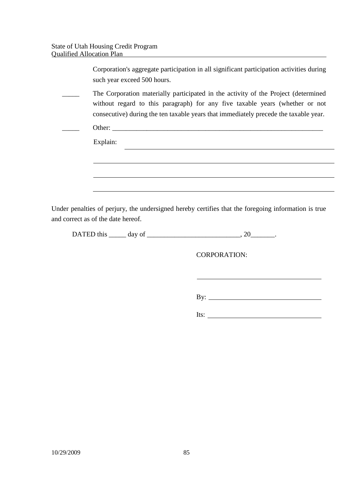| Corporation's aggregate participation in all significant participation activities during<br>such year exceed 500 hours.                                                                                                                                    |
|------------------------------------------------------------------------------------------------------------------------------------------------------------------------------------------------------------------------------------------------------------|
| The Corporation materially participated in the activity of the Project (determined<br>without regard to this paragraph) for any five taxable years (whether or not<br>consecutive) during the ten taxable years that immediately precede the taxable year. |
|                                                                                                                                                                                                                                                            |
| Explain:                                                                                                                                                                                                                                                   |
|                                                                                                                                                                                                                                                            |
|                                                                                                                                                                                                                                                            |
|                                                                                                                                                                                                                                                            |
| Under penalties of perjury, the undersigned hereby certifies that the foregoing information is true                                                                                                                                                        |

and correct as of the date hereof.

| $\Gamma$ $\Lambda$ TC $\Gamma$ +<br>chis.<br>$\alpha$ and $\alpha$<br>A LED U<br>ິ |  |  |
|------------------------------------------------------------------------------------|--|--|
|------------------------------------------------------------------------------------|--|--|

CORPORATION:

By:  $\qquad \qquad$ 

Its:  $\qquad \qquad$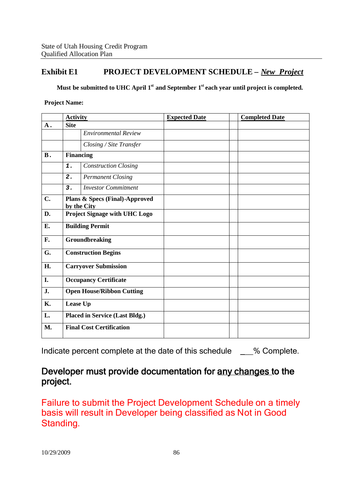# **Exhibit E1 PROJECT DEVELOPMENT SCHEDULE –** *New Project*

**Must be submitted to UHC April 1st and September 1st each year until project is completed.**

**Project Name:**

|                                       |                             | <b>Expected Date</b>                                                                                                                                                               | <b>Completed Date</b> |
|---------------------------------------|-----------------------------|------------------------------------------------------------------------------------------------------------------------------------------------------------------------------------|-----------------------|
| <b>Site</b>                           |                             |                                                                                                                                                                                    |                       |
|                                       | <b>Environmental Review</b> |                                                                                                                                                                                    |                       |
|                                       | Closing / Site Transfer     |                                                                                                                                                                                    |                       |
|                                       |                             |                                                                                                                                                                                    |                       |
| 1.                                    | <b>Construction Closing</b> |                                                                                                                                                                                    |                       |
| 2.                                    | <b>Permanent Closing</b>    |                                                                                                                                                                                    |                       |
| 3.                                    | <b>Investor Commitment</b>  |                                                                                                                                                                                    |                       |
|                                       |                             |                                                                                                                                                                                    |                       |
|                                       |                             |                                                                                                                                                                                    |                       |
|                                       |                             |                                                                                                                                                                                    |                       |
| Groundbreaking                        |                             |                                                                                                                                                                                    |                       |
| <b>Construction Begins</b>            |                             |                                                                                                                                                                                    |                       |
| <b>Carryover Submission</b>           |                             |                                                                                                                                                                                    |                       |
| <b>Occupancy Certificate</b>          |                             |                                                                                                                                                                                    |                       |
| <b>Open House/Ribbon Cutting</b>      |                             |                                                                                                                                                                                    |                       |
| Lease Up                              |                             |                                                                                                                                                                                    |                       |
| <b>Placed in Service (Last Bldg.)</b> |                             |                                                                                                                                                                                    |                       |
|                                       |                             |                                                                                                                                                                                    |                       |
|                                       |                             | <b>Activity</b><br><b>Financing</b><br>Plans & Specs (Final)-Approved<br>by the City<br>Project Signage with UHC Logo<br><b>Building Permit</b><br><b>Final Cost Certification</b> |                       |

Indicate percent complete at the date of this schedule \_\_\_% Complete.

# Developer must provide documentation for any changes to the project.

Failure to submit the Project Development Schedule on a timely basis will result in Developer being classified as Not in Good Standing.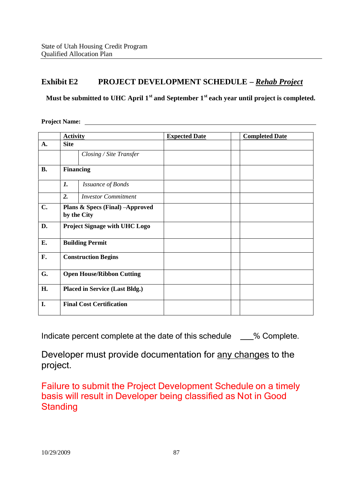# **Exhibit E2 PROJECT DEVELOPMENT SCHEDULE –** *Rehab Project*

**Must be submitted to UHC April 1st and September 1st each year until project is completed.**

**Project Name:**

|           | <b>Activity</b>                  |                                                | <b>Expected Date</b> | <b>Completed Date</b> |
|-----------|----------------------------------|------------------------------------------------|----------------------|-----------------------|
| A.        | <b>Site</b>                      |                                                |                      |                       |
|           |                                  | Closing / Site Transfer                        |                      |                       |
| <b>B.</b> | <b>Financing</b>                 |                                                |                      |                       |
|           | $\mathbf{I}$ .                   | <b>Issuance of Bonds</b>                       |                      |                       |
|           | 2.                               | <b>Investor Commitment</b>                     |                      |                       |
| C.        |                                  | Plans & Specs (Final) -Approved<br>by the City |                      |                       |
| D.        |                                  | <b>Project Signage with UHC Logo</b>           |                      |                       |
| E.        | <b>Building Permit</b>           |                                                |                      |                       |
| F.        | <b>Construction Begins</b>       |                                                |                      |                       |
| G.        | <b>Open House/Ribbon Cutting</b> |                                                |                      |                       |
| H.        |                                  | <b>Placed in Service (Last Bldg.)</b>          |                      |                       |
| I.        | <b>Final Cost Certification</b>  |                                                |                      |                       |

Indicate percent complete at the date of this schedule \_\_\_% Complete.

Developer must provide documentation for any changes to the project.

Failure to submit the Project Development Schedule on a timely basis will result in Developer being classified as Not in Good **Standing**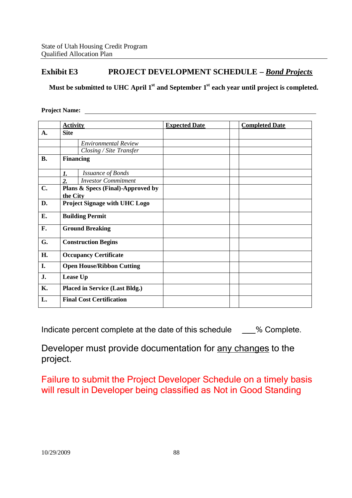# **Exhibit E3 PROJECT DEVELOPMENT SCHEDULE –** *Bond Projects*

**Must be submitted to UHC April 1st and September 1st each year until project is completed.**

#### **Project Name:**

|                | <b>Activity</b>                       |                                   | <b>Expected Date</b> | <b>Completed Date</b> |
|----------------|---------------------------------------|-----------------------------------|----------------------|-----------------------|
| $\mathbf{A}$ . | <b>Site</b>                           |                                   |                      |                       |
|                |                                       | <b>Environmental Review</b>       |                      |                       |
|                |                                       | Closing / Site Transfer           |                      |                       |
| <b>B.</b>      | <b>Financing</b>                      |                                   |                      |                       |
|                | 1.                                    | <b>Issuance of Bonds</b>          |                      |                       |
|                | $\overline{2}$ .                      | <b>Investor Commitment</b>        |                      |                       |
| $C_{\bullet}$  | the City                              | Plans & Specs (Final)-Approved by |                      |                       |
| D.             | <b>Project Signage with UHC Logo</b>  |                                   |                      |                       |
| E.             | <b>Building Permit</b>                |                                   |                      |                       |
| F.             | <b>Ground Breaking</b>                |                                   |                      |                       |
| G.             | <b>Construction Begins</b>            |                                   |                      |                       |
| H.             | <b>Occupancy Certificate</b>          |                                   |                      |                       |
| I.             | <b>Open House/Ribbon Cutting</b>      |                                   |                      |                       |
| J.             | Lease Up                              |                                   |                      |                       |
| <b>K.</b>      | <b>Placed in Service (Last Bldg.)</b> |                                   |                      |                       |
| L.             |                                       | <b>Final Cost Certification</b>   |                      |                       |

Indicate percent complete at the date of this schedule \_\_\_% Complete.

Developer must provide documentation for any changes to the project.

Failure to submit the Project Developer Schedule on a timely basis will result in Developer being classified as Not in Good Standing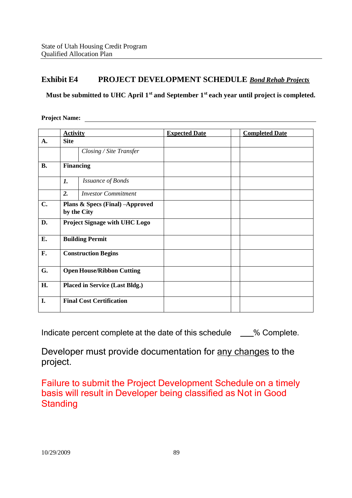# **Exhibit E4 PROJECT DEVELOPMENT SCHEDULE** *Bond Rehab Projects*

**Must be submitted to UHC April 1st and September 1st each year until project is completed.**

**Project Name:**

|           | <b>Activity</b>                                |                                 | <b>Expected Date</b> | <b>Completed Date</b> |
|-----------|------------------------------------------------|---------------------------------|----------------------|-----------------------|
| A.        | <b>Site</b>                                    |                                 |                      |                       |
|           |                                                | Closing / Site Transfer         |                      |                       |
| <b>B.</b> | <b>Financing</b>                               |                                 |                      |                       |
|           | 1.                                             | <b>Issuance of Bonds</b>        |                      |                       |
|           | 2.                                             | <b>Investor Commitment</b>      |                      |                       |
| C.        | Plans & Specs (Final) -Approved<br>by the City |                                 |                      |                       |
| D.        | <b>Project Signage with UHC Logo</b>           |                                 |                      |                       |
| E.        | <b>Building Permit</b>                         |                                 |                      |                       |
| F.        | <b>Construction Begins</b>                     |                                 |                      |                       |
| G.        | <b>Open House/Ribbon Cutting</b>               |                                 |                      |                       |
| H.        | <b>Placed in Service (Last Bldg.)</b>          |                                 |                      |                       |
| I.        |                                                | <b>Final Cost Certification</b> |                      |                       |

Indicate percent complete at the date of this schedule  $\%$  Complete.

Developer must provide documentation for any changes to the project.

Failure to submit the Project Development Schedule on a timely basis will result in Developer being classified as Not in Good **Standing**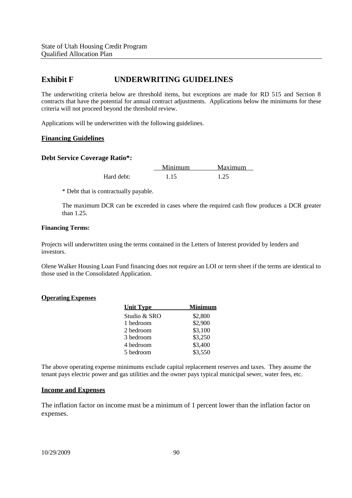# **Exhibit F UNDERWRITING GUIDELINES**

The underwriting criteria below are threshold items, but exceptions are made for RD 515 and Section 8 contracts that have the potential for annual contract adjustments. Applications below the minimums for these criteria will not proceed beyond the threshold review.

Applications will be underwritten with the following guidelines.

#### **Financing Guidelines**

#### **Debt Service Coverage Ratio\*:**

Minimum Maximum Hard debt: 1.15 1.25

\* Debt that is contractually payable.

The maximum DCR can be exceeded in cases where the required cash flow produces a DCR greater than  $1.25$ .

#### **Financing Terms:**

Projects will underwritten using the terms contained in the Letters of Interest provided by lenders and investors.

Olene Walker Housing Loan Fund financing does not require an LOI or term sheet if the terms are identical to those used in the Consolidated Application.

#### **Operating Expenses**

| <b>Unit Type</b> | Minimum |
|------------------|---------|
| Studio & SRO     | \$2,800 |
| 1 bedroom        | \$2,900 |
| 2 bedroom        | \$3,100 |
| 3 bedroom        | \$3,250 |
| 4 bedroom        | \$3,400 |
| 5 bedroom        | \$3,550 |

The above operating expense minimums exclude capital replacement reserves and taxes. They assume the tenant pays electric power and gas utilities and the owner pays typical municipal sewer, water fees, etc.

#### **Income and Expenses**

The inflation factor on income must be a minimum of 1 percent lower than the inflation factor on expenses.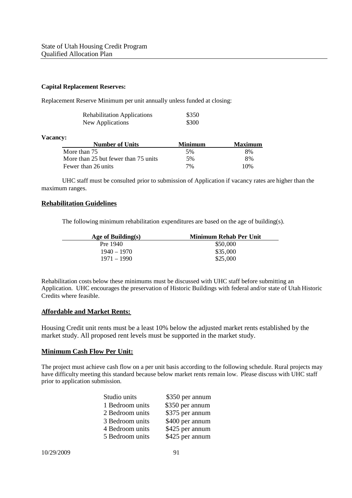#### **Capital Replacement Reserves:**

Replacement Reserve Minimum per unit annually unless funded at closing:

| <b>Rehabilitation Applications</b> | \$350 |
|------------------------------------|-------|
| New Applications                   | \$300 |

#### **Vacancy:**

| <b>Number of Units</b>               | Minimum | <b>Maximum</b> |
|--------------------------------------|---------|----------------|
| More than 75                         | .5%     | 8%             |
| More than 25 but fewer than 75 units | 5%      | 8%             |
| Fewer than 26 units                  | 7%      | 10\%           |

UHC staff must be consulted prior to submission of Application if vacancy rates are higher than the maximum ranges.

#### **Rehabilitation Guidelines**

The following minimum rehabilitation expenditures are based on the age of building(s).

| Age of Building $(s)$ | Minimum Rehab Per Unit |
|-----------------------|------------------------|
| Pre 1940              | \$50,000               |
| 1940 – 1970           | \$35,000               |
| $1971 - 1990$         | \$25,000               |

Rehabilitation costs below these minimums must be discussed with UHC staff before submitting an Application. UHC encourages the preservation of Historic Buildings with federal and/or state of Utah Historic Credits where feasible.

#### **Affordable and Market Rents:**

Housing Credit unit rents must be a least 10% below the adjusted market rents established by the market study. All proposed rent levels must be supported in the market study.

#### **Minimum Cash Flow Per Unit:**

The project must achieve cash flow on a per unit basis according to the following schedule. Rural projects may have difficulty meeting this standard because below market rents remain low. Please discuss with UHC staff prior to application submission.

| Studio units    | \$350 per annum |
|-----------------|-----------------|
| 1 Bedroom units | \$350 per annum |
| 2 Bedroom units | \$375 per annum |
| 3 Bedroom units | \$400 per annum |
| 4 Bedroom units | \$425 per annum |
| 5 Bedroom units | \$425 per annum |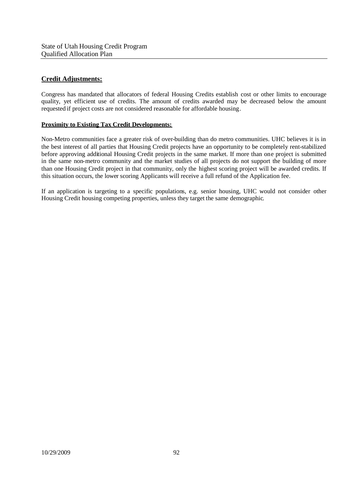### **Credit Adjustments:**

Congress has mandated that allocators of federal Housing Credits establish cost or other limits to encourage quality, yet efficient use of credits. The amount of credits awarded may be decreased below the amount requested if project costs are not considered reasonable for affordable housing.

#### **Proximity to Existing Tax Credit Developments:**

Non-Metro communities face a greater risk of over-building than do metro communities. UHC believes it is in the best interest of all parties that Housing Credit projects have an opportunity to be completely rent-stabilized before approving additional Housing Credit projects in the same market. If more than one project is submitted in the same non-metro community and the market studies of all projects do not support the building of more than one Housing Credit project in that community, only the highest scoring project will be awarded credits. If this situation occurs, the lower scoring Applicants will receive a full refund of the Application fee.

If an application is targeting to a specific populations, e.g. senior housing, UHC would not consider other Housing Credit housing competing properties, unless they target the same demographic.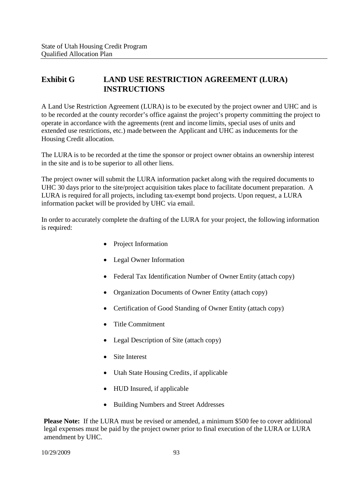# **Exhibit G LAND USE RESTRICTION AGREEMENT (LURA) INSTRUCTIONS**

A Land Use Restriction Agreement (LURA) is to be executed by the project owner and UHC and is to be recorded at the county recorder's office against the project's property committing the project to operate in accordance with the agreements (rent and income limits, special uses of units and extended use restrictions, etc.) made between the Applicant and UHC as inducements for the Housing Credit allocation.

The LURA is to be recorded at the time the sponsor or project owner obtains an ownership interest in the site and is to be superior to all other liens.

The project owner will submit the LURA information packet along with the required documents to UHC 30 days prior to the site/project acquisition takes place to facilitate document preparation. A LURA is required for all projects, including tax-exempt bond projects. Upon request, a LURA information packet will be provided by UHC via email.

In order to accurately complete the drafting of the LURA for your project, the following information is required:

- Project Information
- Legal Owner Information
- Federal Tax Identification Number of Owner Entity (attach copy)
- Organization Documents of Owner Entity (attach copy)
- Certification of Good Standing of Owner Entity (attach copy)
- Title Commitment
- Legal Description of Site (attach copy)
- Site Interest
- Utah State Housing Credits, if applicable
- HUD Insured, if applicable
- Building Numbers and Street Addresses

**Please Note:** If the LURA must be revised or amended, a minimum \$500 fee to cover additional legal expenses must be paid by the project owner prior to final execution of the LURA or LURA amendment by UHC.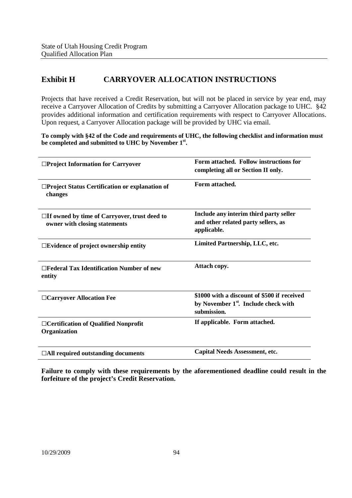# **Exhibit H CARRYOVER ALLOCATION INSTRUCTIONS**

Projects that have received a Credit Reservation, but will not be placed in service by year end, may receive a Carryover Allocation of Credits by submitting a Carryover Allocation package to UHC. §42 provides additional information and certification requirements with respect to Carryover Allocations. Upon request, a Carryover Allocation package will be provided by UHC via email.

**To comply with §42 of the Code and requirements of UHC, the following checklist and information must be completed and submitted to UHC by November 1st .**

| □Project Information for Carryover                                                   | Form attached. Follow instructions for<br>completing all or Section II only.                                   |
|--------------------------------------------------------------------------------------|----------------------------------------------------------------------------------------------------------------|
| □Project Status Certification or explanation of<br>changes                           | Form attached.                                                                                                 |
| $\Box$ If owned by time of Carryover, trust deed to<br>owner with closing statements | Include any interim third party seller<br>and other related party sellers, as<br>applicable.                   |
| $\square$ Evidence of project ownership entity                                       | Limited Partnership, LLC, etc.                                                                                 |
| $\Box$ Federal Tax Identification Number of new<br>entity                            | Attach copy.                                                                                                   |
| □ Carryover Allocation Fee                                                           | \$1000 with a discount of \$500 if received<br>by November 1 <sup>st</sup> . Include check with<br>submission. |
| □ Certification of Qualified Nonprofit<br>Organization                               | If applicable. Form attached.                                                                                  |
| $\Box$ All required outstanding documents                                            | <b>Capital Needs Assessment, etc.</b>                                                                          |

**Failure to comply with these requirements by the aforementioned deadline could result in the forfeiture of the project's Credit Reservation.**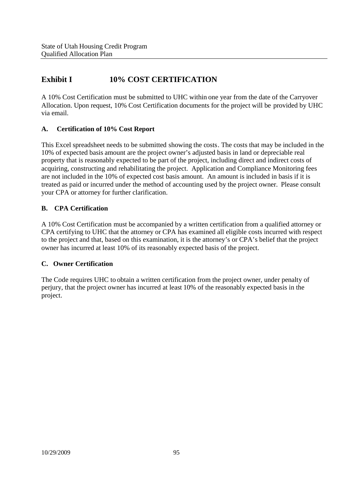# **Exhibit I 10% COST CERTIFICATION**

A 10% Cost Certification must be submitted to UHC within one year from the date of the Carryover Allocation. Upon request, 10% Cost Certification documents for the project will be provided by UHC via email.

## **A. Certification of 10% Cost Report**

This Excel spreadsheet needs to be submitted showing the costs. The costs that may be included in the 10% of expected basis amount are the project owner's adjusted basis in land or depreciable real property that is reasonably expected to be part of the project, including direct and indirect costs of acquiring, constructing and rehabilitating the project. Application and Compliance Monitoring fees are not included in the 10% of expected cost basis amount. An amount is included in basis if it is treated as paid or incurred under the method of accounting used by the project owner. Please consult your CPA or attorney for further clarification.

## **B. CPA Certification**

A 10% Cost Certification must be accompanied by a written certification from a qualified attorney or CPA certifying to UHC that the attorney or CPA has examined all eligible costs incurred with respect to the project and that, based on this examination, it is the attorney's or CPA's belief that the project owner has incurred at least 10% of its reasonably expected basis of the project.

## **C. Owner Certification**

The Code requires UHC to obtain a written certification from the project owner, under penalty of perjury, that the project owner has incurred at least 10% of the reasonably expected basis in the project.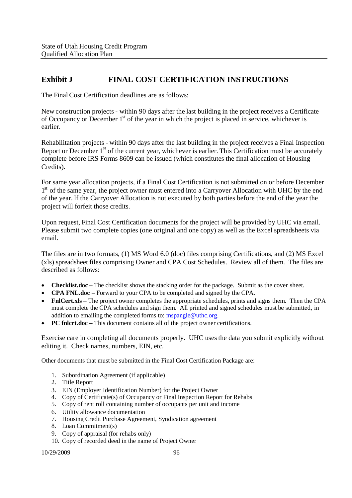# **Exhibit J FINAL COST CERTIFICATION INSTRUCTIONS**

The Final Cost Certification deadlines are as follows:

New construction projects - within 90 days after the last building in the project receives a Certificate of Occupancy or December  $1<sup>st</sup>$  of the year in which the project is placed in service, whichever is earlier.

Rehabilitation projects - within 90 days after the last building in the project receives a Final Inspection Report or December 1<sup>st</sup> of the current year, whichever is earlier. This Certification must be accurately complete before IRS Forms 8609 can be issued (which constitutes the final allocation of Housing Credits).

For same year allocation projects, if a Final Cost Certification is not submitted on or before December 1<sup>st</sup> of the same year, the project owner must entered into a Carryover Allocation with UHC by the end of the year. If the Carryover Allocation is not executed by both parties before the end of the year the project will forfeit those credits.

Upon request, Final Cost Certification documents for the project will be provided by UHC via email. Please submit two complete copies (one original and one copy) as well as the Excel spreadsheets via email.

The files are in two formats, (1) MS Word 6.0 (doc) files comprising Certifications, and (2) MS Excel (xls) spreadsheet files comprising Owner and CPA Cost Schedules. Review all of them. The files are described as follows:

- **Checklist.doc** The checklist shows the stacking order for the package. Submit as the cover sheet.
- **CPA FNL.doc** Forward to your CPA to be completed and signed by the CPA.
- **FnlCert.xls** The project owner completes the appropriate schedules, prints and signs them. Then the CPA must complete the CPA schedules and sign them. All printed and signed schedules must be submitted, in addition to emailing the completed forms to: mspangle@uthc.org.
- **PC fnlcrt.doc** This document contains all of the project owner certifications.

Exercise care in completing all documents properly. UHC usesthe data you submit explicitly without editing it. Check names, numbers, EIN, etc.

Other documents that must be submitted in the Final Cost Certification Package are:

- 1. Subordination Agreement (if applicable)
- 2. Title Report
- 3. EIN (Employer Identification Number) for the Project Owner
- 4. Copy of Certificate(s) of Occupancy or Final Inspection Report for Rehabs
- 5. Copy of rent roll containing number of occupants per unit and income
- 6. Utility allowance documentation
- 7. Housing Credit Purchase Agreement, Syndication agreement
- 8. Loan Commitment(s)
- 9. Copy of appraisal (for rehabs only)
- 10. Copy of recorded deed in the name of Project Owner

10/29/2009 96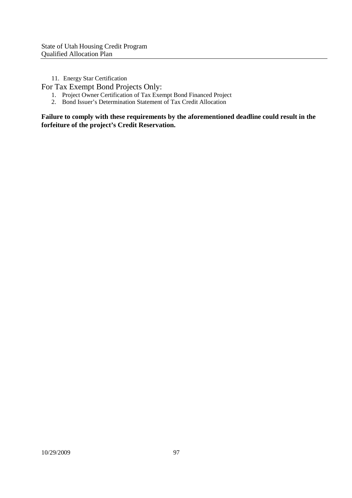11. Energy Star Certification

For Tax Exempt Bond Projects Only:

- 1. Project Owner Certification of Tax Exempt Bond Financed Project
- 2. Bond Issuer's Determination Statement of Tax Credit Allocation

**Failure to comply with these requirements by the aforementioned deadline could result in the forfeiture of the project's Credit Reservation.**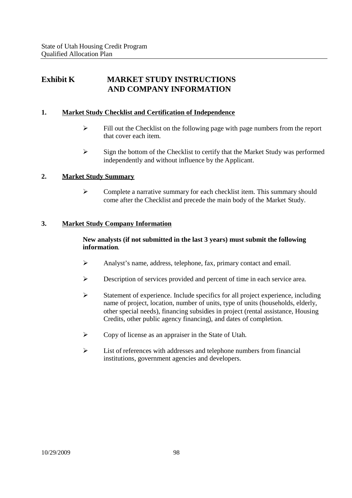# **Exhibit K MARKET STUDY INSTRUCTIONS AND COMPANY INFORMATION**

## **1. Market Study Checklist and Certification of Independence**

- $\triangleright$  Fill out the Checklist on the following page with page numbers from the report that cover each item.
- $\triangleright$  Sign the bottom of the Checklist to certify that the Market Study was performed independently and without influence by the Applicant.

## **2. Market Study Summary**

 $\triangleright$  Complete a narrative summary for each checklist item. This summary should come after the Checklist and precede the main body of the Market Study.

## **3. Market Study Company Information**

## **New analysts (if not submitted in the last 3 years) must submit the following information**.

- $\triangleright$  Analyst's name, address, telephone, fax, primary contact and email.
- Description of services provided and percent of time in each service area.
- $\triangleright$  Statement of experience. Include specifics for all project experience, including name of project, location, number of units, type of units (households, elderly, other special needs), financing subsidies in project (rental assistance, Housing Credits, other public agency financing), and dates of completion.
- Copy of license as an appraiser in the State of Utah.
- $\triangleright$  List of references with addresses and telephone numbers from financial institutions, government agencies and developers.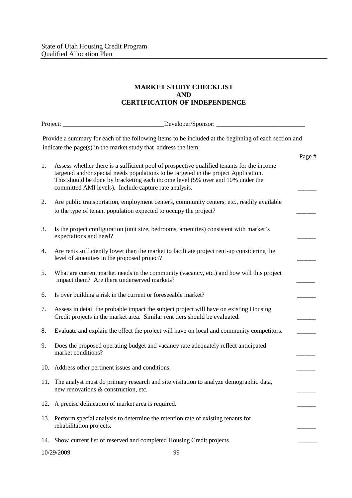## **MARKET STUDY CHECKLIST AND CERTIFICATION OF INDEPENDENCE**

| Project:                                                                                                                                                                 |                                                                                                                                                                                                                                                                                                                              |        |  |  |
|--------------------------------------------------------------------------------------------------------------------------------------------------------------------------|------------------------------------------------------------------------------------------------------------------------------------------------------------------------------------------------------------------------------------------------------------------------------------------------------------------------------|--------|--|--|
| Provide a summary for each of the following items to be included at the beginning of each section and<br>indicate the page(s) in the market study that address the item: |                                                                                                                                                                                                                                                                                                                              |        |  |  |
|                                                                                                                                                                          |                                                                                                                                                                                                                                                                                                                              | Page # |  |  |
| 1.                                                                                                                                                                       | Assess whether there is a sufficient pool of prospective qualified tenants for the income<br>targeted and/or special needs populations to be targeted in the project Application.<br>This should be done by bracketing each income level (5% over and 10% under the<br>committed AMI levels). Include capture rate analysis. |        |  |  |
| 2.                                                                                                                                                                       | Are public transportation, employment centers, community centers, etc., readily available<br>to the type of tenant population expected to occupy the project?                                                                                                                                                                |        |  |  |
| 3.                                                                                                                                                                       | Is the project configuration (unit size, bedrooms, amenities) consistent with market's<br>expectations and need?                                                                                                                                                                                                             |        |  |  |
| 4.                                                                                                                                                                       | Are rents sufficiently lower than the market to facilitate project rent-up considering the<br>level of amenities in the proposed project?                                                                                                                                                                                    |        |  |  |
| 5.                                                                                                                                                                       | What are current market needs in the community (vacancy, etc.) and how will this project<br>impact them? Are there underserved markets?                                                                                                                                                                                      |        |  |  |
| 6.                                                                                                                                                                       | Is over building a risk in the current or foreseeable market?                                                                                                                                                                                                                                                                |        |  |  |
| 7.                                                                                                                                                                       | Assess in detail the probable impact the subject project will have on existing Housing<br>Credit projects in the market area. Similar rent tiers should be evaluated.                                                                                                                                                        |        |  |  |
| 8.                                                                                                                                                                       | Evaluate and explain the effect the project will have on local and community competitors.                                                                                                                                                                                                                                    |        |  |  |
| 9.                                                                                                                                                                       | Does the proposed operating budget and vacancy rate adequately reflect anticipated<br>market conditions?                                                                                                                                                                                                                     |        |  |  |
| 10.                                                                                                                                                                      | Address other pertinent issues and conditions.                                                                                                                                                                                                                                                                               |        |  |  |
|                                                                                                                                                                          | 11. The analyst must do primary research and site visitation to analyze demographic data,<br>new renovations & construction, etc.                                                                                                                                                                                            |        |  |  |
| 12.                                                                                                                                                                      | A precise delineation of market area is required.                                                                                                                                                                                                                                                                            |        |  |  |
| 13.                                                                                                                                                                      | Perform special analysis to determine the retention rate of existing tenants for<br>rehabilitation projects.                                                                                                                                                                                                                 |        |  |  |
|                                                                                                                                                                          | 14. Show current list of reserved and completed Housing Credit projects.                                                                                                                                                                                                                                                     |        |  |  |

10/29/2009 99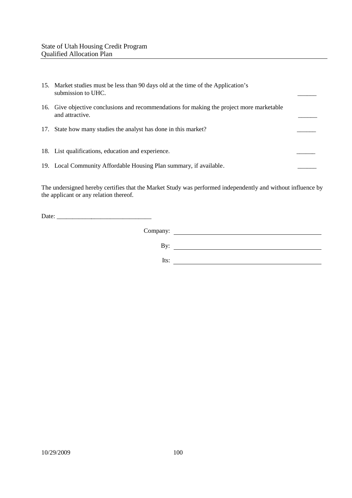| 15. Market studies must be less than 90 days old at the time of the Application's<br>submission to UHC.      |  |
|--------------------------------------------------------------------------------------------------------------|--|
| 16. Give objective conclusions and recommendations for making the project more marketable<br>and attractive. |  |
| 17. State how many studies the analyst has done in this market?                                              |  |
| 18. List qualifications, education and experience.                                                           |  |
| 19. Local Community Affordable Housing Plan summary, if available.                                           |  |

The undersigned hereby certifies that the Market Study was performed independently and without influence by the applicant or any relation thereof.

Date: \_\_\_\_\_\_\_\_\_\_\_\_\_\_\_\_\_\_\_\_\_\_\_\_\_\_\_\_\_\_

Company: By:

Its: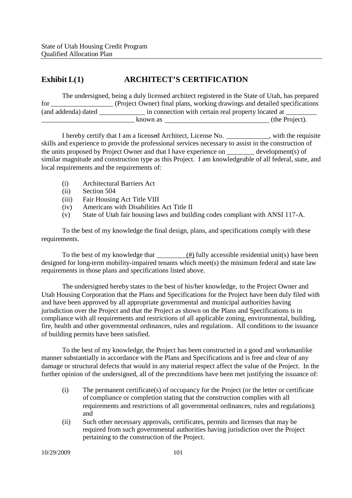# **Exhibit L(1) ARCHITECT'S CERTIFICATION**

|                     | The undersigned, being a duly licensed architect registered in the State of Utah, has prepared |                |
|---------------------|------------------------------------------------------------------------------------------------|----------------|
| for                 | (Project Owner) final plans, working drawings and detailed specifications                      |                |
| (and addenda) dated | in connection with certain real property located at                                            |                |
|                     | known as                                                                                       | (the Project). |

I hereby certify that I am a licensed Architect, License No. \_\_\_\_\_\_\_\_\_\_\_, with the requisite skills and experience to provide the professional services necessary to assist in the construction of the units proposed by Project Owner and that I have experience on \_\_\_\_\_\_\_\_ development(s) of similar magnitude and construction type as this Project. I am knowledgeable of all federal, state, and local requirements and the requirements of:

- (i) Architectural Barriers Act
- (ii) Section 504
- (iii) Fair Housing Act Title VIII
- (iv) Americans with Disabilities Act Title II
- (v) State of Utah fair housing laws and building codes compliant with ANSI 117-A.

To the best of my knowledge the final design, plans, and specifications comply with these requirements.

To the best of my knowledge that  $\frac{(\#)}{(\#)}$  fully accessible residential unit(s) have been designed for long-term mobility-impaired tenants which meet(s) the minimum federal and state law requirements in those plans and specifications listed above.

The undersigned hereby states to the best of his/her knowledge, to the Project Owner and Utah Housing Corporation that the Plans and Specifications for the Project have been duly filed with and have been approved by all appropriate governmental and municipal authorities having jurisdiction over the Project and that the Project as shown on the Plans and Specifications is in compliance with all requirements and restrictions of all applicable zoning, environmental, building, fire, health and other governmental ordinances, rules and regulations. All conditions to the issuance of building permits have been satisfied.

To the best of my knowledge, the Project has been constructed in a good and workmanlike manner substantially in accordance with the Plans and Specifications and is free and clear of any damage or structural defects that would in any material respect affect the value of the Project. In the further opinion of the undersigned, all of the preconditions have been met justifying the issuance of:

- (i) The permanent certificate(s) of occupancy for the Project (or the letter or certificate of compliance or completion stating that the construction complies with all requirements and restrictions of all governmental ordinances, rules and regulations); and
- (ii) Such other necessary approvals, certificates, permits and licenses that may be required from such governmental authorities having jurisdiction over the Project pertaining to the construction of the Project.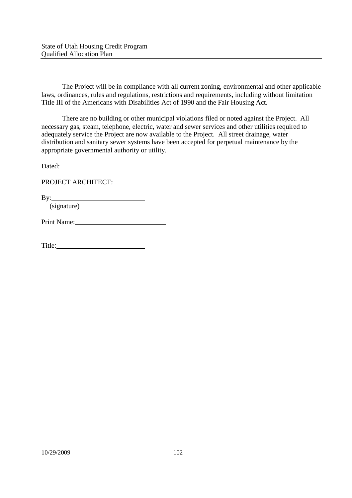The Project will be in compliance with all current zoning, environmental and other applicable laws, ordinances, rules and regulations, restrictions and requirements, including without limitation Title III of the Americans with Disabilities Act of 1990 and the Fair Housing Act.

There are no building or other municipal violations filed or noted against the Project. All necessary gas, steam, telephone, electric, water and sewer services and other utilities required to adequately service the Project are now available to the Project. All street drainage, water distribution and sanitary sewer systems have been accepted for perpetual maintenance by the appropriate governmental authority or utility.

Dated:

PROJECT ARCHITECT:

By:

(signature)

Print Name: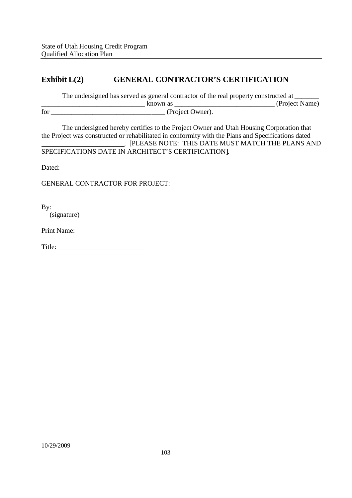# **Exhibit L(2) GENERAL CONTRACTOR'S CERTIFICATION**

The undersigned has served as general contractor of the real property constructed at \_\_\_\_\_\_\_\_\_\_\_\_\_\_\_\_\_\_\_\_\_\_\_\_\_\_\_\_\_\_ known as \_\_\_\_\_\_\_\_\_\_\_\_\_\_\_\_\_\_\_\_\_\_\_\_\_\_\_\_\_ (Project Name) for \_\_\_\_\_\_\_\_\_\_\_\_\_\_\_\_\_\_\_\_\_\_\_\_\_\_\_\_\_\_\_\_\_ (Project Owner).

The undersigned hereby certifies to the Project Owner and Utah Housing Corporation that the Project was constructed or rehabilitated in conformity with the Plans and Specifications dated . [PLEASE NOTE: THIS DATE MUST MATCH THE PLANS AND SPECIFICATIONS DATE IN ARCHITECT'S CERTIFICATION].

Dated: **Dated:** 

GENERAL CONTRACTOR FOR PROJECT:

By:

(signature)

Print Name:

Title: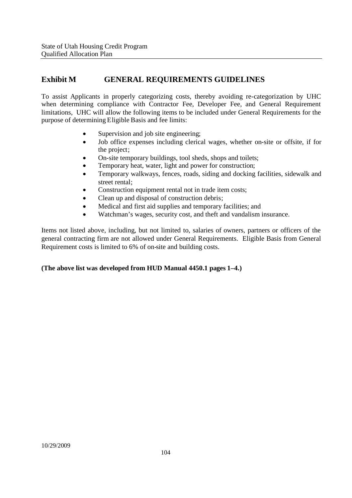# **Exhibit M GENERAL REQUIREMENTS GUIDELINES**

To assist Applicants in properly categorizing costs, thereby avoiding re-categorization by UHC when determining compliance with Contractor Fee, Developer Fee, and General Requirement limitations, UHC will allow the following items to be included under General Requirements for the purpose of determining Eligible Basis and fee limits:

- Supervision and job site engineering;
- Job office expenses including clerical wages, whether on-site or offsite, if for the project;
- On-site temporary buildings, tool sheds, shops and toilets;
- Temporary heat, water, light and power for construction;
- Temporary walkways, fences, roads, siding and docking facilities, sidewalk and street rental;
- Construction equipment rental not in trade item costs;
- Clean up and disposal of construction debris;
- Medical and first aid supplies and temporary facilities; and
- Watchman's wages, security cost, and theft and vandalism insurance.

Items not listed above, including, but not limited to, salaries of owners, partners or officers of the general contracting firm are not allowed under General Requirements. Eligible Basis from General Requirement costs is limited to 6% of on-site and building costs.

#### **(The above list was developed from HUD Manual 4450.1 pages 1–4.)**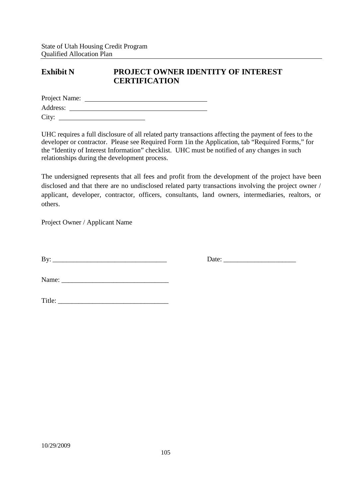## **Exhibit N PROJECT OWNER IDENTITY OF INTEREST CERTIFICATION**

| Project Name: |  |  |  |
|---------------|--|--|--|
| Address:      |  |  |  |
| City:         |  |  |  |

UHC requires a full disclosure of all related party transactions affecting the payment of fees to the developer or contractor. Please see Required Form 1in the Application, tab "Required Forms," for the "Identity of Interest Information" checklist. UHC must be notified of any changes in such relationships during the development process.

The undersigned represents that all fees and profit from the development of the project have been disclosed and that there are no undisclosed related party transactions involving the project owner / applicant, developer, contractor, officers, consultants, land owners, intermediaries, realtors, or others.

Project Owner / Applicant Name

By: \_\_\_\_\_\_\_\_\_\_\_\_\_\_\_\_\_\_\_\_\_\_\_\_\_\_\_\_\_\_\_\_\_ Date: \_\_\_\_\_\_\_\_\_\_\_\_\_\_\_\_\_\_\_\_\_

Name: \_\_\_\_\_\_\_\_\_\_\_\_\_\_\_\_\_\_\_\_\_\_\_\_\_\_\_\_\_\_\_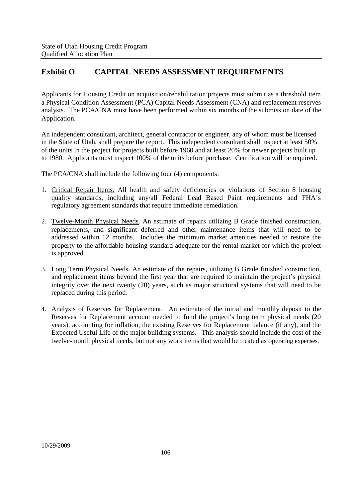# **Exhibit O CAPITAL NEEDS ASSESSMENT REQUIREMENTS**

Applicants for Housing Credit on acquisition/rehabilitation projects must submit as a threshold item a Physical Condition Assessment (PCA) Capital Needs Assessment (CNA) and replacement reserves analysis. The PCA/CNA must have been performed within six months of the submission date of the Application.

An independent consultant, architect, general contractor or engineer, any of whom must be licensed in the State of Utah, shall prepare the report. This independent consultant shall inspect at least 50% of the units in the project for projects built before 1960 and at least 20% for newer projects built up to 1980. Applicants must inspect 100% of the units before purchase. Certification will be required.

The PCA/CNA shall include the following four (4) components:

- 1. Critical Repair Items. All health and safety deficiencies or violations of Section 8 housing quality standards, including any/all Federal Lead Based Paint requirements and FHA's regulatory agreement standards that require immediate remediation.
- 2. Twelve-Month Physical Needs. An estimate of repairs utilizing B Grade finished construction, replacements, and significant deferred and other maintenance items that will need to be addressed within 12 months. Includes the minimum market amenities needed to restore the property to the affordable housing standard adequate for the rental market for which the project is approved.
- 3. Long Term Physical Needs. An estimate of the repairs, utilizing B Grade finished construction, and replacement items beyond the first year that are required to maintain the project's physical integrity over the next twenty (20) years, such as major structural systems that will need to be replaced during this period.
- 4. Analysis of Reserves for Replacement. An estimate of the initial and monthly deposit to the Reserves for Replacement account needed to fund the project's long term physical needs (20 years), accounting for inflation, the existing Reserves for Replacement balance (if any), and the Expected Useful Life of the major building systems. This analysis should include the cost of the twelve-month physical needs, but not any work items that would be treated as operating expenses.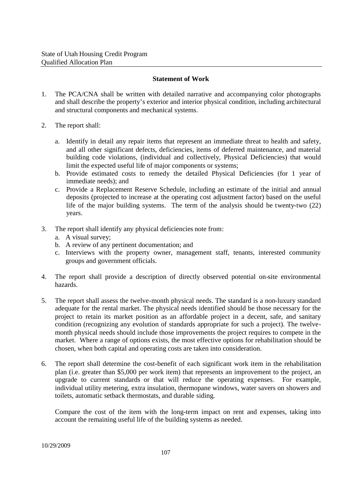#### **Statement of Work**

- 1. The PCA/CNA shall be written with detailed narrative and accompanying color photographs and shall describe the property's exterior and interior physical condition, including architectural and structural components and mechanical systems.
- 2. The report shall:
	- a. Identify in detail any repair items that represent an immediate threat to health and safety, and all other significant defects, deficiencies, items of deferred maintenance, and material building code violations, (individual and collectively, Physical Deficiencies) that would limit the expected useful life of major components or systems:
	- b. Provide estimated costs to remedy the detailed Physical Deficiencies (for 1 year of immediate needs); and
	- c. Provide a Replacement Reserve Schedule, including an estimate of the initial and annual deposits (projected to increase at the operating cost adjustment factor) based on the useful life of the major building systems. The term of the analysis should be twenty-two (22) years.
- 3. The report shall identify any physical deficiencies note from:
	- a. A visual survey;
	- b. A review of any pertinent documentation; and
	- c. Interviews with the property owner, management staff, tenants, interested community groups and government officials.
- 4. The report shall provide a description of directly observed potential on-site environmental hazards.
- 5. The report shall assess the twelve-month physical needs. The standard is a non-luxury standard adequate for the rental market. The physical needs identified should be those necessary for the project to retain its market position as an affordable project in a decent, safe, and sanitary condition (recognizing any evolution of standards appropriate for such a project). The twelvemonth physical needs should include those improvements the project requires to compete in the market. Where a range of options exists, the most effective options for rehabilitation should be chosen, when both capital and operating costs are taken into consideration.
- 6. The report shall determine the cost-benefit of each significant work item in the rehabilitation plan (i.e. greater than \$5,000 per work item) that represents an improvement to the project, an upgrade to current standards or that will reduce the operating expenses. For example, individual utility metering, extra insulation, thermopane windows, water savers on showers and toilets, automatic setback thermostats, and durable siding.

Compare the cost of the item with the long-term impact on rent and expenses, taking into account the remaining useful life of the building systems as needed.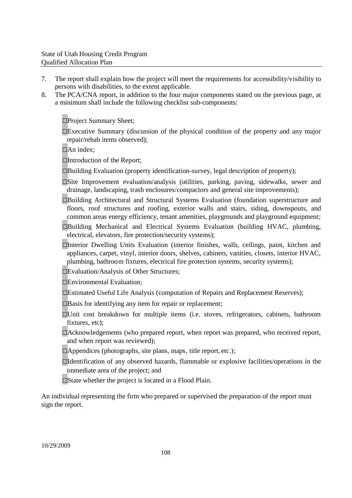- 7. The report shall explain how the project will meet the requirements for accessibility/visibility to persons with disabilities, to the extent applicable.
- 8. The PCA/CNA report, in addition to the four major components stated on the previous page, at a minimum shall include the following checklist sub-components:

□Project Summary Sheet:

 $\square$ Executive Summary (discussion of the physical condition of the property and any major repair/rehab items observed);

 $\Box$ An index:

□Introduction of the Report;

 $\square$ Building Evaluation (property identification-survey, legal description of property);

- □Site Improvement evaluation/analysis (utilities, parking, paving, sidewalks, sewer and drainage, landscaping, trash enclosures/compactors and general site improvements);
- □Building Architectural and Structural Systems Evaluation (foundation superstructure and floors, roof structures and roofing, exterior walls and stairs, siding, downspouts, and common areas energy efficiency, tenant amenities, playgrounds and playground equipment;
- □Building Mechanical and Electrical Systems Evaluation (building HVAC, plumbing, electrical, elevators, fire protection/security systems);
- □Interior Dwelling Units Evaluation (interior finishes, walls, ceilings, paint, kitchen and appliances, carpet, vinyl, interior doors, shelves, cabinets, vanities, closets, interior HVAC, plumbing, bathroom fixtures, electrical fire protection systems, security systems);

□Evaluation/Analysis of Other Structures;

□Environmental Evaluation;

- □Estimated Useful Life Analysis (computation of Repairs and Replacement Reserves);
- □Basis for identifying any item for repair or replacement;
- □Unit cost breakdown for multiple items (i.e. stoves, refrigerators, cabinets, bathroom fixtures, etc):
- □Acknowledgements (who prepared report, when report was prepared, who received report, and when report was reviewed);
- $\Box$ Appendices (photographs, site plans, maps, title report, etc.);
- □Identification of any observed hazards, flammable or explosive facilities/operations in the immediate area of the project; and
- $\square$ State whether the project is located in a Flood Plain.

An individual representing the firm who prepared or supervised the preparation of the report must sign the report.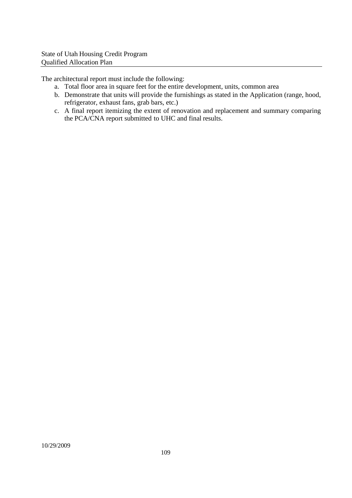The architectural report must include the following:

- a. Total floor area in square feet for the entire development, units, common area
- b. Demonstrate that units will provide the furnishings as stated in the Application (range, hood, refrigerator, exhaust fans, grab bars, etc.)
- c. A final report itemizing the extent of renovation and replacement and summary comparing the PCA/CNA report submitted to UHC and final results.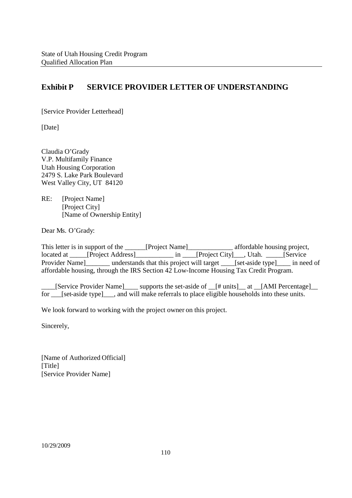# **Exhibit P SERVICE PROVIDER LETTER OF UNDERSTANDING**

[Service Provider Letterhead]

[Date]

Claudia O'Grady V.P. Multifamily Finance Utah Housing Corporation 2479 S. Lake Park Boulevard West Valley City, UT 84120

RE: [Project Name] [Project City] [Name of Ownership Entity]

Dear Ms. O'Grady:

This letter is in support of the \_\_\_\_\_\_[Project Name]\_\_\_\_\_\_\_\_\_\_\_\_\_\_\_ affordable housing project, located at \_\_\_\_\_[Project Address]\_\_\_\_\_\_\_\_\_\_\_ in \_\_\_\_[Project City]\_\_\_, Utah. \_\_\_\_\_[Service Provider Name | understands that this project will target \_\_\_\_[set-aside type | \_\_\_\_\_ in need of affordable housing, through the IRS Section 42 Low-Income Housing Tax Credit Program.

\_\_\_\_[Service Provider Name]\_\_\_\_ supports the set-aside of \_\_[# units]\_\_ at \_\_[AMI Percentage]\_\_ for \_\_\_[set-aside type]\_\_\_, and will make referrals to place eligible households into these units.

We look forward to working with the project owner on this project.

Sincerely,

[Name of Authorized Official] [Title] [Service Provider Name]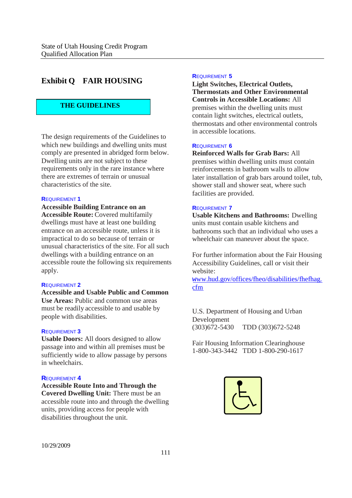# **Exhibit Q FAIR HOUSING**

#### **THE GUIDELINES**

The design requirements of the Guidelines to which new buildings and dwelling units must comply are presented in abridged form below. Dwelling units are not subject to these requirements only in the rare instance where there are extremes of terrain or unusual characteristics of the site.

#### **R**EQUIREMENT **1**

**Accessible Building Entrance on an Accessible Route:** Covered multifamily dwellings must have at least one building entrance on an accessible route, unless it is impractical to do so because of terrain or unusual characteristics of the site. For all such dwellings with a building entrance on an accessible route the following six requirements apply.

#### **R**EQUIREMENT **2**

**Accessible and Usable Public and Common Use Areas:** Public and common use areas must be readily accessible to and usable by people with disabilities.

#### **R**EQUIREMENT **3**

**Usable Doors:** All doors designed to allow passage into and within all premises must be sufficiently wide to allow passage by persons in wheelchairs.

#### **R**EQUIREMENT **4**

**Accessible Route Into and Through the Covered Dwelling Unit:** There must be an accessible route into and through the dwelling units, providing access for people with disabilities throughout the unit.

#### **R**EQUIREMENT **5**

**Light Switches, Electrical Outlets, Thermostats and Other Environmental Controls in Accessible Locations:** All premises within the dwelling units must contain light switches, electrical outlets, thermostats and other environmental controls in accessible locations.

#### **R**EQUIREMENT **6**

**Reinforced Walls for Grab Bars:** All premises within dwelling units must contain reinforcements in bathroom walls to allow later installation of grab bars around toilet, tub, shower stall and shower seat, where such facilities are provided.

#### **R**EQUIREMENT **7**

**Usable Kitchens and Bathrooms:** Dwelling units must contain usable kitchens and bathrooms such that an individual who uses a wheelchair can maneuver about the space.

For further information about the Fair Housing Accessibility Guidelines, call or visit their website:

www.hud.gov/offices/fheo/disabilities/fhefhag. cfm

U.S. Department of Housing and Urban Development (303)672-5430 TDD (303)672-5248

Fair Housing Information Clearinghouse 1-800-343-3442 TDD 1-800-290-1617

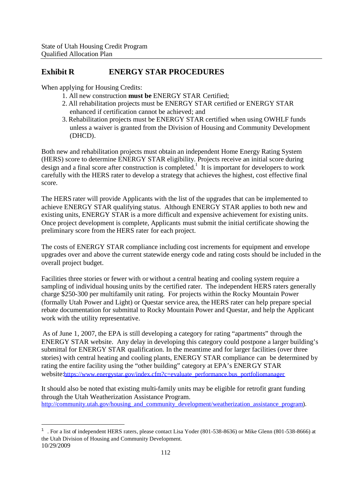# **Exhibit R ENERGY STAR PROCEDURES**

When applying for Housing Credits:

- 1. All new construction **must be** ENERGY STAR Certified;
- 2. All rehabilitation projects must be ENERGY STAR certified or ENERGY STAR enhanced if certification cannot be achieved; and
- 3. Rehabilitation projects must be ENERGY STAR certified when using OWHLF funds unless a waiver is granted from the Division of Housing and Community Development (DHCD).

Both new and rehabilitation projects must obtain an independent Home Energy Rating System (HERS) score to determine ENERGY STAR eligibility. Projects receive an initial score during design and a final score after construction is completed.<sup>1</sup> It is important for developers to work carefully with the HERS rater to develop a strategy that achieves the highest, cost effective final score.

The HERS rater will provide Applicants with the list of the upgrades that can be implemented to achieve ENERGY STAR qualifying status. Although ENERGY STAR applies to both new and existing units, ENERGY STAR is a more difficult and expensive achievement for existing units. Once project development is complete, Applicants must submit the initial certificate showing the preliminary score from the HERS rater for each project.

The costs of ENERGY STAR compliance including cost increments for equipment and envelope upgrades over and above the current statewide energy code and rating costs should be included in the overall project budget.

Facilities three stories or fewer with or without a central heating and cooling system require a sampling of individual housing units by the certified rater. The independent HERS raters generally charge \$250-300 per multifamily unit rating. For projects within the Rocky Mountain Power (formally Utah Power and Light) or Questar service area, the HERS rater can help prepare special rebate documentation for submittal to Rocky Mountain Power and Questar, and help the Applicant work with the utility representative.

As of June 1, 2007, the EPA is still developing a category for rating "apartments" through the ENERGY STAR website. Any delay in developing this category could postpone a larger building's submittal for ENERGY STAR qualification. In the meantime and for larger facilities (over three stories) with central heating and cooling plants, ENERGY STAR compliance can be determined by rating the entire facility using the "other building" category at EPA's ENERGY STAR website:https://www.energystar.gov/index.cfm?c=evaluate\_performance.bus\_portfoliomanager

It should also be noted that existing multi-family units may be eligible for retrofit grant funding through the Utah Weatherization Assistance Program. http://community.utah.gov/housing\_and\_community\_development/weatherization\_assistance\_program).

<sup>10/29/2009</sup> <sup>1</sup> . For a list of independent HERS raters, please contact Lisa Yoder (801-538-8636) or Mike Glenn (801-538-8666) at the Utah Division of Housing and Community Development.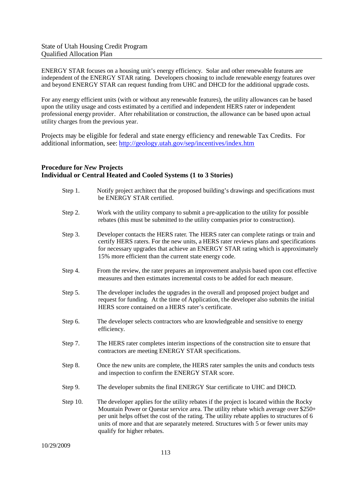ENERGY STAR focuses on a housing unit's energy efficiency. Solar and other renewable features are independent of the ENERGY STAR rating. Developers choosing to include renewable energy features over and beyond ENERGY STAR can request funding from UHC and DHCD for the additional upgrade costs.

For any energy efficient units (with or without any renewable features), the utility allowances can be based upon the utility usage and costs estimated by a certified and independent HERS rater or independent professional energy provider. After rehabilitation or construction, the allowance can be based upon actual utility charges from the previous year.

Projects may be eligible for federal and state energy efficiency and renewable Tax Credits. For additional information, see: http://geology.utah.gov/sep/incentives/index.htm

## **Procedure for** *New* **Projects Individual or Central Heated and Cooled Systems (1 to 3 Stories)**

| Step 1.  | Notify project architect that the proposed building's drawings and specifications must<br>be ENERGY STAR certified.                                                                                                                                                                                                                                                                                   |
|----------|-------------------------------------------------------------------------------------------------------------------------------------------------------------------------------------------------------------------------------------------------------------------------------------------------------------------------------------------------------------------------------------------------------|
| Step 2.  | Work with the utility company to submit a pre-application to the utility for possible<br>rebates (this must be submitted to the utility companies prior to construction).                                                                                                                                                                                                                             |
| Step 3.  | Developer contacts the HERS rater. The HERS rater can complete ratings or train and<br>certify HERS raters. For the new units, a HERS rater reviews plans and specifications<br>for necessary upgrades that achieve an ENERGY STAR rating which is approximately<br>15% more efficient than the current state energy code.                                                                            |
| Step 4.  | From the review, the rater prepares an improvement analysis based upon cost effective<br>measures and then estimates incremental costs to be added for each measure.                                                                                                                                                                                                                                  |
| Step 5.  | The developer includes the upgrades in the overall and proposed project budget and<br>request for funding. At the time of Application, the developer also submits the initial<br>HERS score contained on a HERS rater's certificate.                                                                                                                                                                  |
| Step 6.  | The developer selects contractors who are knowledgeable and sensitive to energy<br>efficiency.                                                                                                                                                                                                                                                                                                        |
| Step 7.  | The HERS rater completes interim inspections of the construction site to ensure that<br>contractors are meeting ENERGY STAR specifications.                                                                                                                                                                                                                                                           |
| Step 8.  | Once the new units are complete, the HERS rater samples the units and conducts tests<br>and inspection to confirm the ENERGY STAR score.                                                                                                                                                                                                                                                              |
| Step 9.  | The developer submits the final ENERGY Star certificate to UHC and DHCD.                                                                                                                                                                                                                                                                                                                              |
| Step 10. | The developer applies for the utility rebates if the project is located within the Rocky<br>Mountain Power or Questar service area. The utility rebate which average over \$250+<br>per unit helps offset the cost of the rating. The utility rebate applies to structures of 6<br>units of more and that are separately metered. Structures with 5 or fewer units may<br>qualify for higher rebates. |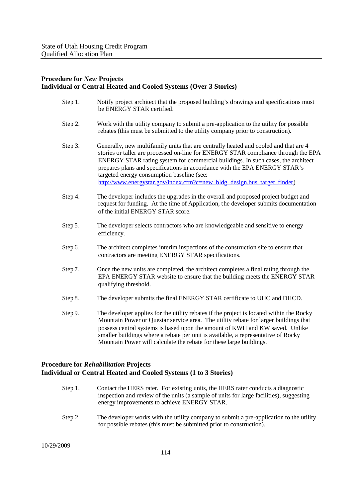#### **Procedure for** *New* **Projects Individual or Central Heated and Cooled Systems (Over 3 Stories)**

| Step 1. | Notify project architect that the proposed building's drawings and specifications must<br>be ENERGY STAR certified.                                                                                                                                                                                                                                                                                                                                                    |
|---------|------------------------------------------------------------------------------------------------------------------------------------------------------------------------------------------------------------------------------------------------------------------------------------------------------------------------------------------------------------------------------------------------------------------------------------------------------------------------|
| Step 2. | Work with the utility company to submit a pre-application to the utility for possible<br>rebates (this must be submitted to the utility company prior to construction).                                                                                                                                                                                                                                                                                                |
| Step 3. | Generally, new multifamily units that are centrally heated and cooled and that are 4<br>stories or taller are processed on-line for ENERGY STAR compliance through the EPA<br>ENERGY STAR rating system for commercial buildings. In such cases, the architect<br>prepares plans and specifications in accordance with the EPA ENERGY STAR's<br>targeted energy consumption baseline (see:<br>http://www.energystar.gov/index.cfm?c=new_bldg_design.bus_target_finder) |
| Step 4. | The developer includes the upgrades in the overall and proposed project budget and<br>request for funding. At the time of Application, the developer submits documentation<br>of the initial ENERGY STAR score.                                                                                                                                                                                                                                                        |
| Step 5. | The developer selects contractors who are knowledgeable and sensitive to energy<br>efficiency.                                                                                                                                                                                                                                                                                                                                                                         |
| Step 6. | The architect completes interim inspections of the construction site to ensure that<br>contractors are meeting ENERGY STAR specifications.                                                                                                                                                                                                                                                                                                                             |
| Step 7. | Once the new units are completed, the architect completes a final rating through the<br>EPA ENERGY STAR website to ensure that the building meets the ENERGY STAR<br>qualifying threshold.                                                                                                                                                                                                                                                                             |
| Step 8. | The developer submits the final ENERGY STAR certificate to UHC and DHCD.                                                                                                                                                                                                                                                                                                                                                                                               |
| Step 9. | The developer applies for the utility rebates if the project is located within the Rocky<br>Mountain Power or Questar service area. The utility rebate for larger buildings that<br>possess central systems is based upon the amount of KWH and KW saved. Unlike<br>smaller buildings where a rebate per unit is available, a representative of Rocky<br>Mountain Power will calculate the rebate for these large buildings.                                           |
|         |                                                                                                                                                                                                                                                                                                                                                                                                                                                                        |

## **Procedure for** *Rehabilitation* **Projects Individual or Central Heated and Cooled Systems (1 to 3 Stories)**

- Step 1. Contact the HERS rater. For existing units, the HERS rater conducts a diagnostic inspection and review of the units (a sample of units for large facilities), suggesting energy improvements to achieve ENERGY STAR.
- Step 2. The developer works with the utility company to submit a pre-application to the utility for possible rebates (this must be submitted prior to construction).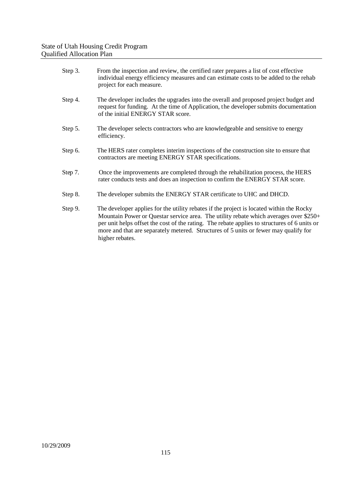| Step 3. | From the inspection and review, the certified rater prepares a list of cost effective<br>individual energy efficiency measures and can estimate costs to be added to the rehab<br>project for each measure.                                                                                                                                                                                  |
|---------|----------------------------------------------------------------------------------------------------------------------------------------------------------------------------------------------------------------------------------------------------------------------------------------------------------------------------------------------------------------------------------------------|
| Step 4. | The developer includes the upgrades into the overall and proposed project budget and<br>request for funding. At the time of Application, the developer submits documentation<br>of the initial ENERGY STAR score.                                                                                                                                                                            |
| Step 5. | The developer selects contractors who are knowledgeable and sensitive to energy<br>efficiency.                                                                                                                                                                                                                                                                                               |
| Step 6. | The HERS rater completes interim inspections of the construction site to ensure that<br>contractors are meeting ENERGY STAR specifications.                                                                                                                                                                                                                                                  |
| Step 7. | Once the improvements are completed through the rehabilitation process, the HERS<br>rater conducts tests and does an inspection to confirm the ENERGY STAR score.                                                                                                                                                                                                                            |
| Step 8. | The developer submits the ENERGY STAR certificate to UHC and DHCD.                                                                                                                                                                                                                                                                                                                           |
| Step 9. | The developer applies for the utility rebates if the project is located within the Rocky<br>Mountain Power or Questar service area. The utility rebate which averages over \$250+<br>per unit helps offset the cost of the rating. The rebate applies to structures of 6 units or<br>more and that are separately metered. Structures of 5 units or fewer may qualify for<br>higher rebates. |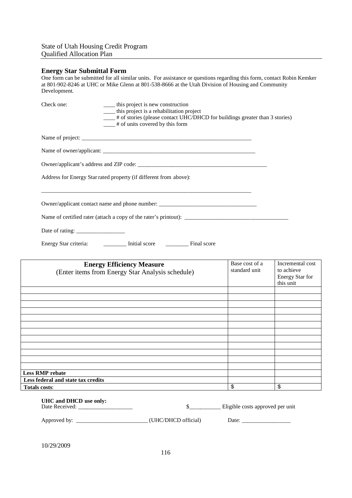#### **Energy Star Submittal Form**

One form can be submitted for all similar units. For assistance or questions regarding this form, contact Robin Kemker at 801-902-8246 at UHC or Mike Glenn at 801-538-8666 at the Utah Division of Housing and Community Development.

| Check one: | _____ this project is new construction<br>____ this project is a rehabilitation project<br><sup>#</sup> of stories (please contact UHC/DHCD for buildings greater than 3 stories)<br>$\frac{1}{2}$ # of units covered by this form |
|------------|------------------------------------------------------------------------------------------------------------------------------------------------------------------------------------------------------------------------------------|
|            |                                                                                                                                                                                                                                    |
|            |                                                                                                                                                                                                                                    |
|            |                                                                                                                                                                                                                                    |
|            | Address for Energy Star rated property (if different from above):                                                                                                                                                                  |
|            |                                                                                                                                                                                                                                    |
|            | Owner/applicant contact name and phone number: __________________________________                                                                                                                                                  |
|            | Name of certified rater (attach a copy of the rater's printout):                                                                                                                                                                   |
|            |                                                                                                                                                                                                                                    |
|            | Energy Star criteria: ___________ Initial score __________ Final score                                                                                                                                                             |

| <b>Energy Efficiency Measure</b><br>(Enter items from Energy Star Analysis schedule) | Base cost of a<br>standard unit  | Incremental cost<br>to achieve<br>Energy Star for<br>this unit |
|--------------------------------------------------------------------------------------|----------------------------------|----------------------------------------------------------------|
|                                                                                      |                                  |                                                                |
|                                                                                      |                                  |                                                                |
|                                                                                      |                                  |                                                                |
|                                                                                      |                                  |                                                                |
|                                                                                      |                                  |                                                                |
|                                                                                      |                                  |                                                                |
|                                                                                      |                                  |                                                                |
|                                                                                      |                                  |                                                                |
|                                                                                      |                                  |                                                                |
|                                                                                      |                                  |                                                                |
|                                                                                      |                                  |                                                                |
| <b>Less RMP rebate</b>                                                               |                                  |                                                                |
| Less federal and state tax credits                                                   |                                  |                                                                |
| <b>Totals costs:</b>                                                                 | \$                               | \$                                                             |
| UHC and DHCD use only:                                                               | Eligible costs approved per unit |                                                                |

10/29/2009

Approved by: \_\_\_\_\_\_\_\_\_\_\_\_\_\_\_\_\_\_\_\_\_\_\_\_\_ (UHC/DHCD official) Date: \_\_\_\_\_\_\_\_\_\_\_\_\_\_\_\_\_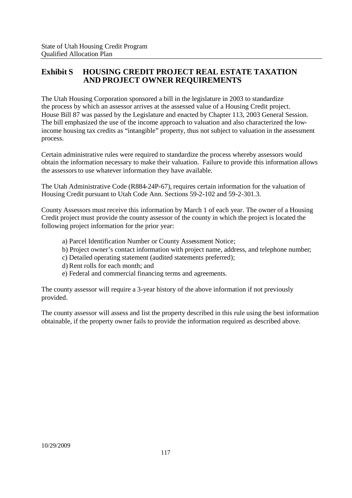# **Exhibit S HOUSING CREDIT PROJECT REAL ESTATE TAXATION AND PROJECT OWNER REQUIREMENTS**

The Utah Housing Corporation sponsored a bill in the legislature in 2003 to standardize the process by which an assessor arrives at the assessed value of a Housing Credit project. House Bill 87 was passed by the Legislature and enacted by Chapter 113, 2003 General Session. The bill emphasized the use of the income approach to valuation and also characterized the lowincome housing tax credits as "intangible" property, thus not subject to valuation in the assessment process.

Certain administrative rules were required to standardize the process whereby assessors would obtain the information necessary to make their valuation. Failure to provide this information allows the assessors to use whatever information they have available.

The Utah Administrative Code (R884-24P-67), requires certain information for the valuation of Housing Credit pursuant to Utah Code Ann. Sections 59-2-102 and 59-2-301.3.

County Assessors must receive this information by March 1 of each year. The owner of a Housing Credit project must provide the county assessor of the county in which the project is located the following project information for the prior year:

- a) Parcel Identification Number or County Assessment Notice;
- b) Project owner's contact information with project name, address, and telephone number;
- c) Detailed operating statement (audited statements preferred);
- d) Rent rolls for each month; and
- e) Federal and commercial financing terms and agreements.

The county assessor will require a 3-year history of the above information if not previously provided.

The county assessor will assess and list the property described in this rule using the best information obtainable, if the property owner fails to provide the information required as described above.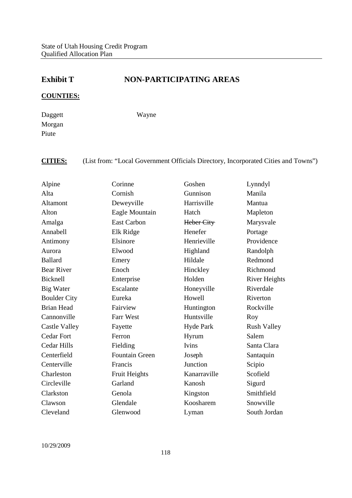# **Exhibit T NON-PARTICIPATING AREAS**

## **COUNTIES:**

Daggett Morgan Piute

Wayne

**CITIES:** (List from: "Local Government Officials Directory, Incorporated Cities and Towns")

| Alpine               | Corinne               | Goshen           | Lynndyl              |
|----------------------|-----------------------|------------------|----------------------|
| Alta                 | Cornish               | Gunnison         | Manila               |
| Altamont             | Deweyville            | Harrisville      | Mantua               |
| Alton                | Eagle Mountain        | Hatch            | Mapleton             |
| Amalga               | <b>East Carbon</b>    | Heber City       | Marysvale            |
| Annabell             | Elk Ridge             | Henefer          | Portage              |
| Antimony             | Elsinore              | Henrieville      | Providence           |
| Aurora               | Elwood                | Highland         | Randolph             |
| <b>Ballard</b>       | Emery                 | Hildale          | Redmond              |
| <b>Bear River</b>    | Enoch                 | Hinckley         | Richmond             |
| Bicknell             | Enterprise            | Holden           | <b>River Heights</b> |
| Big Water            | Escalante             | Honeyville       | Riverdale            |
| <b>Boulder City</b>  | Eureka                | Howell           | Riverton             |
| <b>Brian Head</b>    | Fairview              | Huntington       | Rockville            |
| Cannonville          | Farr West             | Huntsville       | Roy                  |
| <b>Castle Valley</b> | Fayette               | <b>Hyde Park</b> | <b>Rush Valley</b>   |
| <b>Cedar Fort</b>    | Ferron                | Hyrum            | Salem                |
| <b>Cedar Hills</b>   | Fielding              | Ivins            | Santa Clara          |
| Centerfield          | <b>Fountain Green</b> | Joseph           | Santaquin            |
| Centerville          | Francis               | Junction         | Scipio               |
| Charleston           | <b>Fruit Heights</b>  | Kanarraville     | Scofield             |
| Circleville          | Garland               | Kanosh           | Sigurd               |
| Clarkston            | Genola                | Kingston         | Smithfield           |
| Clawson              | Glendale              | Koosharem        | Snowville            |
| Cleveland            | Glenwood              | Lyman            | South Jordan         |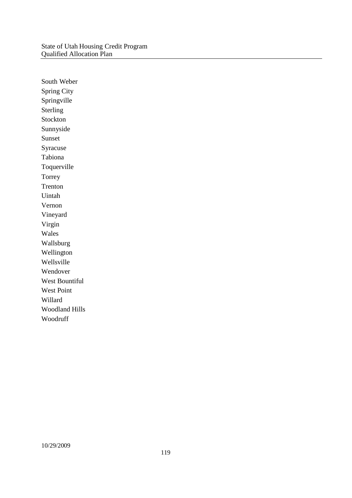South Weber Spring City Springville Sterling Stockton Sunnyside Sunset Syracuse Tabiona Toquerville Torrey Trenton Uintah Vernon Vineyard Virgin Wales Wallsburg Wellington Wellsville Wendover West Bountiful West Point Willard Woodland Hills Woodruff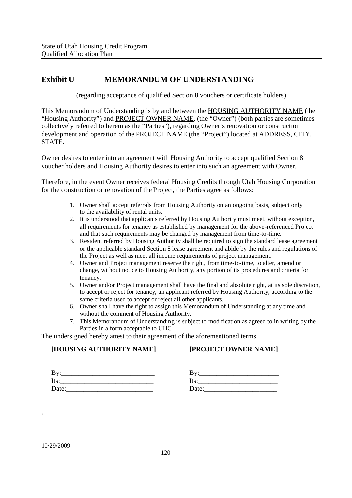# **Exhibit U MEMORANDUM OF UNDERSTANDING**

(regarding acceptance of qualified Section 8 vouchers or certificate holders)

This Memorandum of Understanding is by and between the HOUSING AUTHORITY NAME (the "Housing Authority") and PROJECT OWNER NAME, (the "Owner") (both parties are sometimes collectively referred to herein as the "Parties"), regarding Owner's renovation or construction development and operation of the PROJECT NAME (the "Project") located at ADDRESS, CITY, STATE.

Owner desires to enter into an agreement with Housing Authority to accept qualified Section 8 voucher holders and Housing Authority desires to enter into such an agreement with Owner.

Therefore, in the event Owner receives federal Housing Credits through Utah Housing Corporation for the construction or renovation of the Project, the Parties agree as follows:

- 1. Owner shall accept referrals from Housing Authority on an ongoing basis, subject only to the availability of rental units.
- 2. It is understood that applicants referred by Housing Authority must meet, without exception, all requirements for tenancy as established by management for the above-referenced Project and that such requirements may be changed by management from time-to-time.
- 3. Resident referred by Housing Authority shall be required to sign the standard lease agreement or the applicable standard Section 8 lease agreement and abide by the rules and regulations of the Project as well as meet all income requirements of project management.
- 4. Owner and Project management reserve the right, from time-to-time, to alter, amend or change, without notice to Housing Authority, any portion of its procedures and criteria for tenancy.
- 5. Owner and/or Project management shall have the final and absolute right, at its sole discretion, to accept or reject for tenancy, an applicant referred by Housing Authority, according to the same criteria used to accept or reject all other applicants.
- 6. Owner shall have the right to assign this Memorandum of Understanding at any time and without the comment of Housing Authority.
- 7. This Memorandum of Understanding is subject to modification as agreed to in writing by the Parties in a form acceptable to UHC.

The undersigned hereby attest to their agreement of the aforementioned terms.

## **[HOUSING AUTHORITY NAME]**

## **[PROJECT OWNER NAME]**

| By:   |  |  |  |
|-------|--|--|--|
| Its:  |  |  |  |
| Date: |  |  |  |

|  | Date:_______________ |
|--|----------------------|

.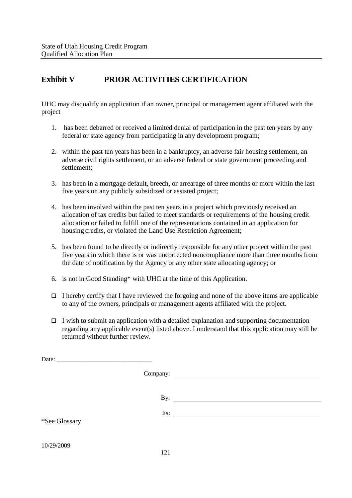# **Exhibit V PRIOR ACTIVITIES CERTIFICATION**

UHC may disqualify an application if an owner, principal or management agent affiliated with the project

- 1. has been debarred or received a limited denial of participation in the past ten years by any federal or state agency from participating in any development program;
- 2. within the past ten years has been in a bankruptcy, an adverse fair housing settlement, an adverse civil rights settlement, or an adverse federal or state government proceeding and settlement;
- 3. has been in a mortgage default, breech, or arrearage of three months or more within the last five years on any publicly subsidized or assisted project;
- 4. has been involved within the past ten years in a project which previously received an allocation of tax credits but failed to meet standards or requirements of the housing credit allocation or failed to fulfill one of the representations contained in an application for housing credits, or violated the Land Use Restriction Agreement;
- 5. has been found to be directly or indirectly responsible for any other project within the past five years in which there is or was uncorrected noncompliance more than three months from the date of notification by the Agency or any other state allocating agency; or
- 6. is not in Good Standing\* with UHC at the time of this Application.
- $\Box$  I hereby certify that I have reviewed the forgoing and none of the above items are applicable to any of the owners, principals or management agents affiliated with the project.
- $\Box$  I wish to submit an application with a detailed explanation and supporting documentation regarding any applicable event(s) listed above. I understand that this application may still be returned without further review.

|               | Company: |                     |
|---------------|----------|---------------------|
|               |          | By: $\qquad \qquad$ |
| *See Glossary | Its:     |                     |
| 10/29/2009    | 121      |                     |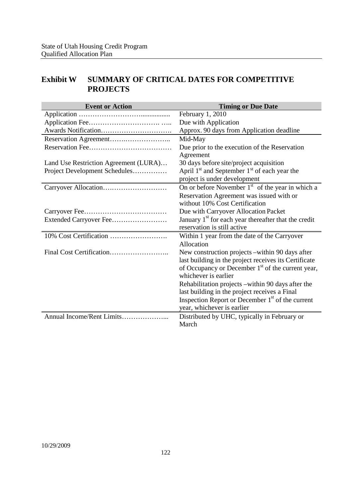# **Exhibit W SUMMARY OF CRITICAL DATES FOR COMPETITIVE PROJECTS**

| <b>Event or Action</b>                | <b>Timing or Due Date</b>                                                                                                                                                                          |
|---------------------------------------|----------------------------------------------------------------------------------------------------------------------------------------------------------------------------------------------------|
|                                       | February 1, 2010                                                                                                                                                                                   |
|                                       | Due with Application                                                                                                                                                                               |
|                                       | Approx. 90 days from Application deadline                                                                                                                                                          |
|                                       | Mid-May                                                                                                                                                                                            |
|                                       | Due prior to the execution of the Reservation<br>Agreement                                                                                                                                         |
| Land Use Restriction Agreement (LURA) | 30 days before site/project acquisition                                                                                                                                                            |
| Project Development Schedules         | April $1st$ and September $1st$ of each year the<br>project is under development                                                                                                                   |
|                                       | On or before November $1st$ of the year in which a                                                                                                                                                 |
|                                       | Reservation Agreement was issued with or<br>without 10% Cost Certification                                                                                                                         |
|                                       | Due with Carryover Allocation Packet                                                                                                                                                               |
| Extended Carryover Fee                | January 1 <sup>st</sup> for each year thereafter that the credit<br>reservation is still active                                                                                                    |
|                                       | Within 1 year from the date of the Carryover<br>Allocation                                                                                                                                         |
|                                       | New construction projects – within 90 days after<br>last building in the project receives its Certificate<br>of Occupancy or December 1 <sup>st</sup> of the current year,<br>whichever is earlier |
|                                       | Rehabilitation projects – within 90 days after the<br>last building in the project receives a Final<br>Inspection Report or December 1 <sup>st</sup> of the current<br>year, whichever is earlier  |
| Annual Income/Rent Limits             | Distributed by UHC, typically in February or<br>March                                                                                                                                              |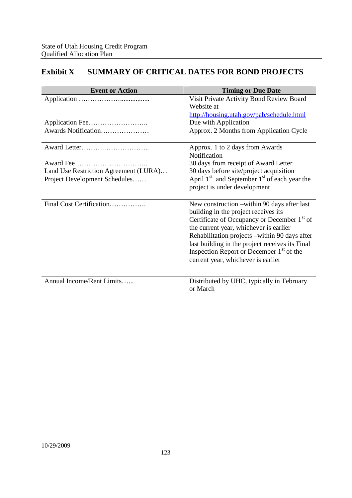# **Exhibit X SUMMARY OF CRITICAL DATES FOR BOND PROJECTS**

| <b>Event or Action</b>                | <b>Timing or Due Date</b>                                                                                                                                                                                                                                                                                                                                                                  |
|---------------------------------------|--------------------------------------------------------------------------------------------------------------------------------------------------------------------------------------------------------------------------------------------------------------------------------------------------------------------------------------------------------------------------------------------|
|                                       | Visit Private Activity Bond Review Board<br>Website at                                                                                                                                                                                                                                                                                                                                     |
|                                       | http://housing.utah.gov/pab/schedule.html                                                                                                                                                                                                                                                                                                                                                  |
|                                       | Due with Application                                                                                                                                                                                                                                                                                                                                                                       |
| Awards Notification                   | Approx. 2 Months from Application Cycle                                                                                                                                                                                                                                                                                                                                                    |
|                                       | Approx. 1 to 2 days from Awards                                                                                                                                                                                                                                                                                                                                                            |
|                                       | <b>Notification</b>                                                                                                                                                                                                                                                                                                                                                                        |
|                                       | 30 days from receipt of Award Letter                                                                                                                                                                                                                                                                                                                                                       |
| Land Use Restriction Agreement (LURA) | 30 days before site/project acquisition                                                                                                                                                                                                                                                                                                                                                    |
| Project Development Schedules         | April $1st$ and September $1st$ of each year the                                                                                                                                                                                                                                                                                                                                           |
|                                       | project is under development                                                                                                                                                                                                                                                                                                                                                               |
| Final Cost Certification              | New construction –within 90 days after last<br>building in the project receives its<br>Certificate of Occupancy or December 1 <sup>st</sup> of<br>the current year, whichever is earlier<br>Rehabilitation projects -within 90 days after<br>last building in the project receives its Final<br>Inspection Report or December 1 <sup>st</sup> of the<br>current year, whichever is earlier |
| Annual Income/Rent Limits             | Distributed by UHC, typically in February<br>or March                                                                                                                                                                                                                                                                                                                                      |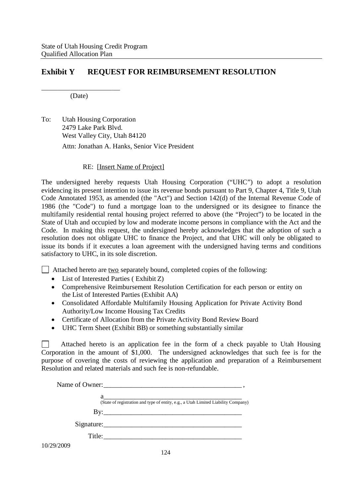# **Exhibit Y REQUEST FOR REIMBURSEMENT RESOLUTION**

\_\_\_\_\_\_\_\_\_\_\_\_\_\_\_\_\_\_\_ (Date)

To: Utah Housing Corporation 2479 Lake Park Blvd. West Valley City, Utah 84120 Attn: Jonathan A. Hanks, Senior Vice President

#### RE: [Insert Name of Project]

The undersigned hereby requests Utah Housing Corporation ("UHC") to adopt a resolution evidencing its present intention to issue its revenue bonds pursuant to Part 9, Chapter 4, Title 9, Utah Code Annotated 1953, as amended (the "Act") and Section 142(d) of the Internal Revenue Code of 1986 (the "Code") to fund a mortgage loan to the undersigned or its designee to finance the multifamily residential rental housing project referred to above (the "Project") to be located in the State of Utah and occupied by low and moderate income persons in compliance with the Act and the Code. In making this request, the undersigned hereby acknowledges that the adoption of such a resolution does not obligate UHC to finance the Project, and that UHC will only be obligated to issue its bonds if it executes a loan agreement with the undersigned having terms and conditions satisfactory to UHC, in its sole discretion.

 $\Box$  Attached hereto are two separately bound, completed copies of the following:

- List of Interested Parties (Exhibit Z)
- Comprehensive Reimbursement Resolution Certification for each person or entity on the List of Interested Parties (Exhibit AA)
- Consolidated Affordable Multifamily Housing Application for Private Activity Bond Authority/Low Income Housing Tax Credits
- Certificate of Allocation from the Private Activity Bond Review Board
- UHC Term Sheet (Exhibit BB) or something substantially similar

Attached hereto is an application fee in the form of a check payable to Utah Housing  $\mathbf{1}$ Corporation in the amount of \$1,000. The undersigned acknowledges that such fee is for the purpose of covering the costs of reviewing the application and preparation of a Reimbursement Resolution and related materials and such fee is non-refundable.

|            | (State of registration and type of entity, e.g., a Utah Limited Liability Company) |
|------------|------------------------------------------------------------------------------------|
|            |                                                                                    |
|            | Signature:                                                                         |
|            | Title:                                                                             |
| 10/29/2009 |                                                                                    |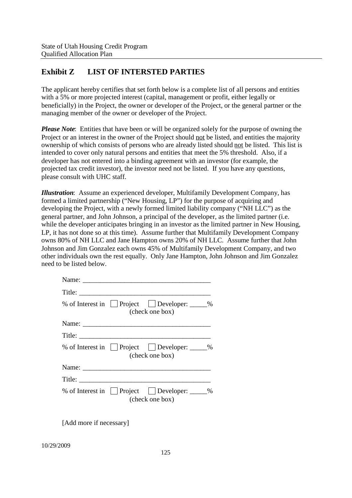# **Exhibit Z LIST OF INTERSTED PARTIES**

The applicant hereby certifies that set forth below is a complete list of all persons and entities with a 5% or more projected interest (capital, management or profit, either legally or beneficially) in the Project, the owner or developer of the Project, or the general partner or the managing member of the owner or developer of the Project.

*Please Note*: Entities that have been or will be organized solely for the purpose of owning the Project or an interest in the owner of the Project should not be listed, and entities the majority ownership of which consists of persons who are already listed should not be listed. This list is intended to cover only natural persons and entities that meet the 5% threshold. Also, if a developer has not entered into a binding agreement with an investor (for example, the projected tax credit investor), the investor need not be listed. If you have any questions, please consult with UHC staff.

*Illustration*: Assume an experienced developer, Multifamily Development Company, has formed a limited partnership ("New Housing, LP") for the purpose of acquiring and developing the Project, with a newly formed limited liability company ("NH LLC") as the general partner, and John Johnson, a principal of the developer, as the limited partner (i.e. while the developer anticipates bringing in an investor as the limited partner in New Housing, LP, it has not done so at this time). Assume further that Multifamily Development Company owns 80% of NH LLC and Jane Hampton owns 20% of NH LLC. Assume further that John Johnson and Jim Gonzalez each owns 45% of Multifamily Development Company, and two other individuals own the rest equally. Only Jane Hampton, John Johnson and Jim Gonzalez need to be listed below.

| % of Interest in $\Box$ Project $\Box$ Developer: $\Box$ %<br>(check one box) |  |
|-------------------------------------------------------------------------------|--|
|                                                                               |  |
|                                                                               |  |
| % of Interest in Project Developer: _____%<br>(check one box)                 |  |
|                                                                               |  |
|                                                                               |  |
| % of Interest in Project Developer: _____%<br>(check one box)                 |  |

[Add more if necessary]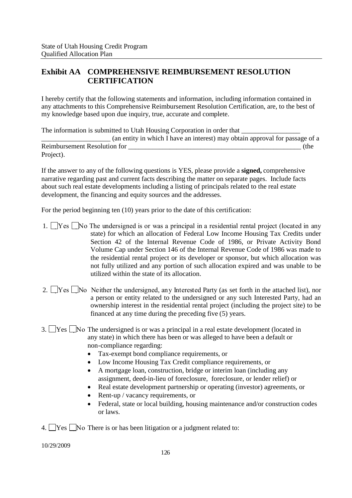# **Exhibit AA COMPREHENSIVE REIMBURSEMENT RESOLUTION CERTIFICATION**

I hereby certify that the following statements and information, including information contained in any attachments to this Comprehensive Reimbursement Resolution Certification, are, to the best of my knowledge based upon due inquiry, true, accurate and complete.

The information is submitted to Utah Housing Corporation in order that \_\_\_\_\_\_\_\_\_\_\_\_\_\_\_\_\_\_\_\_ (an entity in which I have an interest) may obtain approval for passage of a Reimbursement Resolution for  $\qquad (the$ Project).

If the answer to any of the following questions is YES, please provide a **signed,** comprehensive narrative regarding past and current facts describing the matter on separate pages. Include facts about such real estate developments including a listing of principals related to the real estate development, the financing and equity sources and the addresses.

For the period beginning ten (10) years prior to the date of this certification:

- 1.  $\Box$  Yes  $\Box$  No The undersigned is or was a principal in a residential rental project (located in any state) for which an allocation of Federal Low Income Housing Tax Credits under Section 42 of the Internal Revenue Code of 1986, or Private Activity Bond Volume Cap under Section 146 of the Internal Revenue Code of 1986 was made to the residential rental project or its developer or sponsor, but which allocation was not fully utilized and any portion of such allocation expired and was unable to be utilized within the state of its allocation.
- 2.  $\Box$  Yes  $\Box$  No Neither the undersigned, any Interested Party (as set forth in the attached list), nor a person or entity related to the undersigned or any such Interested Party, had an ownership interest in the residential rental project (including the project site) to be financed at any time during the preceding five (5) years.
- 3. Yes No The undersigned is or was a principal in a real estate development (located in any state) in which there has been or was alleged to have been a default or non-compliance regarding:
	- Tax-exempt bond compliance requirements, or
	- Low Income Housing Tax Credit compliance requirements, or
	- A mortgage loan, construction, bridge or interim loan (including any assignment, deed-in-lieu of foreclosure, foreclosure, or lender relief) or
	- Real estate development partnership or operating (investor) agreements, or
	- Rent-up / vacancy requirements, or
	- Federal, state or local building, housing maintenance and/or construction codes or laws.
- 4.  $\Box$  Yes  $\Box$  No There is or has been litigation or a judgment related to: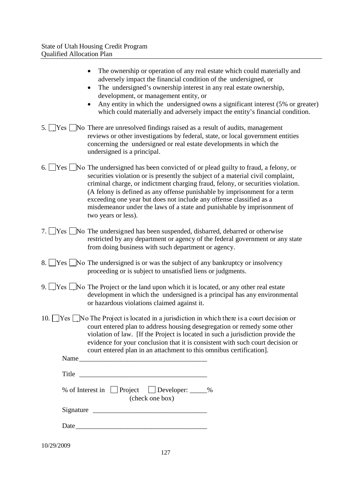|      | The ownership or operation of any real estate which could materially and<br>adversely impact the financial condition of the undersigned, or<br>The undersigned's ownership interest in any real estate ownership,<br>$\bullet$<br>development, or management entity, or<br>Any entity in which the undersigned owns a significant interest (5% or greater)<br>which could materially and adversely impact the entity's financial condition.                                                                                          |
|------|--------------------------------------------------------------------------------------------------------------------------------------------------------------------------------------------------------------------------------------------------------------------------------------------------------------------------------------------------------------------------------------------------------------------------------------------------------------------------------------------------------------------------------------|
| 5.   | $ Yes $ No There are unresolved findings raised as a result of audits, management<br>reviews or other investigations by federal, state, or local government entities<br>concerning the undersigned or real estate developments in which the<br>undersigned is a principal.                                                                                                                                                                                                                                                           |
| 6.   | $\text{Yes} \cup \text{No}$ The undersigned has been convicted of or plead guilty to fraud, a felony, or<br>securities violation or is presently the subject of a material civil complaint,<br>criminal charge, or indictment charging fraud, felony, or securities violation.<br>(A felony is defined as any offense punishable by imprisonment for a term<br>exceeding one year but does not include any offense classified as a<br>misdemeanor under the laws of a state and punishable by imprisonment of<br>two years or less). |
|      | $ Yes $ No The undersigned has been suspended, disbarred, debarred or otherwise<br>restricted by any department or agency of the federal government or any state<br>from doing business with such department or agency.                                                                                                                                                                                                                                                                                                              |
| 8.   | $[Yes \t No \t The undersigned is or was the subject of any bankruptcy or insolvency]$<br>proceeding or is subject to unsatisfied liens or judgments.                                                                                                                                                                                                                                                                                                                                                                                |
| 9. l | $\gamma$ $\gamma$ $\gamma$ $\gamma$ $\gamma$ The Project or the land upon which it is located, or any other real estate<br>development in which the undersigned is a principal has any environmental<br>or hazardous violations claimed against it.                                                                                                                                                                                                                                                                                  |
| 10.  | $\gamma$ $\gamma$ $\gamma$ $\gamma$ $\gamma$ $\gamma$ as a court decision or<br>court entered plan to address housing desegregation or remedy some other<br>violation of law. [If the Project is located in such a jurisdiction provide the<br>evidence for your conclusion that it is consistent with such court decision or<br>court entered plan in an attachment to this omnibus certification].                                                                                                                                 |
|      |                                                                                                                                                                                                                                                                                                                                                                                                                                                                                                                                      |
|      |                                                                                                                                                                                                                                                                                                                                                                                                                                                                                                                                      |
|      | % of Interest in $\Box$ Project<br>Developer: _____%<br>(check one box)                                                                                                                                                                                                                                                                                                                                                                                                                                                              |

Date\_\_\_\_\_\_\_\_\_\_\_\_\_\_\_\_\_\_\_\_\_\_\_\_\_\_\_\_\_\_\_\_\_\_\_\_\_\_

10/29/2009

Signature \_\_\_\_\_\_\_\_\_\_\_\_\_\_\_\_\_\_\_\_\_\_\_\_\_\_\_\_\_\_\_\_\_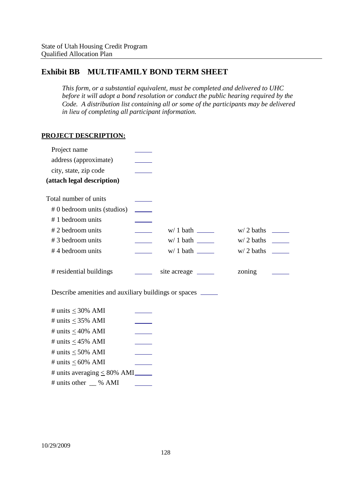# **Exhibit BB MULTIFAMILY BOND TERM SHEET**

*This form, or a substantial equivalent, must be completed and delivered to UHC before it will adopt a bond resolution or conduct the public hearing required by the Code. A distribution list containing all or some of the participants may be delivered in lieu of completing all participant information.*

## **PROJECT DESCRIPTION:**

| Project name                                                |                          |                       |        |  |
|-------------------------------------------------------------|--------------------------|-----------------------|--------|--|
| address (approximate)                                       |                          |                       |        |  |
| city, state, zip code                                       |                          |                       |        |  |
| (attach legal description)                                  |                          |                       |        |  |
| Total number of units                                       |                          |                       |        |  |
| # 0 bedroom units (studios)                                 |                          |                       |        |  |
| #1 bedroom units                                            |                          |                       |        |  |
| #2 bedroom units                                            | $\overline{\phantom{a}}$ |                       |        |  |
| #3 bedroom units                                            |                          |                       |        |  |
| #4 bedroom units                                            |                          |                       |        |  |
| # residential buildings                                     |                          | site acreage ________ | zoning |  |
| Describe amenities and auxiliary buildings or spaces ______ |                          |                       |        |  |
| # units $\leq$ 30% AMI                                      |                          |                       |        |  |
| # units $\leq$ 35% AMI                                      |                          |                       |        |  |
| # units $\leq 40\%$ AMI                                     |                          |                       |        |  |
| # units $\leq$ 45% AMI                                      |                          |                       |        |  |
| # units $\leq 50\%$ AMI                                     |                          |                       |        |  |
| # units $\leq 60\%$ AMI                                     |                          |                       |        |  |
| # units averaging $\leq 80\%$ AMI                           |                          |                       |        |  |
| # units other __ % AMI                                      |                          |                       |        |  |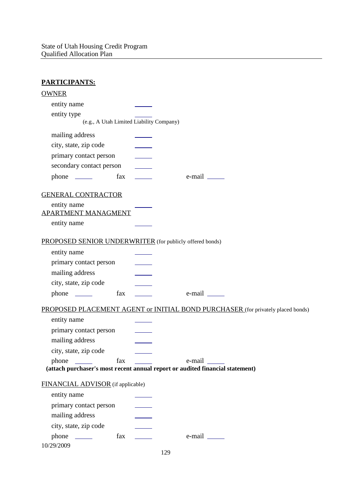| <b>PARTICIPANTS:</b>                                                                |                            |                                                                                 |
|-------------------------------------------------------------------------------------|----------------------------|---------------------------------------------------------------------------------|
| <b>OWNER</b>                                                                        |                            |                                                                                 |
| entity name                                                                         |                            |                                                                                 |
| entity type                                                                         |                            |                                                                                 |
| (e.g., A Utah Limited Liability Company)                                            |                            |                                                                                 |
| mailing address                                                                     |                            |                                                                                 |
| city, state, zip code                                                               |                            |                                                                                 |
| primary contact person                                                              |                            |                                                                                 |
| secondary contact person                                                            |                            |                                                                                 |
| fax                                                                                 | $\mathcal{L}(\mathcal{L})$ | $e$ -mail $\_\_\_\_\_\_\_\_\_\$                                                 |
| <b>GENERAL CONTRACTOR</b>                                                           |                            |                                                                                 |
| entity name                                                                         |                            |                                                                                 |
| APARTMENT MANAGMENT                                                                 |                            |                                                                                 |
| entity name                                                                         |                            |                                                                                 |
| PROPOSED SENIOR UNDERWRITER (for publicly offered bonds)                            |                            |                                                                                 |
| entity name                                                                         |                            |                                                                                 |
| primary contact person                                                              |                            |                                                                                 |
| mailing address                                                                     |                            |                                                                                 |
| city, state, zip code                                                               |                            |                                                                                 |
| fax                                                                                 |                            |                                                                                 |
|                                                                                     |                            | PROPOSED PLACEMENT AGENT or INITIAL BOND PURCHASER (for privately placed bonds) |
| entity name                                                                         |                            |                                                                                 |
| primary contact person                                                              |                            |                                                                                 |
| mailing address                                                                     |                            |                                                                                 |
| city, state, zip code                                                               |                            |                                                                                 |
| fax<br>phone<br>$\frac{1}{2}$ and $\frac{1}{2}$ and $\frac{1}{2}$ and $\frac{1}{2}$ |                            |                                                                                 |
|                                                                                     |                            | (attach purchaser's most recent annual report or audited financial statement)   |
| FINANCIAL ADVISOR (if applicable)                                                   |                            |                                                                                 |
| entity name                                                                         |                            |                                                                                 |
| primary contact person                                                              |                            |                                                                                 |
| mailing address                                                                     |                            |                                                                                 |
| city, state, zip code                                                               |                            |                                                                                 |
| $phone \_\_$<br>fax                                                                 |                            |                                                                                 |
| 10/29/2009                                                                          |                            | 129                                                                             |
|                                                                                     |                            |                                                                                 |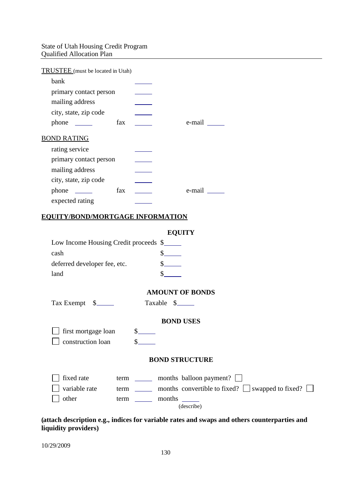## State of Utah Housing Credit Program Qualified Allocation Plan

| TRUSTEE (must be located in Utah) |        |
|-----------------------------------|--------|
| bank                              |        |
| primary contact person            |        |
| mailing address                   |        |
| city, state, zip code             |        |
| fax<br>$phone \_\_$               | e-mail |
| <b>BOND RATING</b>                |        |
| rating service                    |        |
| primary contact person            |        |
| mailing address                   |        |
| city, state, zip code             |        |
| fax<br>$phone \_\_$               | e-mail |
| expected rating                   |        |
|                                   |        |

#### **EQUITY/BOND/MORTGAGE INFORMATION**

| וו<br>г.<br>ъ<br>Г<br>r |  |
|-------------------------|--|
| Г                       |  |

| Low Income Housing Credit proceeds \$ |  |
|---------------------------------------|--|
| cash                                  |  |
| deferred developer fee, etc.          |  |
| land                                  |  |

## **AMOUNT OF BONDS**

Tax Exempt \$\_\_\_\_\_\_\_ Taxable \$\_\_\_\_\_

## **BOND USES**

first mortgage loan \$ construction loan \$

#### **BOND STRUCTURE**

| $\vert$ fixed rate | term | months balloon payment? $\vert \vert$                        |
|--------------------|------|--------------------------------------------------------------|
| variable rate      | term | months convertible to fixed? $\Box$ swapped to fixed? $\Box$ |
| other              | term | months                                                       |
|                    |      | (describe)                                                   |

## **(attach description e.g., indices for variable rates and swaps and others counterparties and liquidity providers)**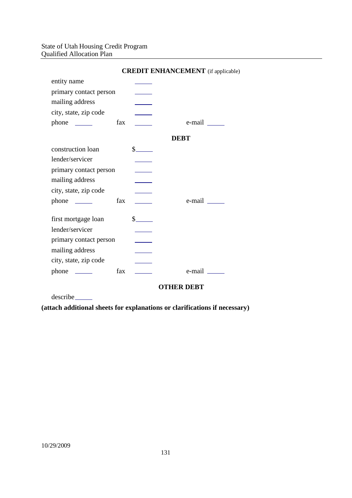## State of Utah Housing Credit Program Qualified Allocation Plan

|                        |     |                                                                                                                                                                                                                                                                                                                                                                              | <b>CREDIT ENHANCEMENT</b> (if applicable |
|------------------------|-----|------------------------------------------------------------------------------------------------------------------------------------------------------------------------------------------------------------------------------------------------------------------------------------------------------------------------------------------------------------------------------|------------------------------------------|
| entity name            |     |                                                                                                                                                                                                                                                                                                                                                                              |                                          |
| primary contact person |     |                                                                                                                                                                                                                                                                                                                                                                              |                                          |
| mailing address        |     |                                                                                                                                                                                                                                                                                                                                                                              |                                          |
| city, state, zip code  |     |                                                                                                                                                                                                                                                                                                                                                                              |                                          |
| $phone \_\_$           | fax |                                                                                                                                                                                                                                                                                                                                                                              | e-mail ______                            |
|                        |     |                                                                                                                                                                                                                                                                                                                                                                              | <b>DEBT</b>                              |
| construction loan      |     | $\frac{\S_{\frac{1}{2}}}{\S_{\frac{1}{2}}}{\S_{\frac{1}{2}}}{\S_{\frac{1}{2}}}{\S_{\frac{1}{2}}}{\S_{\frac{1}{2}}}{\S_{\frac{1}{2}}}{\S_{\frac{1}{2}}}{\S_{\frac{1}{2}}}{\S_{\frac{1}{2}}}{\S_{\frac{1}{2}}}{\S_{\frac{1}{2}}}{\S_{\frac{1}{2}}}{\S_{\frac{1}{2}}}{\S_{\frac{1}{2}}}{\S_{\frac{1}{2}}}{\S_{\frac{1}{2}}}{\S_{\frac{1}{2}}}{\S_{\frac{1}{2}}}{\S_{\frac{1}{2$ |                                          |
| lender/servicer        |     |                                                                                                                                                                                                                                                                                                                                                                              |                                          |
| primary contact person |     |                                                                                                                                                                                                                                                                                                                                                                              |                                          |
| mailing address        |     |                                                                                                                                                                                                                                                                                                                                                                              |                                          |
| city, state, zip code  |     |                                                                                                                                                                                                                                                                                                                                                                              |                                          |
| $phone \_\_$           | fax |                                                                                                                                                                                                                                                                                                                                                                              | $e$ -mail $\_\_\_\_\$                    |
| first mortgage loan    |     | $s$ <sub>_____</sub>                                                                                                                                                                                                                                                                                                                                                         |                                          |
| lender/servicer        |     |                                                                                                                                                                                                                                                                                                                                                                              |                                          |
| primary contact person |     |                                                                                                                                                                                                                                                                                                                                                                              |                                          |
| mailing address        |     |                                                                                                                                                                                                                                                                                                                                                                              |                                          |
| city, state, zip code  |     |                                                                                                                                                                                                                                                                                                                                                                              |                                          |
|                        | fax |                                                                                                                                                                                                                                                                                                                                                                              | e-mail ______                            |
|                        |     |                                                                                                                                                                                                                                                                                                                                                                              | <b>OTHER DEBT</b>                        |

**COEDIT ENHANCEMENT** (if applicable)

describe

**(attach additional sheets for explanations or clarifications if necessary)**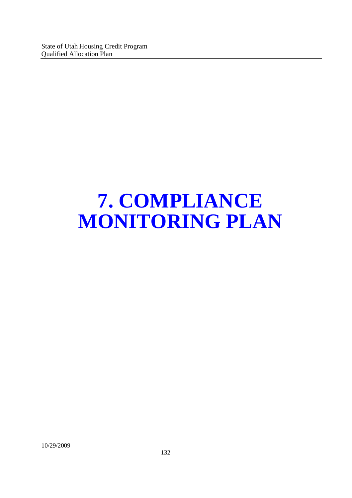# **7. COMPLIANCE MONITORING PLAN**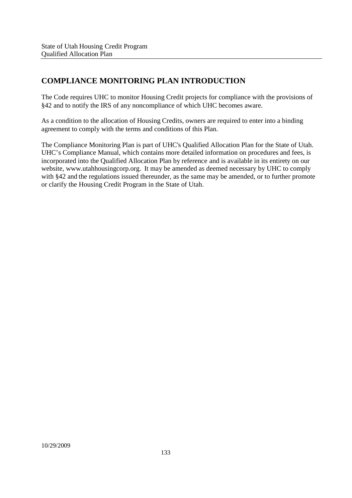# **COMPLIANCE MONITORING PLAN INTRODUCTION**

The Code requires UHC to monitor Housing Credit projects for compliance with the provisions of §42 and to notify the IRS of any noncompliance of which UHC becomes aware.

As a condition to the allocation of Housing Credits, owners are required to enter into a binding agreement to comply with the terms and conditions of this Plan.

The Compliance Monitoring Plan is part of UHC's Qualified Allocation Plan for the State of Utah. UHC's Compliance Manual, which contains more detailed information on procedures and fees, is incorporated into the Qualified Allocation Plan by reference and is available in its entirety on our website, www.utahhousingcorp.org. It may be amended as deemed necessary by UHC to comply with §42 and the regulations issued thereunder, as the same may be amended, or to further promote or clarify the Housing Credit Program in the State of Utah.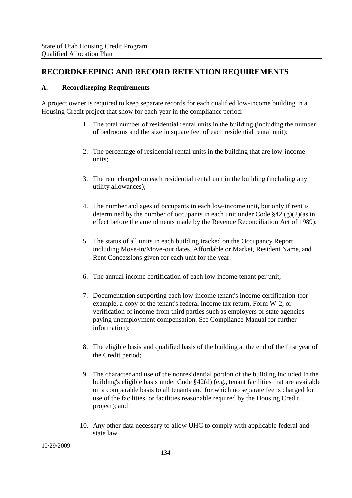## **RECORDKEEPING AND RECORD RETENTION REQUIREMENTS**

## **A. Recordkeeping Requirements**

A project owner is required to keep separate records for each qualified low-income building in a Housing Credit project that show for each year in the compliance period:

- 1. The total number of residential rental units in the building (including the number of bedrooms and the size in square feet of each residential rental unit);
- 2. The percentage of residential rental units in the building that are low-income units;
- 3. The rent charged on each residential rental unit in the building (including any utility allowances);
- 4. The number and ages of occupants in each low-income unit, but only if rent is determined by the number of occupants in each unit under Code  $\S 42$  (g)(2)(as in effect before the amendments made by the Revenue Reconciliation Act of 1989);
- 5. The status of all units in each building tracked on the Occupancy Report including Move-in/Move-out dates, Affordable or Market, Resident Name, and Rent Concessions given for each unit for the year.
- 6. The annual income certification of each low-income tenant per unit;
- 7. Documentation supporting each low-income tenant's income certification (for example, a copy of the tenant's federal income tax return, Form W-2, or verification of income from third parties such as employers or state agencies paying unemployment compensation. See Compliance Manual for further information);
- 8. The eligible basis and qualified basis of the building at the end of the first year of the Credit period;
- 9. The character and use of the nonresidential portion of the building included in the building's eligible basis under Code §42(d) (e.g., tenant facilities that are available on a comparable basis to all tenants and for which no separate fee is charged for use of the facilities, or facilities reasonable required by the Housing Credit project); and
- 10. Any other data necessary to allow UHC to comply with applicable federal and state law.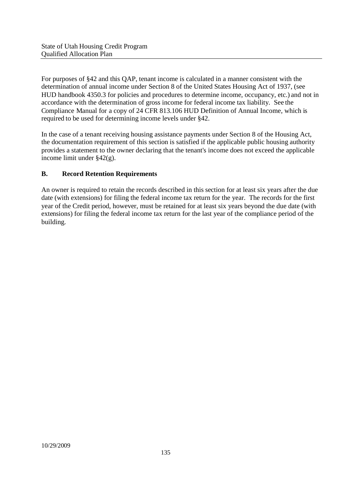For purposes of §42 and this QAP, tenant income is calculated in a manner consistent with the determination of annual income under Section 8 of the United States Housing Act of 1937, (see HUD handbook 4350.3 for policies and procedures to determine income, occupancy, etc.) and not in accordance with the determination of gross income for federal income tax liability. See the Compliance Manual for a copy of 24 CFR 813.106 HUD Definition of Annual Income, which is required to be used for determining income levels under §42.

In the case of a tenant receiving housing assistance payments under Section 8 of the Housing Act, the documentation requirement of this section is satisfied if the applicable public housing authority provides a statement to the owner declaring that the tenant's income does not exceed the applicable income limit under §42(g).

## **B. Record Retention Requirements**

An owner is required to retain the records described in this section for at least six years after the due date (with extensions) for filing the federal income tax return for the year. The records for the first year of the Credit period, however, must be retained for at least six years beyond the due date (with extensions) for filing the federal income tax return for the last year of the compliance period of the building.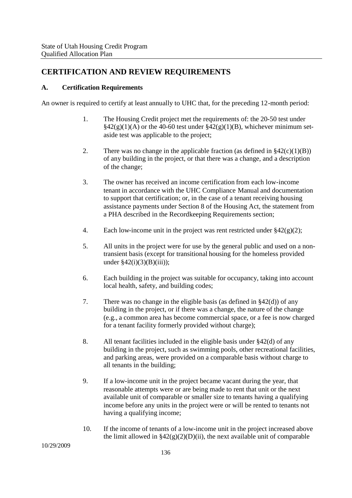# **CERTIFICATION AND REVIEW REQUIREMENTS**

## **A. Certification Requirements**

An owner is required to certify at least annually to UHC that, for the preceding 12-month period:

- 1. The Housing Credit project met the requirements of: the 20-50 test under  $\S42(g)(1)(A)$  or the  $\overline{40-60}$  test under  $\S42(g)(1)(B)$ , whichever minimum setaside test was applicable to the project;
- 2. There was no change in the applicable fraction (as defined in  $\S42(c)(1)(B)$ ) of any building in the project, or that there was a change, and a description of the change;
- 3. The owner has received an income certification from each low-income tenant in accordance with the UHC Compliance Manual and documentation to support that certification; or, in the case of a tenant receiving housing assistance payments under Section 8 of the Housing Act, the statement from a PHA described in the Recordkeeping Requirements section;
- 4. Each low-income unit in the project was rent restricted under  $\S 42(g)(2)$ ;
- 5. All units in the project were for use by the general public and used on a nontransient basis (except for transitional housing for the homeless provided under  $$42(i)(3)(B)(iii)$ ;
- 6. Each building in the project was suitable for occupancy, taking into account local health, safety, and building codes;
- 7. There was no change in the eligible basis (as defined in §42(d)) of any building in the project, or if there was a change, the nature of the change (e.g., a common area has become commercial space, or a fee is now charged for a tenant facility formerly provided without charge);
- 8. All tenant facilities included in the eligible basis under §42(d) of any building in the project, such as swimming pools, other recreational facilities, and parking areas, were provided on a comparable basis without charge to all tenants in the building;
- 9. If a low-income unit in the project became vacant during the year, that reasonable attempts were or are being made to rent that unit or the next available unit of comparable or smaller size to tenants having a qualifying income before any units in the project were or will be rented to tenants not having a qualifying income;
- 10. If the income of tenants of a low-income unit in the project increased above the limit allowed in  $\S42(g)(2)(D)(ii)$ , the next available unit of comparable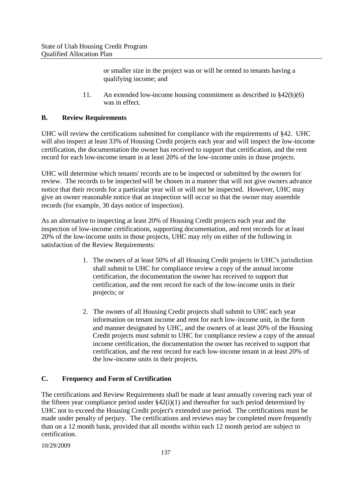or smaller size in the project was or will be rented to tenants having a qualifying income; and

11. An extended low-income housing commitment as described in §42(h)(6) was in effect.

## **B. Review Requirements**

UHC will review the certifications submitted for compliance with the requirements of §42. UHC will also inspect at least 33% of Housing Credit projects each year and will inspect the low-income certification, the documentation the owner has received to support that certification, and the rent record for each low-income tenant in at least 20% of the low-income units in those projects.

UHC will determine which tenants' records are to be inspected or submitted by the owners for review. The records to be inspected will be chosen in a manner that will not give owners advance notice that their records for a particular year will or will not be inspected. However, UHC may give an owner reasonable notice that an inspection will occur so that the owner may assemble records (for example, 30 days notice of inspection).

As an alternative to inspecting at least 20% of Housing Credit projects each year and the inspection of low-income certifications, supporting documentation, and rent records for at least 20% of the low-income units in those projects, UHC may rely on either of the following in satisfaction of the Review Requirements:

- 1. The owners of at least 50% of all Housing Credit projects in UHC's jurisdiction shall submit to UHC for compliance review a copy of the annual income certification, the documentation the owner has received to support that certification, and the rent record for each of the low-income units in their projects; or
- 2. The owners of all Housing Credit projects shall submit to UHC each year information on tenant income and rent for each low-income unit, in the form and manner designated by UHC, and the owners of at least 20% of the Housing Credit projects must submit to UHC for compliance review a copy of the annual income certification, the documentation the owner has received to support that certification, and the rent record for each low-income tenant in at least 20% of the low-income units in their projects.

## **C. Frequency and Form of Certification**

The certifications and Review Requirements shall be made at least annually covering each year of the fifteen year compliance period under §42(i)(1) and thereafter for such period determined by UHC not to exceed the Housing Credit project's extended use period. The certifications must be made under penalty of perjury. The certifications and reviews may be completed more frequently than on a 12 month basis, provided that all months within each 12 month period are subject to certification.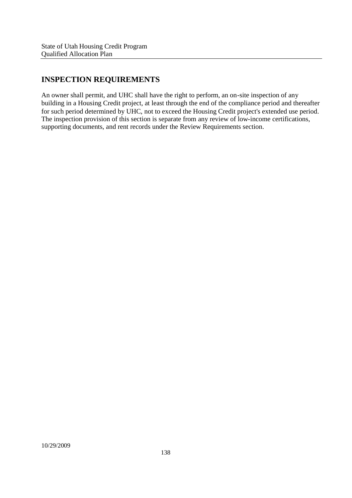# **INSPECTION REQUIREMENTS**

An owner shall permit, and UHC shall have the right to perform, an on-site inspection of any building in a Housing Credit project, at least through the end of the compliance period and thereafter for such period determined by UHC, not to exceed the Housing Credit project's extended use period. The inspection provision of this section is separate from any review of low-income certifications, supporting documents, and rent records under the Review Requirements section.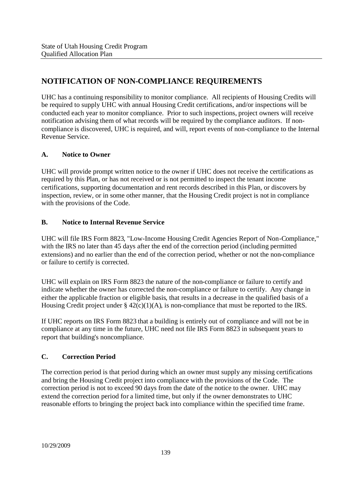# **NOTIFICATION OF NON-COMPLIANCE REQUIREMENTS**

UHC has a continuing responsibility to monitor compliance. All recipients of Housing Credits will be required to supply UHC with annual Housing Credit certifications, and/or inspections will be conducted each year to monitor compliance. Prior to such inspections, project owners will receive notification advising them of what records will be required by the compliance auditors. If noncompliance is discovered, UHC is required, and will, report events of non-compliance to the Internal Revenue Service.

## **A. Notice to Owner**

UHC will provide prompt written notice to the owner if UHC does not receive the certifications as required by this Plan, or has not received or is not permitted to inspect the tenant income certifications, supporting documentation and rent records described in this Plan, or discovers by inspection, review, or in some other manner, that the Housing Credit project is not in compliance with the provisions of the Code.

## **B. Notice to Internal Revenue Service**

UHC will file IRS Form 8823, "Low-Income Housing Credit Agencies Report of Non-Compliance," with the IRS no later than 45 days after the end of the correction period (including permitted extensions) and no earlier than the end of the correction period, whether or not the non-compliance or failure to certify is corrected.

UHC will explain on IRS Form 8823 the nature of the non-compliance or failure to certify and indicate whether the owner has corrected the non-compliance or failure to certify. Any change in either the applicable fraction or eligible basis, that results in a decrease in the qualified basis of a Housing Credit project under  $\S 42(c)(1)(A)$ , is non-compliance that must be reported to the IRS.

If UHC reports on IRS Form 8823 that a building is entirely out of compliance and will not be in compliance at any time in the future, UHC need not file IRS Form 8823 in subsequent years to report that building's noncompliance.

## **C. Correction Period**

The correction period is that period during which an owner must supply any missing certifications and bring the Housing Credit project into compliance with the provisions of the Code. The correction period is not to exceed 90 days from the date of the notice to the owner. UHC may extend the correction period for a limited time, but only if the owner demonstrates to UHC reasonable efforts to bringing the project back into compliance within the specified time frame.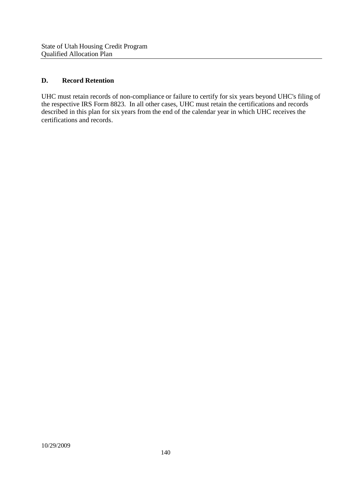## **D. Record Retention**

UHC must retain records of non-compliance or failure to certify for six years beyond UHC's filing of the respective IRS Form 8823. In all other cases, UHC must retain the certifications and records described in this plan for six years from the end of the calendar year in which UHC receives the certifications and records.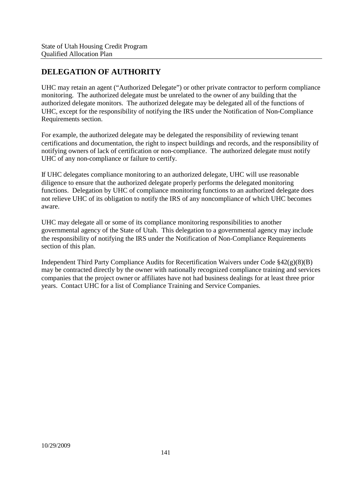## **DELEGATION OF AUTHORITY**

UHC may retain an agent ("Authorized Delegate") or other private contractor to perform compliance monitoring. The authorized delegate must be unrelated to the owner of any building that the authorized delegate monitors. The authorized delegate may be delegated all of the functions of UHC, except for the responsibility of notifying the IRS under the Notification of Non-Compliance Requirements section.

For example, the authorized delegate may be delegated the responsibility of reviewing tenant certifications and documentation, the right to inspect buildings and records, and the responsibility of notifying owners of lack of certification or non-compliance. The authorized delegate must notify UHC of any non-compliance or failure to certify.

If UHC delegates compliance monitoring to an authorized delegate, UHC will use reasonable diligence to ensure that the authorized delegate properly performs the delegated monitoring functions. Delegation by UHC of compliance monitoring functions to an authorized delegate does not relieve UHC of its obligation to notify the IRS of any noncompliance of which UHC becomes aware.

UHC may delegate all or some of its compliance monitoring responsibilities to another governmental agency of the State of Utah. This delegation to a governmental agency may include the responsibility of notifying the IRS under the Notification of Non-Compliance Requirements section of this plan.

Independent Third Party Compliance Audits for Recertification Waivers under Code §42(g)(8)(B) may be contracted directly by the owner with nationally recognized compliance training and services companies that the project owner or affiliates have not had business dealings for at least three prior years. Contact UHC for a list of Compliance Training and Service Companies.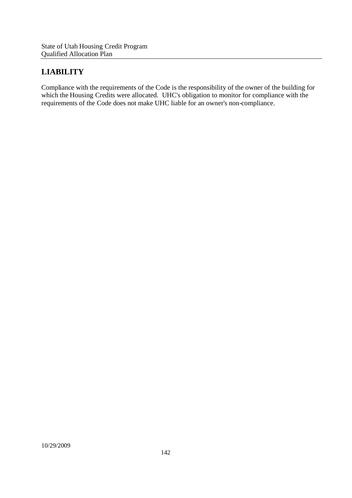## **LIABILITY**

Compliance with the requirements of the Code is the responsibility of the owner of the building for which the Housing Credits were allocated. UHC's obligation to monitor for compliance with the requirements of the Code does not make UHC liable for an owner's non-compliance.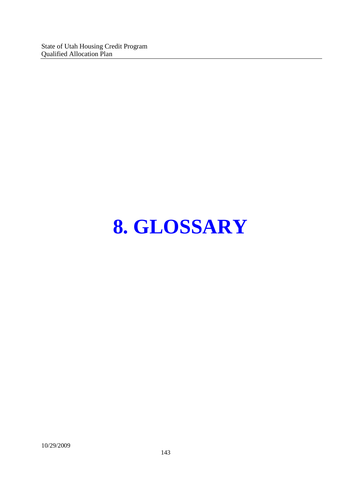State of Utah Housing Credit Program Qualified Allocation Plan

## **8. GLOSSARY**

10/29/2009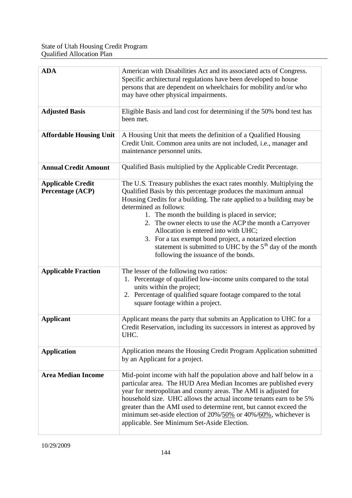| <b>ADA</b>                                   | American with Disabilities Act and its associated acts of Congress.<br>Specific architectural regulations have been developed to house<br>persons that are dependent on wheelchairs for mobility and/or who<br>may have other physical impairments.                                                                                                                                                                                                                                                                                                               |  |  |  |
|----------------------------------------------|-------------------------------------------------------------------------------------------------------------------------------------------------------------------------------------------------------------------------------------------------------------------------------------------------------------------------------------------------------------------------------------------------------------------------------------------------------------------------------------------------------------------------------------------------------------------|--|--|--|
| <b>Adjusted Basis</b>                        | Eligible Basis and land cost for determining if the 50% bond test has<br>been met.                                                                                                                                                                                                                                                                                                                                                                                                                                                                                |  |  |  |
| <b>Affordable Housing Unit</b>               | A Housing Unit that meets the definition of a Qualified Housing<br>Credit Unit. Common area units are not included, i.e., manager and<br>maintenance personnel units.                                                                                                                                                                                                                                                                                                                                                                                             |  |  |  |
| <b>Annual Credit Amount</b>                  | Qualified Basis multiplied by the Applicable Credit Percentage.                                                                                                                                                                                                                                                                                                                                                                                                                                                                                                   |  |  |  |
| <b>Applicable Credit</b><br>Percentage (ACP) | The U.S. Treasury publishes the exact rates monthly. Multiplying the<br>Qualified Basis by this percentage produces the maximum annual<br>Housing Credits for a building. The rate applied to a building may be<br>determined as follows:<br>1. The month the building is placed in service;<br>2. The owner elects to use the ACP the month a Carryover<br>Allocation is entered into with UHC;<br>3. For a tax exempt bond project, a notarized election<br>statement is submitted to UHC by the $5th$ day of the month<br>following the issuance of the bonds. |  |  |  |
| <b>Applicable Fraction</b>                   | The lesser of the following two ratios:<br>1. Percentage of qualified low-income units compared to the total<br>units within the project;<br>2. Percentage of qualified square footage compared to the total<br>square footage within a project.                                                                                                                                                                                                                                                                                                                  |  |  |  |
| <b>Applicant</b>                             | Applicant means the party that submits an Application to UHC for a<br>Credit Reservation, including its successors in interest as approved by<br>UHC.                                                                                                                                                                                                                                                                                                                                                                                                             |  |  |  |
| <b>Application</b>                           | Application means the Housing Credit Program Application submitted<br>by an Applicant for a project.                                                                                                                                                                                                                                                                                                                                                                                                                                                              |  |  |  |
| <b>Area Median Income</b>                    | Mid-point income with half the population above and half below in a<br>particular area. The HUD Area Median Incomes are published every<br>year for metropolitan and county areas. The AMI is adjusted for<br>household size. UHC allows the actual income tenants earn to be 5%<br>greater than the AMI used to determine rent, but cannot exceed the<br>minimum set-aside election of 20%/50% or 40%/60%, whichever is<br>applicable. See Minimum Set-Aside Election.                                                                                           |  |  |  |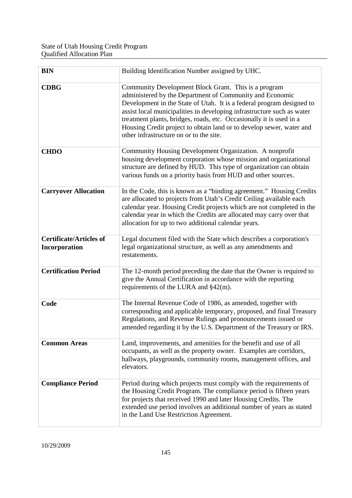| <b>BIN</b>                                      | Building Identification Number assigned by UHC.                                                                                                                                                                                                                                                                                                                                                                                                               |
|-------------------------------------------------|---------------------------------------------------------------------------------------------------------------------------------------------------------------------------------------------------------------------------------------------------------------------------------------------------------------------------------------------------------------------------------------------------------------------------------------------------------------|
| <b>CDBG</b>                                     | Community Development Block Grant. This is a program<br>administered by the Department of Community and Economic<br>Development in the State of Utah. It is a federal program designed to<br>assist local municipalities in developing infrastructure such as water<br>treatment plants, bridges, roads, etc. Occasionally it is used in a<br>Housing Credit project to obtain land or to develop sewer, water and<br>other infrastructure on or to the site. |
| <b>CHDO</b>                                     | Community Housing Development Organization. A nonprofit<br>housing development corporation whose mission and organizational<br>structure are defined by HUD. This type of organization can obtain<br>various funds on a priority basis from HUD and other sources.                                                                                                                                                                                            |
| <b>Carryover Allocation</b>                     | In the Code, this is known as a "binding agreement." Housing Credits<br>are allocated to projects from Utah's Credit Ceiling available each<br>calendar year. Housing Credit projects which are not completed in the<br>calendar year in which the Credits are allocated may carry over that<br>allocation for up to two additional calendar years.                                                                                                           |
| <b>Certificate/Articles of</b><br>Incorporation | Legal document filed with the State which describes a corporation's<br>legal organizational structure, as well as any amendments and<br>restatements.                                                                                                                                                                                                                                                                                                         |
| <b>Certification Period</b>                     | The 12-month period preceding the date that the Owner is required to<br>give the Annual Certification in accordance with the reporting<br>requirements of the LURA and $\S42(m)$ .                                                                                                                                                                                                                                                                            |
| Code                                            | The Internal Revenue Code of 1986, as amended, together with<br>corresponding and applicable temporary, proposed, and final Treasury<br>Regulations, and Revenue Rulings and pronouncements issued or<br>amended regarding it by the U.S. Department of the Treasury or IRS.                                                                                                                                                                                  |
| <b>Common Areas</b>                             | Land, improvements, and amenities for the benefit and use of all<br>occupants, as well as the property owner. Examples are corridors,<br>hallways, playgrounds, community rooms, management offices, and<br>elevators.                                                                                                                                                                                                                                        |
| <b>Compliance Period</b>                        | Period during which projects must comply with the requirements of<br>the Housing Credit Program. The compliance period is fifteen years<br>for projects that received 1990 and later Housing Credits. The<br>extended use period involves an additional number of years as stated<br>in the Land Use Restriction Agreement.                                                                                                                                   |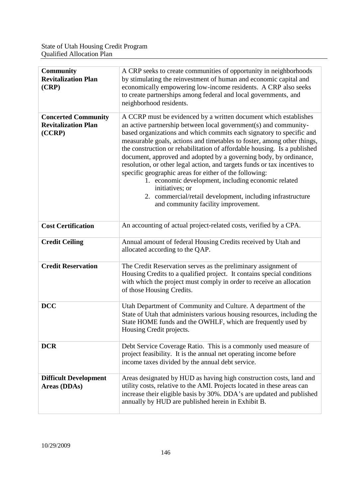| <b>Community</b><br><b>Revitalization Plan</b><br>(CRP)            | A CRP seeks to create communities of opportunity in neighborhoods<br>by stimulating the reinvestment of human and economic capital and<br>economically empowering low-income residents. A CRP also seeks<br>to create partnerships among federal and local governments, and<br>neighborhood residents.                                                                                                                                                                                                                                                                                                                                                                                                                                                         |  |
|--------------------------------------------------------------------|----------------------------------------------------------------------------------------------------------------------------------------------------------------------------------------------------------------------------------------------------------------------------------------------------------------------------------------------------------------------------------------------------------------------------------------------------------------------------------------------------------------------------------------------------------------------------------------------------------------------------------------------------------------------------------------------------------------------------------------------------------------|--|
| <b>Concerted Community</b><br><b>Revitalization Plan</b><br>(CCRP) | A CCRP must be evidenced by a written document which establishes<br>an active partnership between local government(s) and community-<br>based organizations and which commits each signatory to specific and<br>measurable goals, actions and timetables to foster, among other things,<br>the construction or rehabilitation of affordable housing. Is a published<br>document, approved and adopted by a governing body, by ordinance,<br>resolution, or other legal action, and targets funds or tax incentives to<br>specific geographic areas for either of the following:<br>1. economic development, including economic related<br>initiatives; or<br>2. commercial/retail development, including infrastructure<br>and community facility improvement. |  |
| <b>Cost Certification</b>                                          | An accounting of actual project-related costs, verified by a CPA.                                                                                                                                                                                                                                                                                                                                                                                                                                                                                                                                                                                                                                                                                              |  |
| <b>Credit Ceiling</b>                                              | Annual amount of federal Housing Credits received by Utah and<br>allocated according to the QAP.                                                                                                                                                                                                                                                                                                                                                                                                                                                                                                                                                                                                                                                               |  |
| <b>Credit Reservation</b>                                          | The Credit Reservation serves as the preliminary assignment of<br>Housing Credits to a qualified project. It contains special conditions<br>with which the project must comply in order to receive an allocation<br>of those Housing Credits.                                                                                                                                                                                                                                                                                                                                                                                                                                                                                                                  |  |
| <b>DCC</b>                                                         | Utah Department of Community and Culture. A department of the<br>State of Utah that administers various housing resources, including the<br>State HOME funds and the OWHLF, which are frequently used by<br>Housing Credit projects.                                                                                                                                                                                                                                                                                                                                                                                                                                                                                                                           |  |
| <b>DCR</b>                                                         | Debt Service Coverage Ratio. This is a commonly used measure of<br>project feasibility. It is the annual net operating income before<br>income taxes divided by the annual debt service.                                                                                                                                                                                                                                                                                                                                                                                                                                                                                                                                                                       |  |
| <b>Difficult Development</b><br>Areas (DDAs)                       | Areas designated by HUD as having high construction costs, land and<br>utility costs, relative to the AMI. Projects located in these areas can<br>increase their eligible basis by 30%. DDA's are updated and published<br>annually by HUD are published herein in Exhibit B.                                                                                                                                                                                                                                                                                                                                                                                                                                                                                  |  |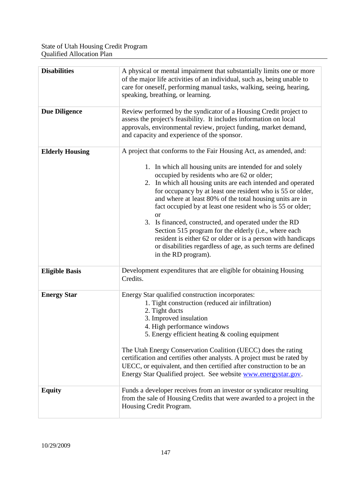| <b>Disabilities</b>    | A physical or mental impairment that substantially limits one or more<br>of the major life activities of an individual, such as, being unable to<br>care for oneself, performing manual tasks, walking, seeing, hearing,<br>speaking, breathing, or learning.                                                                                                                                                                                                                                                                                                                                                                                                                                                               |
|------------------------|-----------------------------------------------------------------------------------------------------------------------------------------------------------------------------------------------------------------------------------------------------------------------------------------------------------------------------------------------------------------------------------------------------------------------------------------------------------------------------------------------------------------------------------------------------------------------------------------------------------------------------------------------------------------------------------------------------------------------------|
| <b>Due Diligence</b>   | Review performed by the syndicator of a Housing Credit project to<br>assess the project's feasibility. It includes information on local<br>approvals, environmental review, project funding, market demand,<br>and capacity and experience of the sponsor.                                                                                                                                                                                                                                                                                                                                                                                                                                                                  |
| <b>Elderly Housing</b> | A project that conforms to the Fair Housing Act, as amended, and:<br>1. In which all housing units are intended for and solely<br>occupied by residents who are 62 or older;<br>2. In which all housing units are each intended and operated<br>for occupancy by at least one resident who is 55 or older,<br>and where at least 80% of the total housing units are in<br>fact occupied by at least one resident who is 55 or older;<br><b>or</b><br>3. Is financed, constructed, and operated under the RD<br>Section 515 program for the elderly (i.e., where each<br>resident is either 62 or older or is a person with handicaps<br>or disabilities regardless of age, as such terms are defined<br>in the RD program). |
| <b>Eligible Basis</b>  | Development expenditures that are eligible for obtaining Housing<br>Credits.                                                                                                                                                                                                                                                                                                                                                                                                                                                                                                                                                                                                                                                |
| <b>Energy Star</b>     | Energy Star qualified construction incorporates:<br>1. Tight construction (reduced air infiltration)<br>2. Tight ducts<br>3. Improved insulation<br>4. High performance windows<br>5. Energy efficient heating $&$ cooling equipment<br>The Utah Energy Conservation Coalition (UECC) does the rating<br>certification and certifies other analysts. A project must be rated by<br>UECC, or equivalent, and then certified after construction to be an<br>Energy Star Qualified project. See website www.energystar.gov.                                                                                                                                                                                                    |
| <b>Equity</b>          | Funds a developer receives from an investor or syndicator resulting<br>from the sale of Housing Credits that were awarded to a project in the<br>Housing Credit Program.                                                                                                                                                                                                                                                                                                                                                                                                                                                                                                                                                    |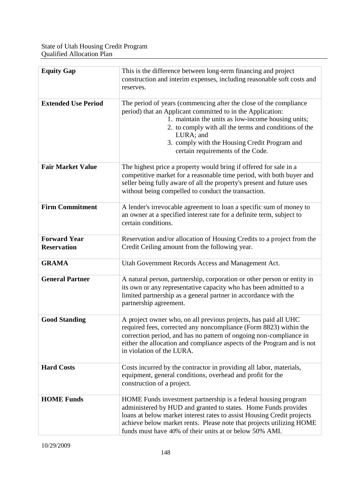| <b>Equity Gap</b>                         | This is the difference between long-term financing and project<br>construction and interim expenses, including reasonable soft costs and<br>reserves.                                                                                                                                                                                             |  |  |  |
|-------------------------------------------|---------------------------------------------------------------------------------------------------------------------------------------------------------------------------------------------------------------------------------------------------------------------------------------------------------------------------------------------------|--|--|--|
| <b>Extended Use Period</b>                | The period of years (commencing after the close of the compliance<br>period) that an Applicant committed to in the Application:<br>1. maintain the units as low-income housing units;<br>2. to comply with all the terms and conditions of the<br>LURA; and<br>3. comply with the Housing Credit Program and<br>certain requirements of the Code. |  |  |  |
| <b>Fair Market Value</b>                  | The highest price a property would bring if offered for sale in a<br>competitive market for a reasonable time period, with both buyer and<br>seller being fully aware of all the property's present and future uses<br>without being compelled to conduct the transaction.                                                                        |  |  |  |
| <b>Firm Commitment</b>                    | A lender's irrevocable agreement to loan a specific sum of money to<br>an owner at a specified interest rate for a definite term, subject to<br>certain conditions.                                                                                                                                                                               |  |  |  |
| <b>Forward Year</b><br><b>Reservation</b> | Reservation and/or allocation of Housing Credits to a project from the<br>Credit Ceiling amount from the following year.                                                                                                                                                                                                                          |  |  |  |
| <b>GRAMA</b>                              | Utah Government Records Access and Management Act.                                                                                                                                                                                                                                                                                                |  |  |  |
| <b>General Partner</b>                    | A natural person, partnership, corporation or other person or entity in<br>its own or any representative capacity who has been admitted to a<br>limited partnership as a general partner in accordance with the<br>partnership agreement.                                                                                                         |  |  |  |
| <b>Good Standing</b>                      | A project owner who, on all previous projects, has paid all UHC<br>required fees, corrected any noncompliance (Form 8823) within the<br>correction period, and has no pattern of ongoing non-compliance in<br>either the allocation and compliance aspects of the Program and is not<br>in violation of the LURA.                                 |  |  |  |
| <b>Hard Costs</b>                         | Costs incurred by the contractor in providing all labor, materials,<br>equipment, general conditions, overhead and profit for the<br>construction of a project.                                                                                                                                                                                   |  |  |  |
| <b>HOME Funds</b>                         | HOME Funds investment partnership is a federal housing program<br>administered by HUD and granted to states. Home Funds provides<br>loans at below market interest rates to assist Housing Credit projects<br>achieve below market rents. Please note that projects utilizing HOME<br>funds must have 40% of their units at or below 50% AMI.     |  |  |  |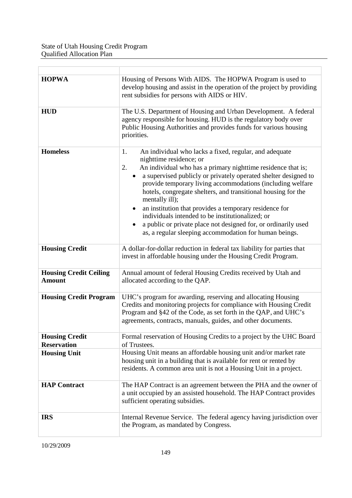| <b>HOPWA</b>                                   | Housing of Persons With AIDS. The HOPWA Program is used to<br>develop housing and assist in the operation of the project by providing<br>rent subsidies for persons with AIDS or HIV.                                                                                                                                                                                                                                                                                                                                                                                                                                                    |  |  |  |
|------------------------------------------------|------------------------------------------------------------------------------------------------------------------------------------------------------------------------------------------------------------------------------------------------------------------------------------------------------------------------------------------------------------------------------------------------------------------------------------------------------------------------------------------------------------------------------------------------------------------------------------------------------------------------------------------|--|--|--|
| <b>HUD</b>                                     | The U.S. Department of Housing and Urban Development. A federal<br>agency responsible for housing. HUD is the regulatory body over<br>Public Housing Authorities and provides funds for various housing<br>priorities.                                                                                                                                                                                                                                                                                                                                                                                                                   |  |  |  |
| <b>Homeless</b>                                | An individual who lacks a fixed, regular, and adequate<br>1.<br>nighttime residence; or<br>An individual who has a primary nighttime residence that is;<br>2.<br>a supervised publicly or privately operated shelter designed to<br>$\bullet$<br>provide temporary living accommodations (including welfare<br>hotels, congregate shelters, and transitional housing for the<br>mentally ill);<br>an institution that provides a temporary residence for<br>individuals intended to be institutionalized; or<br>a public or private place not designed for, or ordinarily used<br>as, a regular sleeping accommodation for human beings. |  |  |  |
| <b>Housing Credit</b>                          | A dollar-for-dollar reduction in federal tax liability for parties that<br>invest in affordable housing under the Housing Credit Program.                                                                                                                                                                                                                                                                                                                                                                                                                                                                                                |  |  |  |
| <b>Housing Credit Ceiling</b><br><b>Amount</b> | Annual amount of federal Housing Credits received by Utah and<br>allocated according to the QAP.                                                                                                                                                                                                                                                                                                                                                                                                                                                                                                                                         |  |  |  |
| <b>Housing Credit Program</b>                  | UHC's program for awarding, reserving and allocating Housing<br>Credits and monitoring projects for compliance with Housing Credit<br>Program and §42 of the Code, as set forth in the QAP, and UHC's<br>agreements, contracts, manuals, guides, and other documents.                                                                                                                                                                                                                                                                                                                                                                    |  |  |  |
| <b>Housing Credit</b><br><b>Reservation</b>    | Formal reservation of Housing Credits to a project by the UHC Board<br>of Trustees.                                                                                                                                                                                                                                                                                                                                                                                                                                                                                                                                                      |  |  |  |
| <b>Housing Unit</b>                            | Housing Unit means an affordable housing unit and/or market rate<br>housing unit in a building that is available for rent or rented by<br>residents. A common area unit is not a Housing Unit in a project.                                                                                                                                                                                                                                                                                                                                                                                                                              |  |  |  |
| <b>HAP Contract</b>                            | The HAP Contract is an agreement between the PHA and the owner of<br>a unit occupied by an assisted household. The HAP Contract provides<br>sufficient operating subsidies.                                                                                                                                                                                                                                                                                                                                                                                                                                                              |  |  |  |
| <b>IRS</b>                                     | Internal Revenue Service. The federal agency having jurisdiction over<br>the Program, as mandated by Congress.                                                                                                                                                                                                                                                                                                                                                                                                                                                                                                                           |  |  |  |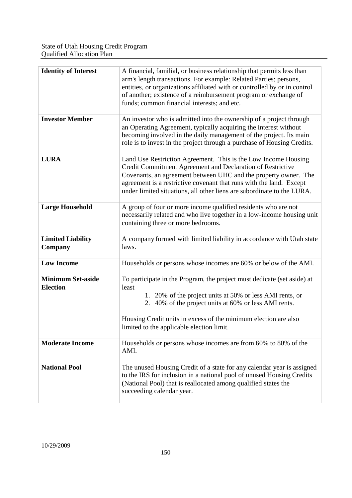| <b>Identity of Interest</b>                 | A financial, familial, or business relationship that permits less than<br>arm's length transactions. For example: Related Parties; persons,<br>entities, or organizations affiliated with or controlled by or in control<br>of another; existence of a reimbursement program or exchange of<br>funds; common financial interests; and etc.       |  |
|---------------------------------------------|--------------------------------------------------------------------------------------------------------------------------------------------------------------------------------------------------------------------------------------------------------------------------------------------------------------------------------------------------|--|
| <b>Investor Member</b>                      | An investor who is admitted into the ownership of a project through<br>an Operating Agreement, typically acquiring the interest without<br>becoming involved in the daily management of the project. Its main<br>role is to invest in the project through a purchase of Housing Credits.                                                         |  |
| <b>LURA</b>                                 | Land Use Restriction Agreement. This is the Low Income Housing<br>Credit Commitment Agreement and Declaration of Restrictive<br>Covenants, an agreement between UHC and the property owner. The<br>agreement is a restrictive covenant that runs with the land. Except<br>under limited situations, all other liens are subordinate to the LURA. |  |
| <b>Large Household</b>                      | A group of four or more income qualified residents who are not<br>necessarily related and who live together in a low-income housing unit<br>containing three or more bedrooms.                                                                                                                                                                   |  |
| <b>Limited Liability</b><br>Company         | A company formed with limited liability in accordance with Utah state<br>laws.                                                                                                                                                                                                                                                                   |  |
| <b>Low Income</b>                           | Households or persons whose incomes are 60% or below of the AMI.                                                                                                                                                                                                                                                                                 |  |
| <b>Minimum Set-aside</b><br><b>Election</b> | To participate in the Program, the project must dedicate (set aside) at<br>least<br>1. 20% of the project units at 50% or less AMI rents, or<br>2. 40% of the project units at 60% or less AMI rents.<br>Housing Credit units in excess of the minimum election are also<br>limited to the applicable election limit.                            |  |
| <b>Moderate Income</b>                      | Households or persons whose incomes are from 60% to 80% of the<br>AMI.                                                                                                                                                                                                                                                                           |  |
| <b>National Pool</b>                        | The unused Housing Credit of a state for any calendar year is assigned<br>to the IRS for inclusion in a national pool of unused Housing Credits<br>(National Pool) that is reallocated among qualified states the<br>succeeding calendar year.                                                                                                   |  |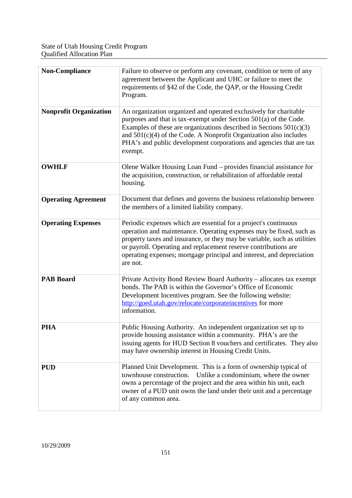| <b>Non-Compliance</b>         | Failure to observe or perform any covenant, condition or term of any<br>agreement between the Applicant and UHC or failure to meet the<br>requirements of §42 of the Code, the QAP, or the Housing Credit<br>Program.                                                                                                                                                       |
|-------------------------------|-----------------------------------------------------------------------------------------------------------------------------------------------------------------------------------------------------------------------------------------------------------------------------------------------------------------------------------------------------------------------------|
| <b>Nonprofit Organization</b> | An organization organized and operated exclusively for charitable<br>purposes and that is tax-exempt under Section 501(a) of the Code.<br>Examples of these are organizations described in Sections $501(c)(3)$<br>and $501(c)(4)$ of the Code. A Nonprofit Organization also includes<br>PHA's and public development corporations and agencies that are tax<br>exempt.    |
| <b>OWHLF</b>                  | Olene Walker Housing Loan Fund – provides financial assistance for<br>the acquisition, construction, or rehabilitation of affordable rental<br>housing.                                                                                                                                                                                                                     |
| <b>Operating Agreement</b>    | Document that defines and governs the business relationship between<br>the members of a limited liability company.                                                                                                                                                                                                                                                          |
| <b>Operating Expenses</b>     | Periodic expenses which are essential for a project's continuous<br>operation and maintenance. Operating expenses may be fixed, such as<br>property taxes and insurance, or they may be variable, such as utilities<br>or payroll. Operating and replacement reserve contributions are<br>operating expenses; mortgage principal and interest, and depreciation<br>are not. |
| <b>PAB Board</b>              | Private Activity Bond Review Board Authority - allocates tax exempt<br>bonds. The PAB is within the Governor's Office of Economic<br>Development Incentives program. See the following website:<br>http://goed.utah.gov/relocate/corporateincentives for more<br>information.                                                                                               |
| <b>PHA</b>                    | Public Housing Authority. An independent organization set up to<br>provide housing assistance within a community. PHA's are the<br>issuing agents for HUD Section 8 vouchers and certificates. They also<br>may have ownership interest in Housing Credit Units.                                                                                                            |
| <b>PUD</b>                    | Planned Unit Development. This is a form of ownership typical of<br>Unlike a condominium, where the owner<br>townhouse construction.<br>owns a percentage of the project and the area within his unit, each<br>owner of a PUD unit owns the land under their unit and a percentage<br>of any common area.                                                                   |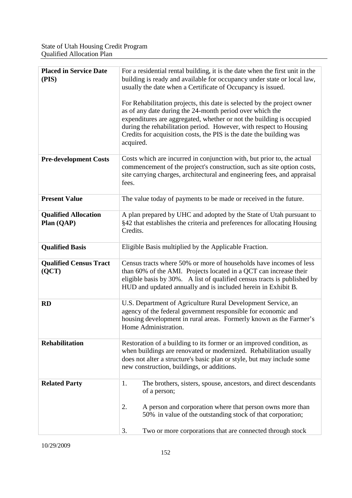| <b>Placed in Service Date</b><br>(PIS)    | For a residential rental building, it is the date when the first unit in the<br>building is ready and available for occupancy under state or local law,<br>usually the date when a Certificate of Occupancy is issued.<br>For Rehabilitation projects, this date is selected by the project owner |  |  |
|-------------------------------------------|---------------------------------------------------------------------------------------------------------------------------------------------------------------------------------------------------------------------------------------------------------------------------------------------------|--|--|
|                                           | as of any date during the 24-month period over which the<br>expenditures are aggregated, whether or not the building is occupied<br>during the rehabilitation period. However, with respect to Housing<br>Credits for acquisition costs, the PIS is the date the building was<br>acquired.        |  |  |
| <b>Pre-development Costs</b>              | Costs which are incurred in conjunction with, but prior to, the actual<br>commencement of the project's construction, such as site option costs,<br>site carrying charges, architectural and engineering fees, and appraisal<br>fees.                                                             |  |  |
| <b>Present Value</b>                      | The value today of payments to be made or received in the future.                                                                                                                                                                                                                                 |  |  |
| <b>Qualified Allocation</b><br>Plan (QAP) | A plan prepared by UHC and adopted by the State of Utah pursuant to<br>§42 that establishes the criteria and preferences for allocating Housing<br>Credits.                                                                                                                                       |  |  |
| <b>Qualified Basis</b>                    | Eligible Basis multiplied by the Applicable Fraction.                                                                                                                                                                                                                                             |  |  |
| <b>Qualified Census Tract</b><br>(QCT)    | Census tracts where 50% or more of households have incomes of less<br>than 60% of the AMI. Projects located in a QCT can increase their<br>eligible basis by 30%. A list of qualified census tracts is published by<br>HUD and updated annually and is included herein in Exhibit B.              |  |  |
| <b>RD</b>                                 | U.S. Department of Agriculture Rural Development Service, an<br>agency of the federal government responsible for economic and<br>housing development in rural areas. Formerly known as the Farmer's<br>Home Administration.                                                                       |  |  |
| <b>Rehabilitation</b>                     | Restoration of a building to its former or an improved condition, as<br>when buildings are renovated or modernized. Rehabilitation usually<br>does not alter a structure's basic plan or style, but may include some<br>new construction, buildings, or additions.                                |  |  |
| <b>Related Party</b>                      | 1.<br>The brothers, sisters, spouse, ancestors, and direct descendants<br>of a person;                                                                                                                                                                                                            |  |  |
|                                           | 2.<br>A person and corporation where that person owns more than<br>50% in value of the outstanding stock of that corporation;                                                                                                                                                                     |  |  |
|                                           | 3.<br>Two or more corporations that are connected through stock                                                                                                                                                                                                                                   |  |  |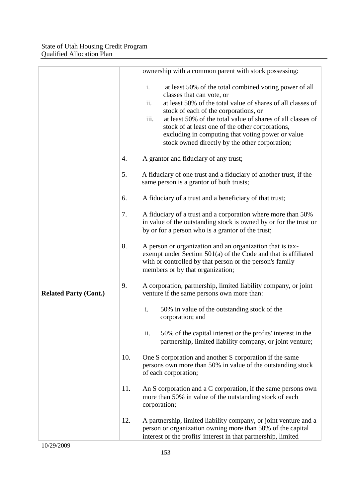|                              |     | ownership with a common parent with stock possessing:                                                                                                                                                                                                                                                                                                                                                                                      |
|------------------------------|-----|--------------------------------------------------------------------------------------------------------------------------------------------------------------------------------------------------------------------------------------------------------------------------------------------------------------------------------------------------------------------------------------------------------------------------------------------|
|                              |     | i.<br>at least 50% of the total combined voting power of all<br>classes that can vote, or<br>at least 50% of the total value of shares of all classes of<br>ii.<br>stock of each of the corporations, or<br>iii.<br>at least 50% of the total value of shares of all classes of<br>stock of at least one of the other corporations,<br>excluding in computing that voting power or value<br>stock owned directly by the other corporation; |
|                              | 4.  | A grantor and fiduciary of any trust;                                                                                                                                                                                                                                                                                                                                                                                                      |
|                              | 5.  | A fiduciary of one trust and a fiduciary of another trust, if the<br>same person is a grantor of both trusts;                                                                                                                                                                                                                                                                                                                              |
|                              | 6.  | A fiduciary of a trust and a beneficiary of that trust;                                                                                                                                                                                                                                                                                                                                                                                    |
|                              | 7.  | A fiduciary of a trust and a corporation where more than 50%<br>in value of the outstanding stock is owned by or for the trust or<br>by or for a person who is a grantor of the trust;                                                                                                                                                                                                                                                     |
|                              | 8.  | A person or organization and an organization that is tax-<br>exempt under Section $501(a)$ of the Code and that is affiliated<br>with or controlled by that person or the person's family<br>members or by that organization;                                                                                                                                                                                                              |
| <b>Related Party (Cont.)</b> | 9.  | A corporation, partnership, limited liability company, or joint<br>venture if the same persons own more than:                                                                                                                                                                                                                                                                                                                              |
|                              |     | i.<br>50% in value of the outstanding stock of the<br>corporation; and                                                                                                                                                                                                                                                                                                                                                                     |
|                              |     | ii.<br>50% of the capital interest or the profits' interest in the<br>partnership, limited liability company, or joint venture;                                                                                                                                                                                                                                                                                                            |
|                              | 10. | One S corporation and another S corporation if the same<br>persons own more than 50% in value of the outstanding stock<br>of each corporation;                                                                                                                                                                                                                                                                                             |
|                              | 11. | An S corporation and a C corporation, if the same persons own<br>more than 50% in value of the outstanding stock of each<br>corporation;                                                                                                                                                                                                                                                                                                   |
|                              | 12. | A partnership, limited liability company, or joint venture and a<br>person or organization owning more than 50% of the capital<br>interest or the profits' interest in that partnership, limited                                                                                                                                                                                                                                           |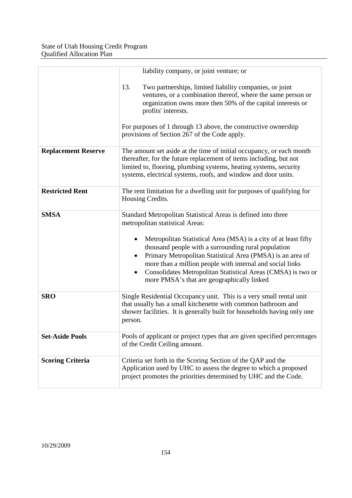|                            | liability company, or joint venture; or                                                                                                                                                                                                                                                                                                                                                                                                                                          |
|----------------------------|----------------------------------------------------------------------------------------------------------------------------------------------------------------------------------------------------------------------------------------------------------------------------------------------------------------------------------------------------------------------------------------------------------------------------------------------------------------------------------|
|                            | 13.<br>Two partnerships, limited liability companies, or joint<br>ventures, or a combination thereof, where the same person or<br>organization owns more then 50% of the capital interests or<br>profits' interests.                                                                                                                                                                                                                                                             |
|                            | For purposes of 1 through 13 above, the constructive ownership<br>provisions of Section 267 of the Code apply.                                                                                                                                                                                                                                                                                                                                                                   |
| <b>Replacement Reserve</b> | The amount set aside at the time of initial occupancy, or each month<br>thereafter, for the future replacement of items including, but not<br>limited to, flooring, plumbing systems, heating systems, security<br>systems, electrical systems, roofs, and window and door units.                                                                                                                                                                                                |
| <b>Restricted Rent</b>     | The rent limitation for a dwelling unit for purposes of qualifying for<br>Housing Credits.                                                                                                                                                                                                                                                                                                                                                                                       |
| <b>SMSA</b>                | Standard Metropolitan Statistical Areas is defined into three<br>metropolitan statistical Areas:<br>Metropolitan Statistical Area (MSA) is a city of at least fifty<br>thousand people with a surrounding rural population<br>Primary Metropolitan Statistical Area (PMSA) is an area of<br>more than a million people with internal and social links<br>Consolidates Metropolitan Statistical Areas (CMSA) is two or<br>$\bullet$<br>more PMSA's that are geographically linked |
| <b>SRO</b>                 | Single Residential Occupancy unit. This is a very small rental unit<br>that usually has a small kitchenette with common bathroom and<br>shower facilities. It is generally built for households having only one<br>person.                                                                                                                                                                                                                                                       |
| <b>Set-Aside Pools</b>     | Pools of applicant or project types that are given specified percentages<br>of the Credit Ceiling amount.                                                                                                                                                                                                                                                                                                                                                                        |
| <b>Scoring Criteria</b>    | Criteria set forth in the Scoring Section of the QAP and the<br>Application used by UHC to assess the degree to which a proposed<br>project promotes the priorities determined by UHC and the Code.                                                                                                                                                                                                                                                                              |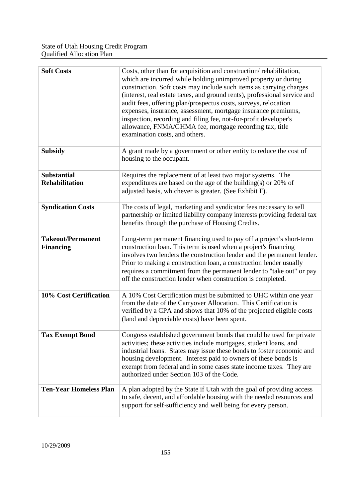| <b>Soft Costs</b>                            | Costs, other than for acquisition and construction/rehabilitation,<br>which are incurred while holding unimproved property or during<br>construction. Soft costs may include such items as carrying charges<br>(interest, real estate taxes, and ground rents), professional service and<br>audit fees, offering plan/prospectus costs, surveys, relocation<br>expenses, insurance, assessment, mortgage insurance premiums,<br>inspection, recording and filing fee, not-for-profit developer's<br>allowance, FNMA/GHMA fee, mortgage recording tax, title<br>examination costs, and others. |
|----------------------------------------------|-----------------------------------------------------------------------------------------------------------------------------------------------------------------------------------------------------------------------------------------------------------------------------------------------------------------------------------------------------------------------------------------------------------------------------------------------------------------------------------------------------------------------------------------------------------------------------------------------|
| <b>Subsidy</b>                               | A grant made by a government or other entity to reduce the cost of<br>housing to the occupant.                                                                                                                                                                                                                                                                                                                                                                                                                                                                                                |
| <b>Substantial</b><br><b>Rehabilitation</b>  | Requires the replacement of at least two major systems. The<br>expenditures are based on the age of the building(s) or 20% of<br>adjusted basis, whichever is greater. (See Exhibit F).                                                                                                                                                                                                                                                                                                                                                                                                       |
| <b>Syndication Costs</b>                     | The costs of legal, marketing and syndicator fees necessary to sell<br>partnership or limited liability company interests providing federal tax<br>benefits through the purchase of Housing Credits.                                                                                                                                                                                                                                                                                                                                                                                          |
| <b>Takeout/Permanent</b><br><b>Financing</b> | Long-term permanent financing used to pay off a project's short-term<br>construction loan. This term is used when a project's financing<br>involves two lenders the construction lender and the permanent lender.<br>Prior to making a construction loan, a construction lender usually<br>requires a commitment from the permanent lender to "take out" or pay<br>off the construction lender when construction is completed.                                                                                                                                                                |
| 10% Cost Certification                       | A 10% Cost Certification must be submitted to UHC within one year<br>from the date of the Carryover Allocation. This Certification is<br>verified by a CPA and shows that 10% of the projected eligible costs<br>(land and depreciable costs) have been spent.                                                                                                                                                                                                                                                                                                                                |
| <b>Tax Exempt Bond</b>                       | Congress established government bonds that could be used for private<br>activities; these activities include mortgages, student loans, and<br>industrial loans. States may issue these bonds to foster economic and<br>housing development. Interest paid to owners of these bonds is<br>exempt from federal and in some cases state income taxes. They are<br>authorized under Section 103 of the Code.                                                                                                                                                                                      |
| <b>Ten-Year Homeless Plan</b>                | A plan adopted by the State if Utah with the goal of providing access<br>to safe, decent, and affordable housing with the needed resources and<br>support for self-sufficiency and well being for every person.                                                                                                                                                                                                                                                                                                                                                                               |